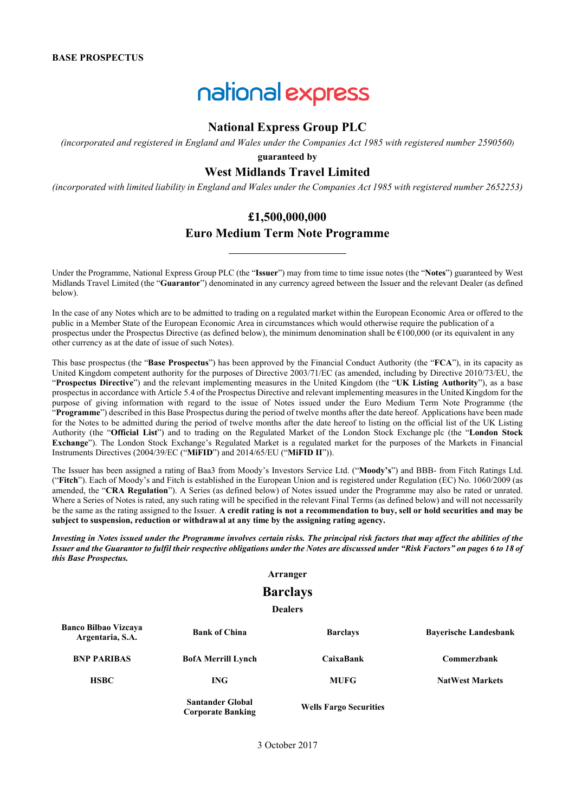# national express

# **National Express Group PLC**

*(incorporated and registered in England and Wales under the Companies Act 1985 with registered number 2590560)*

**guaranteed by** 

# **West Midlands Travel Limited**

*(incorporated with limited liability in England and Wales under the Companies Act 1985 with registered number 2652253)*

# **£1,500,000,000**

# **Euro Medium Term Note Programme**

Under the Programme, National Express Group PLC (the "**Issuer**") may from time to time issue notes (the "**Notes**") guaranteed by West Midlands Travel Limited (the "**Guarantor**") denominated in any currency agreed between the Issuer and the relevant Dealer (as defined below).

In the case of any Notes which are to be admitted to trading on a regulated market within the European Economic Area or offered to the public in a Member State of the European Economic Area in circumstances which would otherwise require the publication of a prospectus under the Prospectus Directive (as defined below), the minimum denomination shall be  $\epsilon$ 100,000 (or its equivalent in any other currency as at the date of issue of such Notes).

This base prospectus (the "**Base Prospectus**") has been approved by the Financial Conduct Authority (the "**FCA**"), in its capacity as United Kingdom competent authority for the purposes of Directive 2003/71/EC (as amended, including by Directive 2010/73/EU, the "**Prospectus Directive**") and the relevant implementing measures in the United Kingdom (the "**UK Listing Authority**"), as a base prospectus in accordance with Article 5.4 of the Prospectus Directive and relevant implementing measures in the United Kingdom for the purpose of giving information with regard to the issue of Notes issued under the Euro Medium Term Note Programme (the "**Programme**") described in this Base Prospectus during the period of twelve months after the date hereof. Applications have been made for the Notes to be admitted during the period of twelve months after the date hereof to listing on the official list of the UK Listing Authority (the "**Official List**") and to trading on the Regulated Market of the London Stock Exchange plc (the "**London Stock Exchange**"). The London Stock Exchange's Regulated Market is a regulated market for the purposes of the Markets in Financial Instruments Directives (2004/39/EC ("**MiFID**") and 2014/65/EU ("**MiFID II**")).

The Issuer has been assigned a rating of Baa3 from Moody's Investors Service Ltd. ("**Moody's**") and BBB- from Fitch Ratings Ltd. ("**Fitch**"). Each of Moody's and Fitch is established in the European Union and is registered under Regulation (EC) No. 1060/2009 (as amended, the "**CRA Regulation**"). A Series (as defined below) of Notes issued under the Programme may also be rated or unrated. Where a Series of Notes is rated, any such rating will be specified in the relevant Final Terms (as defined below) and will not necessarily be the same as the rating assigned to the Issuer. **A credit rating is not a recommendation to buy, sell or hold securities and may be subject to suspension, reduction or withdrawal at any time by the assigning rating agency.**

*Investing in Notes issued under the Programme involves certain risks. The principal risk factors that may affect the abilities of the Issuer and the Guarantor to fulfil their respective obligations under the Notes are discussed under "Risk Factors" on pages 6 to 18 of this Base Prospectus.*

# **Arranger**

# **Barclays**

**Dealers**

| <b>Banco Bilbao Vizcaya</b><br>Argentaria, S.A. | <b>Bank of China</b>                                | <b>Barclays</b>               | <b>Bayerische Landesbank</b> |
|-------------------------------------------------|-----------------------------------------------------|-------------------------------|------------------------------|
| <b>BNP PARIBAS</b>                              | <b>BofA Merrill Lynch</b>                           | CaixaBank                     | Commerzbank                  |
| <b>HSBC</b>                                     | <b>ING</b>                                          | <b>MUFG</b>                   | <b>NatWest Markets</b>       |
|                                                 | <b>Santander Global</b><br><b>Corporate Banking</b> | <b>Wells Fargo Securities</b> |                              |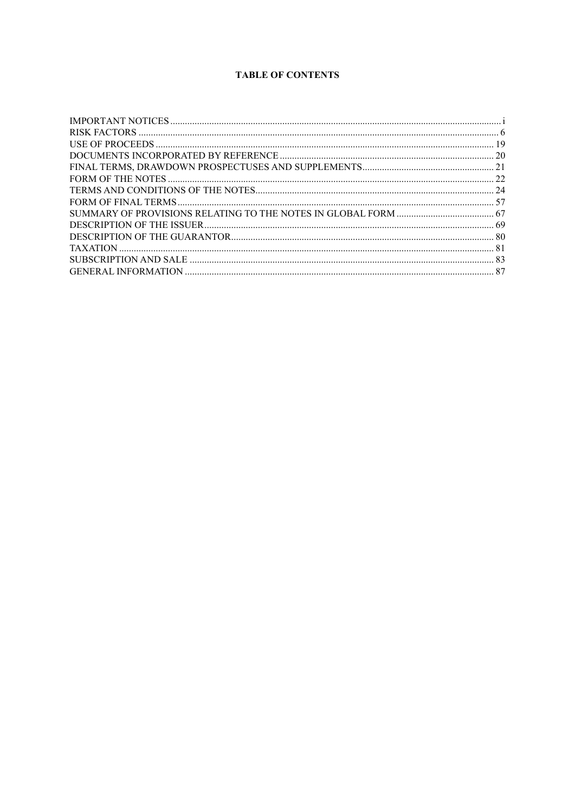# **TABLE OF CONTENTS**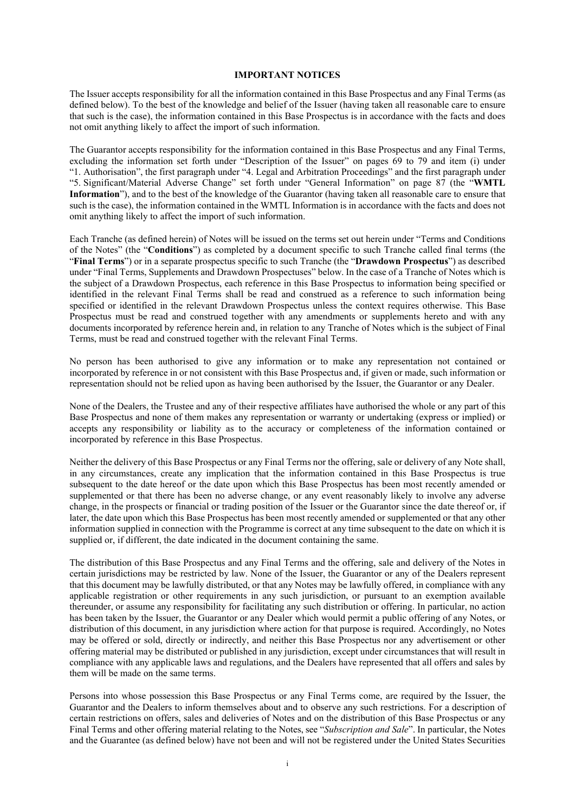#### **IMPORTANT NOTICES**

The Issuer accepts responsibility for all the information contained in this Base Prospectus and any Final Terms (as defined below). To the best of the knowledge and belief of the Issuer (having taken all reasonable care to ensure that such is the case), the information contained in this Base Prospectus is in accordance with the facts and does not omit anything likely to affect the import of such information.

The Guarantor accepts responsibility for the information contained in this Base Prospectus and any Final Terms, excluding the information set forth under "Description of the Issuer" on pages 69 to 79 and item (i) under "1. Authorisation", the first paragraph under "4. Legal and Arbitration Proceedings" and the first paragraph under "5. Significant/Material Adverse Change" set forth under "General Information" on page 87 (the "**WMTL Information**"), and to the best of the knowledge of the Guarantor (having taken all reasonable care to ensure that such is the case), the information contained in the WMTL Information is in accordance with the facts and does not omit anything likely to affect the import of such information.

Each Tranche (as defined herein) of Notes will be issued on the terms set out herein under "Terms and Conditions of the Notes" (the "**Conditions**") as completed by a document specific to such Tranche called final terms (the "**Final Terms**") or in a separate prospectus specific to such Tranche (the "**Drawdown Prospectus**") as described under "Final Terms, Supplements and Drawdown Prospectuses" below. In the case of a Tranche of Notes which is the subject of a Drawdown Prospectus, each reference in this Base Prospectus to information being specified or identified in the relevant Final Terms shall be read and construed as a reference to such information being specified or identified in the relevant Drawdown Prospectus unless the context requires otherwise. This Base Prospectus must be read and construed together with any amendments or supplements hereto and with any documents incorporated by reference herein and, in relation to any Tranche of Notes which is the subject of Final Terms, must be read and construed together with the relevant Final Terms.

No person has been authorised to give any information or to make any representation not contained or incorporated by reference in or not consistent with this Base Prospectus and, if given or made, such information or representation should not be relied upon as having been authorised by the Issuer, the Guarantor or any Dealer.

None of the Dealers, the Trustee and any of their respective affiliates have authorised the whole or any part of this Base Prospectus and none of them makes any representation or warranty or undertaking (express or implied) or accepts any responsibility or liability as to the accuracy or completeness of the information contained or incorporated by reference in this Base Prospectus.

Neither the delivery of this Base Prospectus or any Final Terms nor the offering, sale or delivery of any Note shall, in any circumstances, create any implication that the information contained in this Base Prospectus is true subsequent to the date hereof or the date upon which this Base Prospectus has been most recently amended or supplemented or that there has been no adverse change, or any event reasonably likely to involve any adverse change, in the prospects or financial or trading position of the Issuer or the Guarantor since the date thereof or, if later, the date upon which this Base Prospectus has been most recently amended or supplemented or that any other information supplied in connection with the Programme is correct at any time subsequent to the date on which it is supplied or, if different, the date indicated in the document containing the same.

The distribution of this Base Prospectus and any Final Terms and the offering, sale and delivery of the Notes in certain jurisdictions may be restricted by law. None of the Issuer, the Guarantor or any of the Dealers represent that this document may be lawfully distributed, or that any Notes may be lawfully offered, in compliance with any applicable registration or other requirements in any such jurisdiction, or pursuant to an exemption available thereunder, or assume any responsibility for facilitating any such distribution or offering. In particular, no action has been taken by the Issuer, the Guarantor or any Dealer which would permit a public offering of any Notes, or distribution of this document, in any jurisdiction where action for that purpose is required. Accordingly, no Notes may be offered or sold, directly or indirectly, and neither this Base Prospectus nor any advertisement or other offering material may be distributed or published in any jurisdiction, except under circumstances that will result in compliance with any applicable laws and regulations, and the Dealers have represented that all offers and sales by them will be made on the same terms.

Persons into whose possession this Base Prospectus or any Final Terms come, are required by the Issuer, the Guarantor and the Dealers to inform themselves about and to observe any such restrictions. For a description of certain restrictions on offers, sales and deliveries of Notes and on the distribution of this Base Prospectus or any Final Terms and other offering material relating to the Notes, see "*Subscription and Sale*". In particular, the Notes and the Guarantee (as defined below) have not been and will not be registered under the United States Securities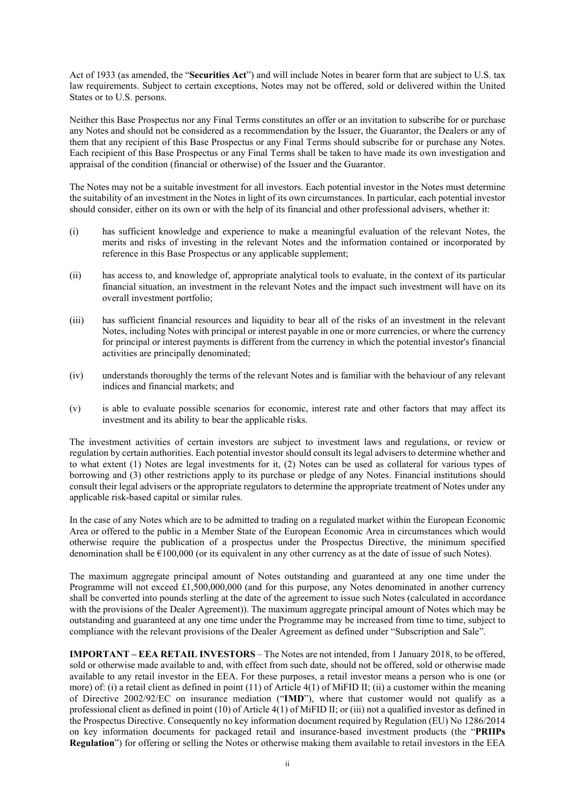Act of 1933 (as amended, the "**Securities Act**") and will include Notes in bearer form that are subject to U.S. tax law requirements. Subject to certain exceptions, Notes may not be offered, sold or delivered within the United States or to U.S. persons.

Neither this Base Prospectus nor any Final Terms constitutes an offer or an invitation to subscribe for or purchase any Notes and should not be considered as a recommendation by the Issuer, the Guarantor, the Dealers or any of them that any recipient of this Base Prospectus or any Final Terms should subscribe for or purchase any Notes. Each recipient of this Base Prospectus or any Final Terms shall be taken to have made its own investigation and appraisal of the condition (financial or otherwise) of the Issuer and the Guarantor.

The Notes may not be a suitable investment for all investors. Each potential investor in the Notes must determine the suitability of an investment in the Notes in light of its own circumstances. In particular, each potential investor should consider, either on its own or with the help of its financial and other professional advisers, whether it:

- (i) has sufficient knowledge and experience to make a meaningful evaluation of the relevant Notes, the merits and risks of investing in the relevant Notes and the information contained or incorporated by reference in this Base Prospectus or any applicable supplement;
- (ii) has access to, and knowledge of, appropriate analytical tools to evaluate, in the context of its particular financial situation, an investment in the relevant Notes and the impact such investment will have on its overall investment portfolio;
- (iii) has sufficient financial resources and liquidity to bear all of the risks of an investment in the relevant Notes, including Notes with principal or interest payable in one or more currencies, or where the currency for principal or interest payments is different from the currency in which the potential investor's financial activities are principally denominated;
- (iv) understands thoroughly the terms of the relevant Notes and is familiar with the behaviour of any relevant indices and financial markets; and
- (v) is able to evaluate possible scenarios for economic, interest rate and other factors that may affect its investment and its ability to bear the applicable risks.

The investment activities of certain investors are subject to investment laws and regulations, or review or regulation by certain authorities. Each potential investor should consult its legal advisers to determine whether and to what extent (1) Notes are legal investments for it, (2) Notes can be used as collateral for various types of borrowing and (3) other restrictions apply to its purchase or pledge of any Notes. Financial institutions should consult their legal advisers or the appropriate regulators to determine the appropriate treatment of Notes under any applicable risk-based capital or similar rules.

In the case of any Notes which are to be admitted to trading on a regulated market within the European Economic Area or offered to the public in a Member State of the European Economic Area in circumstances which would otherwise require the publication of a prospectus under the Prospectus Directive, the minimum specified denomination shall be €100,000 (or its equivalent in any other currency as at the date of issue of such Notes).

The maximum aggregate principal amount of Notes outstanding and guaranteed at any one time under the Programme will not exceed  $\pounds$ 1,500,000,000 (and for this purpose, any Notes denominated in another currency shall be converted into pounds sterling at the date of the agreement to issue such Notes (calculated in accordance with the provisions of the Dealer Agreement)). The maximum aggregate principal amount of Notes which may be outstanding and guaranteed at any one time under the Programme may be increased from time to time, subject to compliance with the relevant provisions of the Dealer Agreement as defined under "Subscription and Sale".

**IMPORTANT – EEA RETAIL INVESTORS** – The Notes are not intended, from 1 January 2018, to be offered, sold or otherwise made available to and, with effect from such date, should not be offered, sold or otherwise made available to any retail investor in the EEA. For these purposes, a retail investor means a person who is one (or more) of: (i) a retail client as defined in point (11) of Article 4(1) of MiFID II; (ii) a customer within the meaning of Directive 2002/92/EC on insurance mediation ("**IMD**"), where that customer would not qualify as a professional client as defined in point (10) of Article 4(1) of MiFID II; or (iii) not a qualified investor as defined in the Prospectus Directive. Consequently no key information document required by Regulation (EU) No 1286/2014 on key information documents for packaged retail and insurance-based investment products (the "**PRIIPs Regulation**") for offering or selling the Notes or otherwise making them available to retail investors in the EEA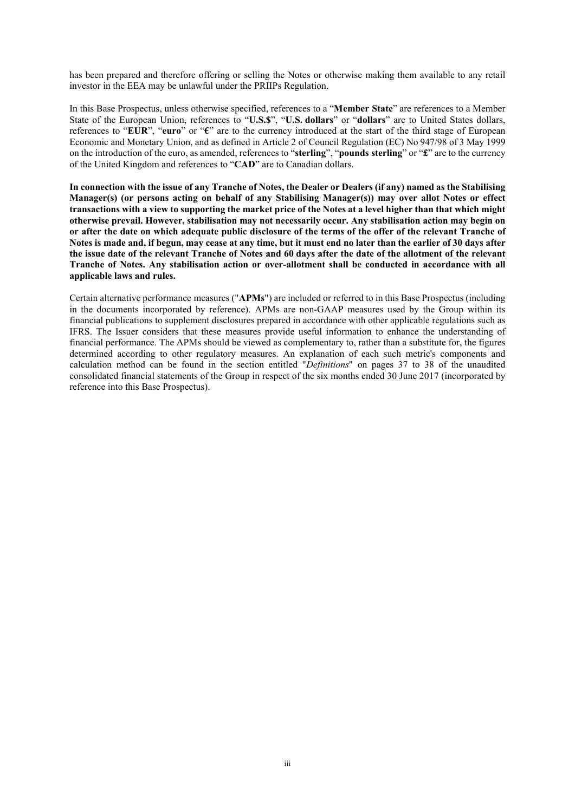has been prepared and therefore offering or selling the Notes or otherwise making them available to any retail investor in the EEA may be unlawful under the PRIIPs Regulation.

In this Base Prospectus, unless otherwise specified, references to a "**Member State**" are references to a Member State of the European Union, references to "**U.S.\$**", "**U.S. dollars**" or "**dollars**" are to United States dollars, references to "**EUR**", "**euro**" or "**€**" are to the currency introduced at the start of the third stage of European Economic and Monetary Union, and as defined in Article 2 of Council Regulation (EC) No 947/98 of 3 May 1999 on the introduction of the euro, as amended, references to "**sterling**", "**pounds sterling**" or "**£**" are to the currency of the United Kingdom and references to "**CAD**" are to Canadian dollars.

**In connection with the issue of any Tranche of Notes, the Dealer or Dealers (if any) named as the Stabilising Manager(s) (or persons acting on behalf of any Stabilising Manager(s)) may over allot Notes or effect transactions with a view to supporting the market price of the Notes at a level higher than that which might otherwise prevail. However, stabilisation may not necessarily occur. Any stabilisation action may begin on or after the date on which adequate public disclosure of the terms of the offer of the relevant Tranche of Notes is made and, if begun, may cease at any time, but it must end no later than the earlier of 30 days after the issue date of the relevant Tranche of Notes and 60 days after the date of the allotment of the relevant Tranche of Notes. Any stabilisation action or over-allotment shall be conducted in accordance with all applicable laws and rules.**

Certain alternative performance measures ("**APMs**") are included or referred to in this Base Prospectus (including in the documents incorporated by reference). APMs are non-GAAP measures used by the Group within its financial publications to supplement disclosures prepared in accordance with other applicable regulations such as IFRS. The Issuer considers that these measures provide useful information to enhance the understanding of financial performance. The APMs should be viewed as complementary to, rather than a substitute for, the figures determined according to other regulatory measures. An explanation of each such metric's components and calculation method can be found in the section entitled "*Definitions*" on pages 37 to 38 of the unaudited consolidated financial statements of the Group in respect of the six months ended 30 June 2017 (incorporated by reference into this Base Prospectus).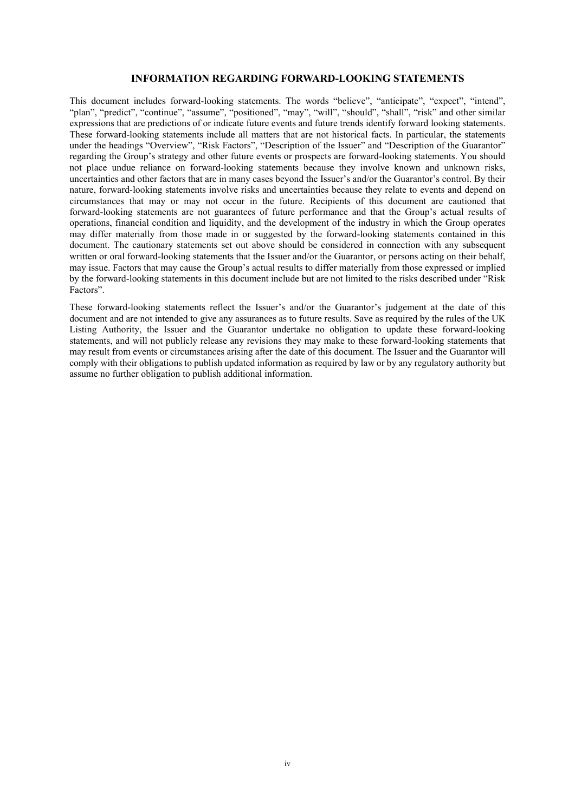#### **INFORMATION REGARDING FORWARD-LOOKING STATEMENTS**

This document includes forward-looking statements. The words "believe", "anticipate", "expect", "intend", "plan", "predict", "continue", "assume", "positioned", "may", "will", "should", "shall", "risk" and other similar expressions that are predictions of or indicate future events and future trends identify forward looking statements. These forward-looking statements include all matters that are not historical facts. In particular, the statements under the headings "Overview", "Risk Factors", "Description of the Issuer" and "Description of the Guarantor" regarding the Group's strategy and other future events or prospects are forward-looking statements. You should not place undue reliance on forward-looking statements because they involve known and unknown risks, uncertainties and other factors that are in many cases beyond the Issuer's and/or the Guarantor's control. By their nature, forward-looking statements involve risks and uncertainties because they relate to events and depend on circumstances that may or may not occur in the future. Recipients of this document are cautioned that forward-looking statements are not guarantees of future performance and that the Group's actual results of operations, financial condition and liquidity, and the development of the industry in which the Group operates may differ materially from those made in or suggested by the forward-looking statements contained in this document. The cautionary statements set out above should be considered in connection with any subsequent written or oral forward-looking statements that the Issuer and/or the Guarantor, or persons acting on their behalf, may issue. Factors that may cause the Group's actual results to differ materially from those expressed or implied by the forward-looking statements in this document include but are not limited to the risks described under "Risk Factors".

These forward-looking statements reflect the Issuer's and/or the Guarantor's judgement at the date of this document and are not intended to give any assurances as to future results. Save as required by the rules of the UK Listing Authority, the Issuer and the Guarantor undertake no obligation to update these forward-looking statements, and will not publicly release any revisions they may make to these forward-looking statements that may result from events or circumstances arising after the date of this document. The Issuer and the Guarantor will comply with their obligations to publish updated information as required by law or by any regulatory authority but assume no further obligation to publish additional information.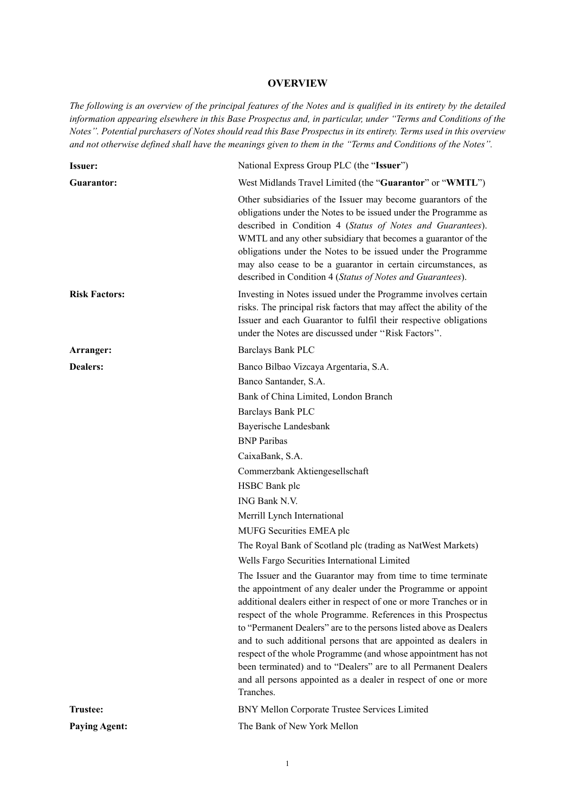# **OVERVIEW**

*The following is an overview of the principal features of the Notes and is qualified in its entirety by the detailed information appearing elsewhere in this Base Prospectus and, in particular, under ''Terms and Conditions of the Notes''. Potential purchasers of Notes should read this Base Prospectus in its entirety. Terms used in this overview and not otherwise defined shall have the meanings given to them in the ''Terms and Conditions of the Notes''.*

| <b>Issuer:</b>       | National Express Group PLC (the "Issuer")                                                                                                                                                                                                                                                                                                                                                                                                                                                                                                                                                                                      |
|----------------------|--------------------------------------------------------------------------------------------------------------------------------------------------------------------------------------------------------------------------------------------------------------------------------------------------------------------------------------------------------------------------------------------------------------------------------------------------------------------------------------------------------------------------------------------------------------------------------------------------------------------------------|
| Guarantor:           | West Midlands Travel Limited (the "Guarantor" or "WMTL")                                                                                                                                                                                                                                                                                                                                                                                                                                                                                                                                                                       |
|                      | Other subsidiaries of the Issuer may become guarantors of the<br>obligations under the Notes to be issued under the Programme as<br>described in Condition 4 (Status of Notes and Guarantees).<br>WMTL and any other subsidiary that becomes a guarantor of the<br>obligations under the Notes to be issued under the Programme<br>may also cease to be a guarantor in certain circumstances, as<br>described in Condition 4 (Status of Notes and Guarantees).                                                                                                                                                                 |
| <b>Risk Factors:</b> | Investing in Notes issued under the Programme involves certain<br>risks. The principal risk factors that may affect the ability of the<br>Issuer and each Guarantor to fulfil their respective obligations<br>under the Notes are discussed under "Risk Factors".                                                                                                                                                                                                                                                                                                                                                              |
| Arranger:            | Barclays Bank PLC                                                                                                                                                                                                                                                                                                                                                                                                                                                                                                                                                                                                              |
| Dealers:             | Banco Bilbao Vizcaya Argentaria, S.A.                                                                                                                                                                                                                                                                                                                                                                                                                                                                                                                                                                                          |
|                      | Banco Santander, S.A.                                                                                                                                                                                                                                                                                                                                                                                                                                                                                                                                                                                                          |
|                      | Bank of China Limited, London Branch                                                                                                                                                                                                                                                                                                                                                                                                                                                                                                                                                                                           |
|                      | <b>Barclays Bank PLC</b>                                                                                                                                                                                                                                                                                                                                                                                                                                                                                                                                                                                                       |
|                      | Bayerische Landesbank                                                                                                                                                                                                                                                                                                                                                                                                                                                                                                                                                                                                          |
|                      | <b>BNP</b> Paribas                                                                                                                                                                                                                                                                                                                                                                                                                                                                                                                                                                                                             |
|                      | CaixaBank, S.A.                                                                                                                                                                                                                                                                                                                                                                                                                                                                                                                                                                                                                |
|                      | Commerzbank Aktiengesellschaft                                                                                                                                                                                                                                                                                                                                                                                                                                                                                                                                                                                                 |
|                      | HSBC Bank plc                                                                                                                                                                                                                                                                                                                                                                                                                                                                                                                                                                                                                  |
|                      | ING Bank N.V.                                                                                                                                                                                                                                                                                                                                                                                                                                                                                                                                                                                                                  |
|                      | Merrill Lynch International                                                                                                                                                                                                                                                                                                                                                                                                                                                                                                                                                                                                    |
|                      | MUFG Securities EMEA plc                                                                                                                                                                                                                                                                                                                                                                                                                                                                                                                                                                                                       |
|                      | The Royal Bank of Scotland plc (trading as NatWest Markets)                                                                                                                                                                                                                                                                                                                                                                                                                                                                                                                                                                    |
|                      | Wells Fargo Securities International Limited                                                                                                                                                                                                                                                                                                                                                                                                                                                                                                                                                                                   |
|                      | The Issuer and the Guarantor may from time to time terminate<br>the appointment of any dealer under the Programme or appoint<br>additional dealers either in respect of one or more Tranches or in<br>respect of the whole Programme. References in this Prospectus<br>to "Permanent Dealers" are to the persons listed above as Dealers<br>and to such additional persons that are appointed as dealers in<br>respect of the whole Programme (and whose appointment has not<br>been terminated) and to "Dealers" are to all Permanent Dealers<br>and all persons appointed as a dealer in respect of one or more<br>Tranches. |
| <b>Trustee:</b>      | BNY Mellon Corporate Trustee Services Limited                                                                                                                                                                                                                                                                                                                                                                                                                                                                                                                                                                                  |
| <b>Paying Agent:</b> | The Bank of New York Mellon                                                                                                                                                                                                                                                                                                                                                                                                                                                                                                                                                                                                    |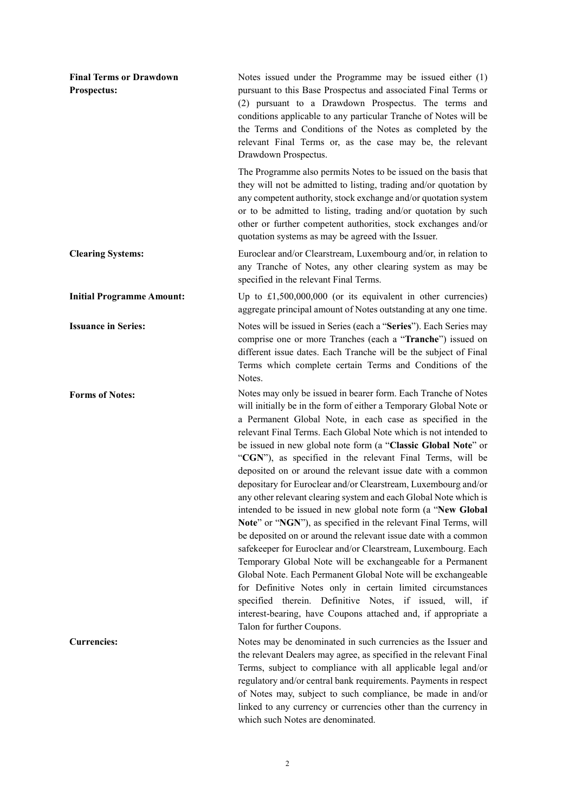| <b>Final Terms or Drawdown</b><br><b>Prospectus:</b> | Notes issued under the Programme may be issued either (1)<br>pursuant to this Base Prospectus and associated Final Terms or<br>(2) pursuant to a Drawdown Prospectus. The terms and<br>conditions applicable to any particular Tranche of Notes will be<br>the Terms and Conditions of the Notes as completed by the<br>relevant Final Terms or, as the case may be, the relevant<br>Drawdown Prospectus.                                                                                                                                                                                                                                                                                                                                                                                                                                                                                                                                                                                                                                                                                                                                                                                                                              |
|------------------------------------------------------|----------------------------------------------------------------------------------------------------------------------------------------------------------------------------------------------------------------------------------------------------------------------------------------------------------------------------------------------------------------------------------------------------------------------------------------------------------------------------------------------------------------------------------------------------------------------------------------------------------------------------------------------------------------------------------------------------------------------------------------------------------------------------------------------------------------------------------------------------------------------------------------------------------------------------------------------------------------------------------------------------------------------------------------------------------------------------------------------------------------------------------------------------------------------------------------------------------------------------------------|
|                                                      | The Programme also permits Notes to be issued on the basis that<br>they will not be admitted to listing, trading and/or quotation by<br>any competent authority, stock exchange and/or quotation system<br>or to be admitted to listing, trading and/or quotation by such<br>other or further competent authorities, stock exchanges and/or<br>quotation systems as may be agreed with the Issuer.                                                                                                                                                                                                                                                                                                                                                                                                                                                                                                                                                                                                                                                                                                                                                                                                                                     |
| <b>Clearing Systems:</b>                             | Euroclear and/or Clearstream, Luxembourg and/or, in relation to<br>any Tranche of Notes, any other clearing system as may be<br>specified in the relevant Final Terms.                                                                                                                                                                                                                                                                                                                                                                                                                                                                                                                                                                                                                                                                                                                                                                                                                                                                                                                                                                                                                                                                 |
| <b>Initial Programme Amount:</b>                     | Up to $£1,500,000,000$ (or its equivalent in other currencies)<br>aggregate principal amount of Notes outstanding at any one time.                                                                                                                                                                                                                                                                                                                                                                                                                                                                                                                                                                                                                                                                                                                                                                                                                                                                                                                                                                                                                                                                                                     |
| <b>Issuance in Series:</b>                           | Notes will be issued in Series (each a "Series"). Each Series may<br>comprise one or more Tranches (each a "Tranche") issued on<br>different issue dates. Each Tranche will be the subject of Final<br>Terms which complete certain Terms and Conditions of the<br>Notes.                                                                                                                                                                                                                                                                                                                                                                                                                                                                                                                                                                                                                                                                                                                                                                                                                                                                                                                                                              |
| <b>Forms of Notes:</b>                               | Notes may only be issued in bearer form. Each Tranche of Notes<br>will initially be in the form of either a Temporary Global Note or<br>a Permanent Global Note, in each case as specified in the<br>relevant Final Terms. Each Global Note which is not intended to<br>be issued in new global note form (a "Classic Global Note" or<br>"CGN"), as specified in the relevant Final Terms, will be<br>deposited on or around the relevant issue date with a common<br>depositary for Euroclear and/or Clearstream, Luxembourg and/or<br>any other relevant clearing system and each Global Note which is<br>intended to be issued in new global note form (a "New Global<br>Note" or "NGN"), as specified in the relevant Final Terms, will<br>be deposited on or around the relevant issue date with a common<br>safekeeper for Euroclear and/or Clearstream, Luxembourg. Each<br>Temporary Global Note will be exchangeable for a Permanent<br>Global Note. Each Permanent Global Note will be exchangeable<br>for Definitive Notes only in certain limited circumstances<br>specified therein. Definitive Notes, if issued, will, if<br>interest-bearing, have Coupons attached and, if appropriate a<br>Talon for further Coupons. |
| <b>Currencies:</b>                                   | Notes may be denominated in such currencies as the Issuer and<br>the relevant Dealers may agree, as specified in the relevant Final<br>Terms, subject to compliance with all applicable legal and/or<br>regulatory and/or central bank requirements. Payments in respect<br>of Notes may, subject to such compliance, be made in and/or<br>linked to any currency or currencies other than the currency in<br>which such Notes are denominated.                                                                                                                                                                                                                                                                                                                                                                                                                                                                                                                                                                                                                                                                                                                                                                                        |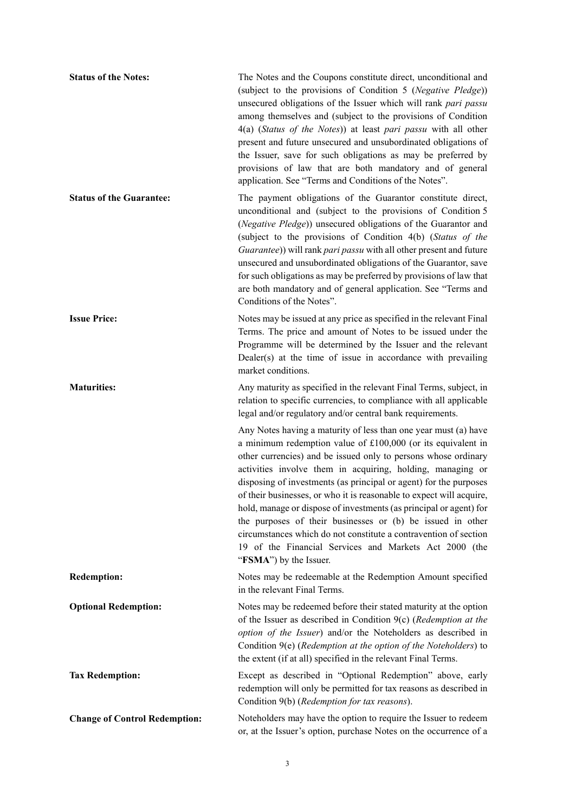| <b>Status of the Notes:</b>          | The Notes and the Coupons constitute direct, unconditional and<br>(subject to the provisions of Condition 5 (Negative Pledge))<br>unsecured obligations of the Issuer which will rank pari passu<br>among themselves and (subject to the provisions of Condition<br>4(a) (Status of the Notes)) at least pari passu with all other<br>present and future unsecured and unsubordinated obligations of<br>the Issuer, save for such obligations as may be preferred by<br>provisions of law that are both mandatory and of general<br>application. See "Terms and Conditions of the Notes".                                                                                                                |
|--------------------------------------|----------------------------------------------------------------------------------------------------------------------------------------------------------------------------------------------------------------------------------------------------------------------------------------------------------------------------------------------------------------------------------------------------------------------------------------------------------------------------------------------------------------------------------------------------------------------------------------------------------------------------------------------------------------------------------------------------------|
| <b>Status of the Guarantee:</b>      | The payment obligations of the Guarantor constitute direct,<br>unconditional and (subject to the provisions of Condition 5<br>(Negative Pledge)) unsecured obligations of the Guarantor and<br>(subject to the provisions of Condition 4(b) (Status of the<br>Guarantee)) will rank pari passu with all other present and future<br>unsecured and unsubordinated obligations of the Guarantor, save<br>for such obligations as may be preferred by provisions of law that<br>are both mandatory and of general application. See "Terms and<br>Conditions of the Notes".                                                                                                                                  |
| <b>Issue Price:</b>                  | Notes may be issued at any price as specified in the relevant Final<br>Terms. The price and amount of Notes to be issued under the<br>Programme will be determined by the Issuer and the relevant<br>Dealer(s) at the time of issue in accordance with prevailing<br>market conditions.                                                                                                                                                                                                                                                                                                                                                                                                                  |
| <b>Maturities:</b>                   | Any maturity as specified in the relevant Final Terms, subject, in<br>relation to specific currencies, to compliance with all applicable<br>legal and/or regulatory and/or central bank requirements.                                                                                                                                                                                                                                                                                                                                                                                                                                                                                                    |
|                                      | Any Notes having a maturity of less than one year must (a) have<br>a minimum redemption value of £100,000 (or its equivalent in<br>other currencies) and be issued only to persons whose ordinary<br>activities involve them in acquiring, holding, managing or<br>disposing of investments (as principal or agent) for the purposes<br>of their businesses, or who it is reasonable to expect will acquire,<br>hold, manage or dispose of investments (as principal or agent) for<br>the purposes of their businesses or (b) be issued in other<br>circumstances which do not constitute a contravention of section<br>19 of the Financial Services and Markets Act 2000 (the<br>"FSMA") by the Issuer. |
| <b>Redemption:</b>                   | Notes may be redeemable at the Redemption Amount specified<br>in the relevant Final Terms.                                                                                                                                                                                                                                                                                                                                                                                                                                                                                                                                                                                                               |
| <b>Optional Redemption:</b>          | Notes may be redeemed before their stated maturity at the option<br>of the Issuer as described in Condition $9(c)$ (Redemption at the<br>option of the Issuer) and/or the Noteholders as described in<br>Condition 9(e) (Redemption at the option of the Noteholders) to<br>the extent (if at all) specified in the relevant Final Terms.                                                                                                                                                                                                                                                                                                                                                                |
| <b>Tax Redemption:</b>               | Except as described in "Optional Redemption" above, early<br>redemption will only be permitted for tax reasons as described in<br>Condition 9(b) (Redemption for tax reasons).                                                                                                                                                                                                                                                                                                                                                                                                                                                                                                                           |
| <b>Change of Control Redemption:</b> | Noteholders may have the option to require the Issuer to redeem<br>or, at the Issuer's option, purchase Notes on the occurrence of a                                                                                                                                                                                                                                                                                                                                                                                                                                                                                                                                                                     |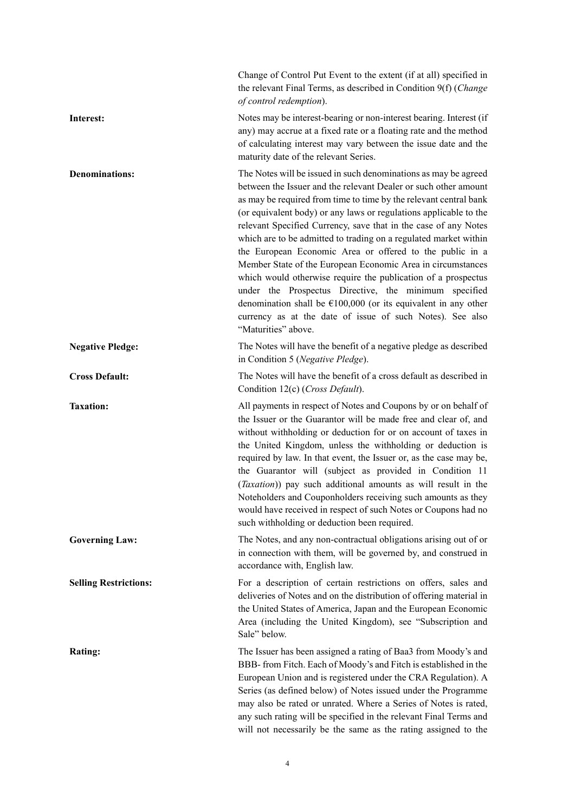|                              | Change of Control Put Event to the extent (if at all) specified in<br>the relevant Final Terms, as described in Condition 9(f) (Change<br>of control redemption).                                                                                                                                                                                                                                                                                                                                                                                                                                                                                                                                                                                                                                                                |
|------------------------------|----------------------------------------------------------------------------------------------------------------------------------------------------------------------------------------------------------------------------------------------------------------------------------------------------------------------------------------------------------------------------------------------------------------------------------------------------------------------------------------------------------------------------------------------------------------------------------------------------------------------------------------------------------------------------------------------------------------------------------------------------------------------------------------------------------------------------------|
| Interest:                    | Notes may be interest-bearing or non-interest bearing. Interest (if<br>any) may accrue at a fixed rate or a floating rate and the method<br>of calculating interest may vary between the issue date and the<br>maturity date of the relevant Series.                                                                                                                                                                                                                                                                                                                                                                                                                                                                                                                                                                             |
| <b>Denominations:</b>        | The Notes will be issued in such denominations as may be agreed<br>between the Issuer and the relevant Dealer or such other amount<br>as may be required from time to time by the relevant central bank<br>(or equivalent body) or any laws or regulations applicable to the<br>relevant Specified Currency, save that in the case of any Notes<br>which are to be admitted to trading on a regulated market within<br>the European Economic Area or offered to the public in a<br>Member State of the European Economic Area in circumstances<br>which would otherwise require the publication of a prospectus<br>under the Prospectus Directive, the minimum specified<br>denomination shall be $E100,000$ (or its equivalent in any other<br>currency as at the date of issue of such Notes). See also<br>"Maturities" above. |
| <b>Negative Pledge:</b>      | The Notes will have the benefit of a negative pledge as described<br>in Condition 5 (Negative Pledge).                                                                                                                                                                                                                                                                                                                                                                                                                                                                                                                                                                                                                                                                                                                           |
| <b>Cross Default:</b>        | The Notes will have the benefit of a cross default as described in<br>Condition 12(c) (Cross Default).                                                                                                                                                                                                                                                                                                                                                                                                                                                                                                                                                                                                                                                                                                                           |
| <b>Taxation:</b>             | All payments in respect of Notes and Coupons by or on behalf of<br>the Issuer or the Guarantor will be made free and clear of, and<br>without withholding or deduction for or on account of taxes in<br>the United Kingdom, unless the withholding or deduction is<br>required by law. In that event, the Issuer or, as the case may be,<br>the Guarantor will (subject as provided in Condition 11<br>(Taxation)) pay such additional amounts as will result in the<br>Noteholders and Couponholders receiving such amounts as they<br>would have received in respect of such Notes or Coupons had no<br>such withholding or deduction been required.                                                                                                                                                                           |
| <b>Governing Law:</b>        | The Notes, and any non-contractual obligations arising out of or<br>in connection with them, will be governed by, and construed in<br>accordance with, English law.                                                                                                                                                                                                                                                                                                                                                                                                                                                                                                                                                                                                                                                              |
| <b>Selling Restrictions:</b> | For a description of certain restrictions on offers, sales and<br>deliveries of Notes and on the distribution of offering material in<br>the United States of America, Japan and the European Economic<br>Area (including the United Kingdom), see "Subscription and<br>Sale" below.                                                                                                                                                                                                                                                                                                                                                                                                                                                                                                                                             |
| Rating:                      | The Issuer has been assigned a rating of Baa3 from Moody's and<br>BBB- from Fitch. Each of Moody's and Fitch is established in the<br>European Union and is registered under the CRA Regulation). A<br>Series (as defined below) of Notes issued under the Programme<br>may also be rated or unrated. Where a Series of Notes is rated,<br>any such rating will be specified in the relevant Final Terms and<br>will not necessarily be the same as the rating assigned to the                                                                                                                                                                                                                                                                                                                                                   |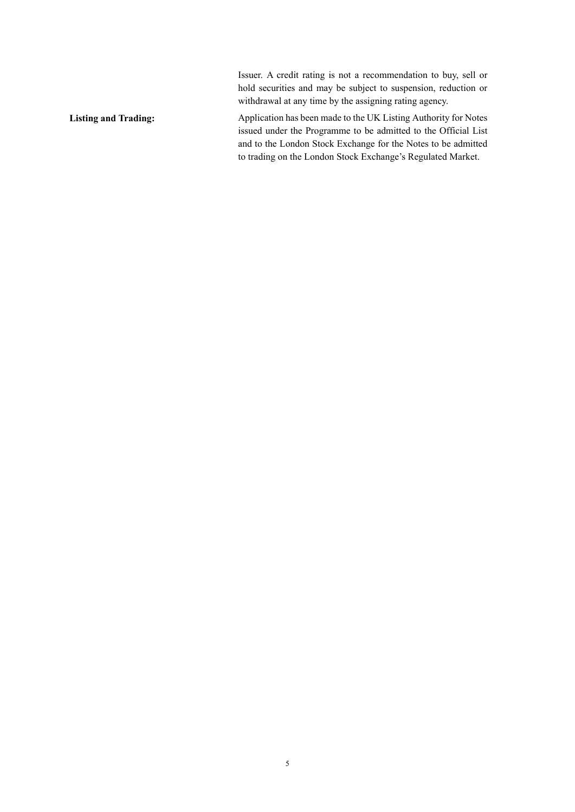Issuer. A credit rating is not a recommendation to buy, sell or hold securities and may be subject to suspension, reduction or withdrawal at any time by the assigning rating agency.

Listing and Trading: Application has been made to the UK Listing Authority for Notes issued under the Programme to be admitted to the Official List and to the London Stock Exchange for the Notes to be admitted to trading on the London Stock Exchange's Regulated Market.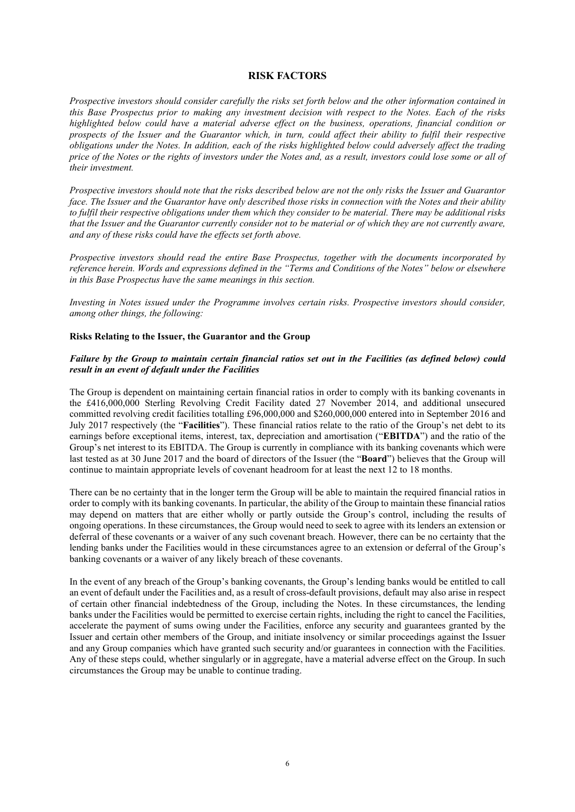#### **RISK FACTORS**

*Prospective investors should consider carefully the risks set forth below and the other information contained in this Base Prospectus prior to making any investment decision with respect to the Notes. Each of the risks highlighted below could have a material adverse effect on the business, operations, financial condition or prospects of the Issuer and the Guarantor which, in turn, could affect their ability to fulfil their respective obligations under the Notes. In addition, each of the risks highlighted below could adversely affect the trading price of the Notes or the rights of investors under the Notes and, as a result, investors could lose some or all of their investment.*

*Prospective investors should note that the risks described below are not the only risks the Issuer and Guarantor face. The Issuer and the Guarantor have only described those risks in connection with the Notes and their ability to fulfil their respective obligations under them which they consider to be material. There may be additional risks that the Issuer and the Guarantor currently consider not to be material or of which they are not currently aware, and any of these risks could have the effects set forth above.*

*Prospective investors should read the entire Base Prospectus, together with the documents incorporated by reference herein. Words and expressions defined in the "Terms and Conditions of the Notes" below or elsewhere in this Base Prospectus have the same meanings in this section.*

*Investing in Notes issued under the Programme involves certain risks. Prospective investors should consider, among other things, the following:*

#### **Risks Relating to the Issuer, the Guarantor and the Group**

# *Failure by the Group to maintain certain financial ratios set out in the Facilities (as defined below) could result in an event of default under the Facilities*

The Group is dependent on maintaining certain financial ratios in order to comply with its banking covenants in the £416,000,000 Sterling Revolving Credit Facility dated 27 November 2014, and additional unsecured committed revolving credit facilities totalling £96,000,000 and \$260,000,000 entered into in September 2016 and July 2017 respectively (the "**Facilities**"). These financial ratios relate to the ratio of the Group's net debt to its earnings before exceptional items, interest, tax, depreciation and amortisation ("**EBITDA**") and the ratio of the Group's net interest to its EBITDA. The Group is currently in compliance with its banking covenants which were last tested as at 30 June 2017 and the board of directors of the Issuer (the "**Board**") believes that the Group will continue to maintain appropriate levels of covenant headroom for at least the next 12 to 18 months.

There can be no certainty that in the longer term the Group will be able to maintain the required financial ratios in order to comply with its banking covenants. In particular, the ability of the Group to maintain these financial ratios may depend on matters that are either wholly or partly outside the Group's control, including the results of ongoing operations. In these circumstances, the Group would need to seek to agree with its lenders an extension or deferral of these covenants or a waiver of any such covenant breach. However, there can be no certainty that the lending banks under the Facilities would in these circumstances agree to an extension or deferral of the Group's banking covenants or a waiver of any likely breach of these covenants.

In the event of any breach of the Group's banking covenants, the Group's lending banks would be entitled to call an event of default under the Facilities and, as a result of cross-default provisions, default may also arise in respect of certain other financial indebtedness of the Group, including the Notes. In these circumstances, the lending banks under the Facilities would be permitted to exercise certain rights, including the right to cancel the Facilities, accelerate the payment of sums owing under the Facilities, enforce any security and guarantees granted by the Issuer and certain other members of the Group, and initiate insolvency or similar proceedings against the Issuer and any Group companies which have granted such security and/or guarantees in connection with the Facilities. Any of these steps could, whether singularly or in aggregate, have a material adverse effect on the Group. In such circumstances the Group may be unable to continue trading.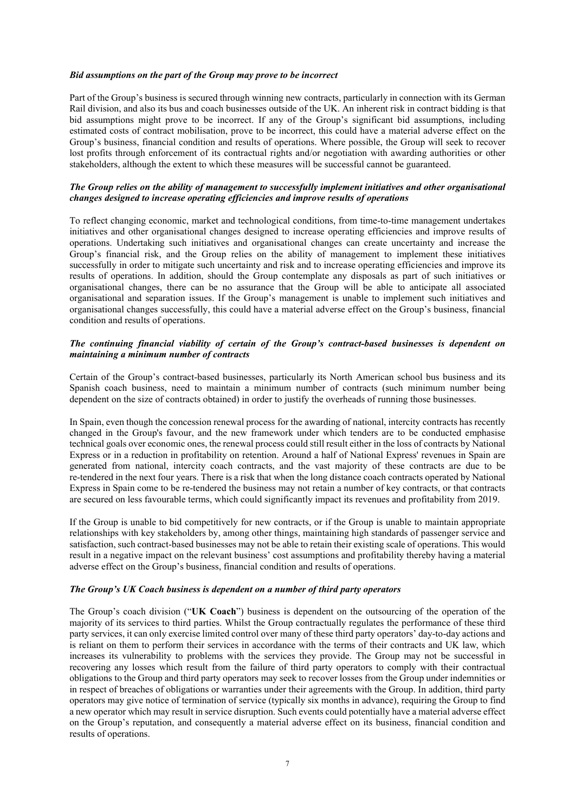#### *Bid assumptions on the part of the Group may prove to be incorrect*

Part of the Group's business is secured through winning new contracts, particularly in connection with its German Rail division, and also its bus and coach businesses outside of the UK. An inherent risk in contract bidding is that bid assumptions might prove to be incorrect. If any of the Group's significant bid assumptions, including estimated costs of contract mobilisation, prove to be incorrect, this could have a material adverse effect on the Group's business, financial condition and results of operations. Where possible, the Group will seek to recover lost profits through enforcement of its contractual rights and/or negotiation with awarding authorities or other stakeholders, although the extent to which these measures will be successful cannot be guaranteed.

#### *The Group relies on the ability of management to successfully implement initiatives and other organisational changes designed to increase operating efficiencies and improve results of operations*

To reflect changing economic, market and technological conditions, from time-to-time management undertakes initiatives and other organisational changes designed to increase operating efficiencies and improve results of operations. Undertaking such initiatives and organisational changes can create uncertainty and increase the Group's financial risk, and the Group relies on the ability of management to implement these initiatives successfully in order to mitigate such uncertainty and risk and to increase operating efficiencies and improve its results of operations. In addition, should the Group contemplate any disposals as part of such initiatives or organisational changes, there can be no assurance that the Group will be able to anticipate all associated organisational and separation issues. If the Group's management is unable to implement such initiatives and organisational changes successfully, this could have a material adverse effect on the Group's business, financial condition and results of operations.

# *The continuing financial viability of certain of the Group's contract-based businesses is dependent on maintaining a minimum number of contracts*

Certain of the Group's contract-based businesses, particularly its North American school bus business and its Spanish coach business, need to maintain a minimum number of contracts (such minimum number being dependent on the size of contracts obtained) in order to justify the overheads of running those businesses.

In Spain, even though the concession renewal process for the awarding of national, intercity contracts has recently changed in the Group's favour, and the new framework under which tenders are to be conducted emphasise technical goals over economic ones, the renewal process could still result either in the loss of contracts by National Express or in a reduction in profitability on retention. Around a half of National Express' revenues in Spain are generated from national, intercity coach contracts, and the vast majority of these contracts are due to be re-tendered in the next four years. There is a risk that when the long distance coach contracts operated by National Express in Spain come to be re-tendered the business may not retain a number of key contracts, or that contracts are secured on less favourable terms, which could significantly impact its revenues and profitability from 2019.

If the Group is unable to bid competitively for new contracts, or if the Group is unable to maintain appropriate relationships with key stakeholders by, among other things, maintaining high standards of passenger service and satisfaction, such contract-based businesses may not be able to retain their existing scale of operations. This would result in a negative impact on the relevant business' cost assumptions and profitability thereby having a material adverse effect on the Group's business, financial condition and results of operations.

# *The Group's UK Coach business is dependent on a number of third party operators*

The Group's coach division ("**UK Coach**") business is dependent on the outsourcing of the operation of the majority of its services to third parties. Whilst the Group contractually regulates the performance of these third party services, it can only exercise limited control over many of these third party operators' day-to-day actions and is reliant on them to perform their services in accordance with the terms of their contracts and UK law, which increases its vulnerability to problems with the services they provide. The Group may not be successful in recovering any losses which result from the failure of third party operators to comply with their contractual obligations to the Group and third party operators may seek to recover losses from the Group under indemnities or in respect of breaches of obligations or warranties under their agreements with the Group. In addition, third party operators may give notice of termination of service (typically six months in advance), requiring the Group to find a new operator which may result in service disruption. Such events could potentially have a material adverse effect on the Group's reputation, and consequently a material adverse effect on its business, financial condition and results of operations.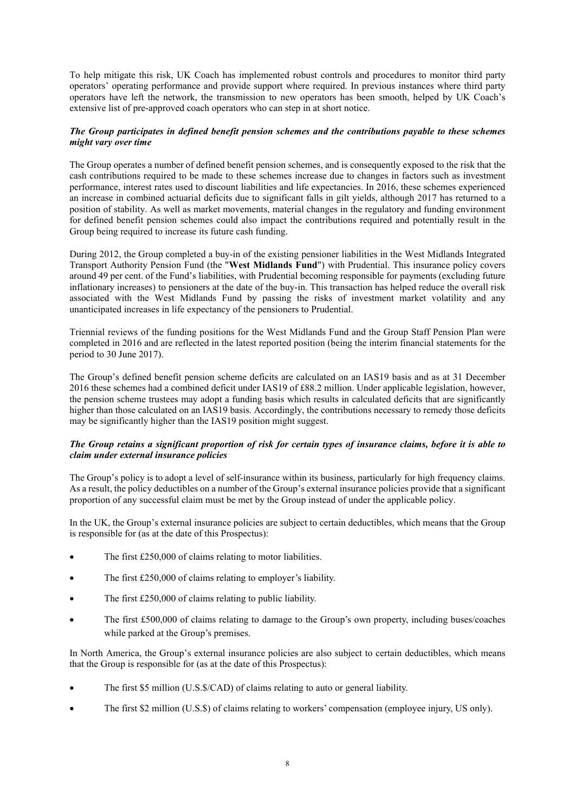To help mitigate this risk, UK Coach has implemented robust controls and procedures to monitor third party operators' operating performance and provide support where required. In previous instances where third party operators have left the network, the transmission to new operators has been smooth, helped by UK Coach's extensive list of pre-approved coach operators who can step in at short notice.

# *The Group participates in defined benefit pension schemes and the contributions payable to these schemes might vary over time*

The Group operates a number of defined benefit pension schemes, and is consequently exposed to the risk that the cash contributions required to be made to these schemes increase due to changes in factors such as investment performance, interest rates used to discount liabilities and life expectancies. In 2016, these schemes experienced an increase in combined actuarial deficits due to significant falls in gilt yields, although 2017 has returned to a position of stability. As well as market movements, material changes in the regulatory and funding environment for defined benefit pension schemes could also impact the contributions required and potentially result in the Group being required to increase its future cash funding.

During 2012, the Group completed a buy-in of the existing pensioner liabilities in the West Midlands Integrated Transport Authority Pension Fund (the "**West Midlands Fund**") with Prudential. This insurance policy covers around 49 per cent. of the Fund's liabilities, with Prudential becoming responsible for payments (excluding future inflationary increases) to pensioners at the date of the buy-in. This transaction has helped reduce the overall risk associated with the West Midlands Fund by passing the risks of investment market volatility and any unanticipated increases in life expectancy of the pensioners to Prudential.

Triennial reviews of the funding positions for the West Midlands Fund and the Group Staff Pension Plan were completed in 2016 and are reflected in the latest reported position (being the interim financial statements for the period to 30 June 2017).

The Group's defined benefit pension scheme deficits are calculated on an IAS19 basis and as at 31 December 2016 these schemes had a combined deficit under IAS19 of £88.2 million. Under applicable legislation, however, the pension scheme trustees may adopt a funding basis which results in calculated deficits that are significantly higher than those calculated on an IAS19 basis. Accordingly, the contributions necessary to remedy those deficits may be significantly higher than the IAS19 position might suggest.

# *The Group retains a significant proportion of risk for certain types of insurance claims, before it is able to claim under external insurance policies*

The Group's policy is to adopt a level of self-insurance within its business, particularly for high frequency claims. As a result, the policy deductibles on a number of the Group's external insurance policies provide that a significant proportion of any successful claim must be met by the Group instead of under the applicable policy.

In the UK, the Group's external insurance policies are subject to certain deductibles, which means that the Group is responsible for (as at the date of this Prospectus):

- The first £250,000 of claims relating to motor liabilities.
- The first £250,000 of claims relating to employer's liability.
- The first £250,000 of claims relating to public liability.
- The first £500,000 of claims relating to damage to the Group's own property, including buses/coaches while parked at the Group's premises.

In North America, the Group's external insurance policies are also subject to certain deductibles, which means that the Group is responsible for (as at the date of this Prospectus):

- The first \$5 million (U.S.\$/CAD) of claims relating to auto or general liability.
- The first \$2 million (U.S.\$) of claims relating to workers' compensation (employee injury, US only).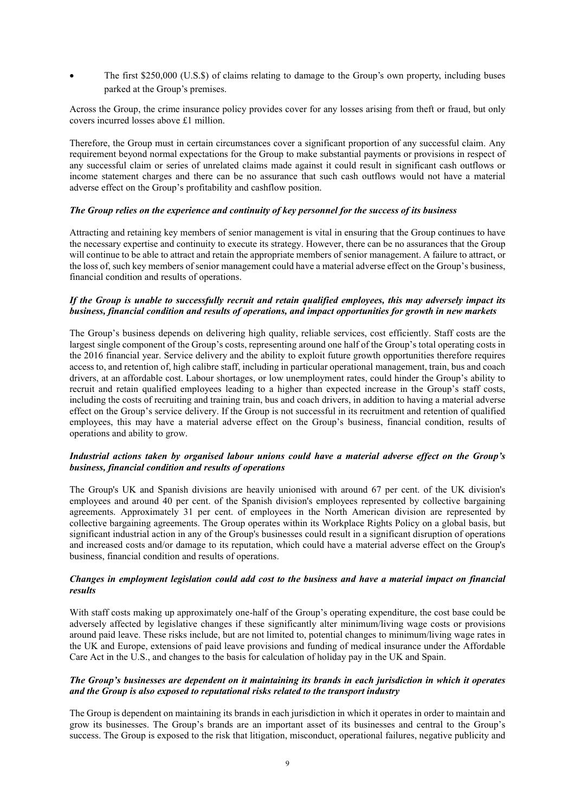The first \$250,000 (U.S.\$) of claims relating to damage to the Group's own property, including buses parked at the Group's premises.

Across the Group, the crime insurance policy provides cover for any losses arising from theft or fraud, but only covers incurred losses above £1 million.

Therefore, the Group must in certain circumstances cover a significant proportion of any successful claim. Any requirement beyond normal expectations for the Group to make substantial payments or provisions in respect of any successful claim or series of unrelated claims made against it could result in significant cash outflows or income statement charges and there can be no assurance that such cash outflows would not have a material adverse effect on the Group's profitability and cashflow position.

#### *The Group relies on the experience and continuity of key personnel for the success of its business*

Attracting and retaining key members of senior management is vital in ensuring that the Group continues to have the necessary expertise and continuity to execute its strategy. However, there can be no assurances that the Group will continue to be able to attract and retain the appropriate members of senior management. A failure to attract, or the loss of, such key members of senior management could have a material adverse effect on the Group's business, financial condition and results of operations.

# *If the Group is unable to successfully recruit and retain qualified employees, this may adversely impact its business, financial condition and results of operations, and impact opportunities for growth in new markets*

The Group's business depends on delivering high quality, reliable services, cost efficiently. Staff costs are the largest single component of the Group's costs, representing around one half of the Group's total operating costs in the 2016 financial year. Service delivery and the ability to exploit future growth opportunities therefore requires access to, and retention of, high calibre staff, including in particular operational management, train, bus and coach drivers, at an affordable cost. Labour shortages, or low unemployment rates, could hinder the Group's ability to recruit and retain qualified employees leading to a higher than expected increase in the Group's staff costs, including the costs of recruiting and training train, bus and coach drivers, in addition to having a material adverse effect on the Group's service delivery. If the Group is not successful in its recruitment and retention of qualified employees, this may have a material adverse effect on the Group's business, financial condition, results of operations and ability to grow.

#### *Industrial actions taken by organised labour unions could have a material adverse effect on the Group's business, financial condition and results of operations*

The Group's UK and Spanish divisions are heavily unionised with around 67 per cent. of the UK division's employees and around 40 per cent. of the Spanish division's employees represented by collective bargaining agreements. Approximately 31 per cent. of employees in the North American division are represented by collective bargaining agreements. The Group operates within its Workplace Rights Policy on a global basis, but significant industrial action in any of the Group's businesses could result in a significant disruption of operations and increased costs and/or damage to its reputation, which could have a material adverse effect on the Group's business, financial condition and results of operations.

#### *Changes in employment legislation could add cost to the business and have a material impact on financial results*

With staff costs making up approximately one-half of the Group's operating expenditure, the cost base could be adversely affected by legislative changes if these significantly alter minimum/living wage costs or provisions around paid leave. These risks include, but are not limited to, potential changes to minimum/living wage rates in the UK and Europe, extensions of paid leave provisions and funding of medical insurance under the Affordable Care Act in the U.S., and changes to the basis for calculation of holiday pay in the UK and Spain.

#### *The Group's businesses are dependent on it maintaining its brands in each jurisdiction in which it operates and the Group is also exposed to reputational risks related to the transport industry*

The Group is dependent on maintaining its brands in each jurisdiction in which it operates in order to maintain and grow its businesses. The Group's brands are an important asset of its businesses and central to the Group's success. The Group is exposed to the risk that litigation, misconduct, operational failures, negative publicity and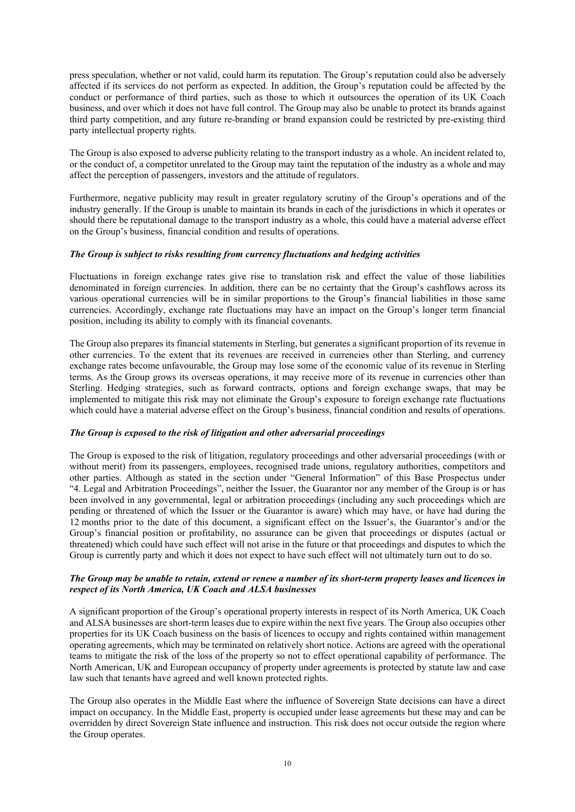press speculation, whether or not valid, could harm its reputation. The Group's reputation could also be adversely affected if its services do not perform as expected. In addition, the Group's reputation could be affected by the conduct or performance of third parties, such as those to which it outsources the operation of its UK Coach business, and over which it does not have full control. The Group may also be unable to protect its brands against third party competition, and any future re-branding or brand expansion could be restricted by pre-existing third party intellectual property rights.

The Group is also exposed to adverse publicity relating to the transport industry as a whole. An incident related to, or the conduct of, a competitor unrelated to the Group may taint the reputation of the industry as a whole and may affect the perception of passengers, investors and the attitude of regulators.

Furthermore, negative publicity may result in greater regulatory scrutiny of the Group's operations and of the industry generally. If the Group is unable to maintain its brands in each of the jurisdictions in which it operates or should there be reputational damage to the transport industry as a whole, this could have a material adverse effect on the Group's business, financial condition and results of operations.

# *The Group is subject to risks resulting from currency fluctuations and hedging activities*

Fluctuations in foreign exchange rates give rise to translation risk and effect the value of those liabilities denominated in foreign currencies. In addition, there can be no certainty that the Group's cashflows across its various operational currencies will be in similar proportions to the Group's financial liabilities in those same currencies. Accordingly, exchange rate fluctuations may have an impact on the Group's longer term financial position, including its ability to comply with its financial covenants.

The Group also prepares its financial statements in Sterling, but generates a significant proportion of its revenue in other currencies. To the extent that its revenues are received in currencies other than Sterling, and currency exchange rates become unfavourable, the Group may lose some of the economic value of its revenue in Sterling terms. As the Group grows its overseas operations, it may receive more of its revenue in currencies other than Sterling. Hedging strategies, such as forward contracts, options and foreign exchange swaps, that may be implemented to mitigate this risk may not eliminate the Group's exposure to foreign exchange rate fluctuations which could have a material adverse effect on the Group's business, financial condition and results of operations.

# *The Group is exposed to the risk of litigation and other adversarial proceedings*

The Group is exposed to the risk of litigation, regulatory proceedings and other adversarial proceedings (with or without merit) from its passengers, employees, recognised trade unions, regulatory authorities, competitors and other parties. Although as stated in the section under "General Information" of this Base Prospectus under "4. Legal and Arbitration Proceedings", neither the Issuer, the Guarantor nor any member of the Group is or has been involved in any governmental, legal or arbitration proceedings (including any such proceedings which are pending or threatened of which the Issuer or the Guarantor is aware) which may have, or have had during the 12 months prior to the date of this document, a significant effect on the Issuer's, the Guarantor's and/or the Group's financial position or profitability, no assurance can be given that proceedings or disputes (actual or threatened) which could have such effect will not arise in the future or that proceedings and disputes to which the Group is currently party and which it does not expect to have such effect will not ultimately turn out to do so.

# *The Group may be unable to retain, extend or renew a number of its short-term property leases and licences in respect of its North America, UK Coach and ALSA businesses*

A significant proportion of the Group's operational property interests in respect of its North America, UK Coach and ALSA businesses are short-term leases due to expire within the next five years. The Group also occupies other properties for its UK Coach business on the basis of licences to occupy and rights contained within management operating agreements, which may be terminated on relatively short notice. Actions are agreed with the operational teams to mitigate the risk of the loss of the property so not to effect operational capability of performance. The North American, UK and European occupancy of property under agreements is protected by statute law and case law such that tenants have agreed and well known protected rights.

The Group also operates in the Middle East where the influence of Sovereign State decisions can have a direct impact on occupancy. In the Middle East, property is occupied under lease agreements but these may and can be overridden by direct Sovereign State influence and instruction. This risk does not occur outside the region where the Group operates.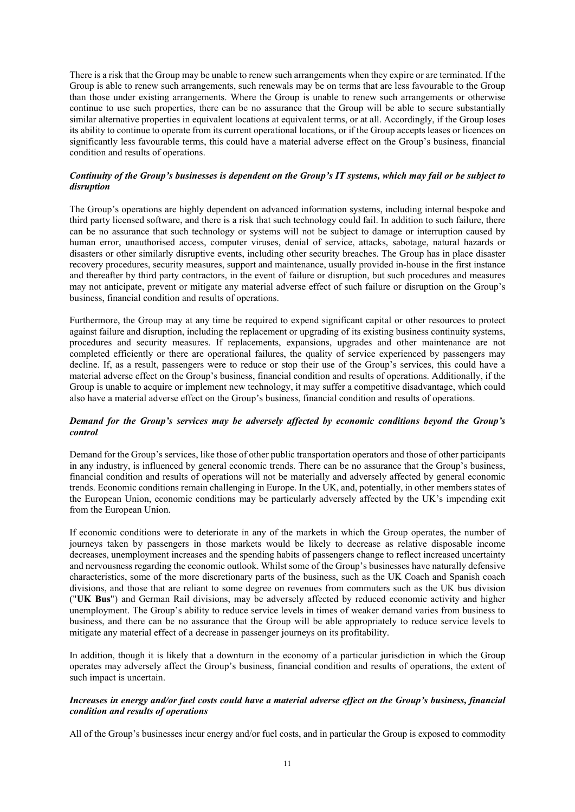There is a risk that the Group may be unable to renew such arrangements when they expire or are terminated. If the Group is able to renew such arrangements, such renewals may be on terms that are less favourable to the Group than those under existing arrangements. Where the Group is unable to renew such arrangements or otherwise continue to use such properties, there can be no assurance that the Group will be able to secure substantially similar alternative properties in equivalent locations at equivalent terms, or at all. Accordingly, if the Group loses its ability to continue to operate from its current operational locations, or if the Group accepts leases or licences on significantly less favourable terms, this could have a material adverse effect on the Group's business, financial condition and results of operations.

#### *Continuity of the Group's businesses is dependent on the Group's IT systems, which may fail or be subject to disruption*

The Group's operations are highly dependent on advanced information systems, including internal bespoke and third party licensed software, and there is a risk that such technology could fail. In addition to such failure, there can be no assurance that such technology or systems will not be subject to damage or interruption caused by human error, unauthorised access, computer viruses, denial of service, attacks, sabotage, natural hazards or disasters or other similarly disruptive events, including other security breaches. The Group has in place disaster recovery procedures, security measures, support and maintenance, usually provided in-house in the first instance and thereafter by third party contractors, in the event of failure or disruption, but such procedures and measures may not anticipate, prevent or mitigate any material adverse effect of such failure or disruption on the Group's business, financial condition and results of operations.

Furthermore, the Group may at any time be required to expend significant capital or other resources to protect against failure and disruption, including the replacement or upgrading of its existing business continuity systems, procedures and security measures. If replacements, expansions, upgrades and other maintenance are not completed efficiently or there are operational failures, the quality of service experienced by passengers may decline. If, as a result, passengers were to reduce or stop their use of the Group's services, this could have a material adverse effect on the Group's business, financial condition and results of operations. Additionally, if the Group is unable to acquire or implement new technology, it may suffer a competitive disadvantage, which could also have a material adverse effect on the Group's business, financial condition and results of operations.

# *Demand for the Group's services may be adversely affected by economic conditions beyond the Group's control*

Demand for the Group's services, like those of other public transportation operators and those of other participants in any industry, is influenced by general economic trends. There can be no assurance that the Group's business, financial condition and results of operations will not be materially and adversely affected by general economic trends. Economic conditions remain challenging in Europe. In the UK, and, potentially, in other members states of the European Union, economic conditions may be particularly adversely affected by the UK's impending exit from the European Union.

If economic conditions were to deteriorate in any of the markets in which the Group operates, the number of journeys taken by passengers in those markets would be likely to decrease as relative disposable income decreases, unemployment increases and the spending habits of passengers change to reflect increased uncertainty and nervousness regarding the economic outlook. Whilst some of the Group's businesses have naturally defensive characteristics, some of the more discretionary parts of the business, such as the UK Coach and Spanish coach divisions, and those that are reliant to some degree on revenues from commuters such as the UK bus division ("**UK Bus**") and German Rail divisions, may be adversely affected by reduced economic activity and higher unemployment. The Group's ability to reduce service levels in times of weaker demand varies from business to business, and there can be no assurance that the Group will be able appropriately to reduce service levels to mitigate any material effect of a decrease in passenger journeys on its profitability.

In addition, though it is likely that a downturn in the economy of a particular jurisdiction in which the Group operates may adversely affect the Group's business, financial condition and results of operations, the extent of such impact is uncertain.

# *Increases in energy and/or fuel costs could have a material adverse effect on the Group's business, financial condition and results of operations*

All of the Group's businesses incur energy and/or fuel costs, and in particular the Group is exposed to commodity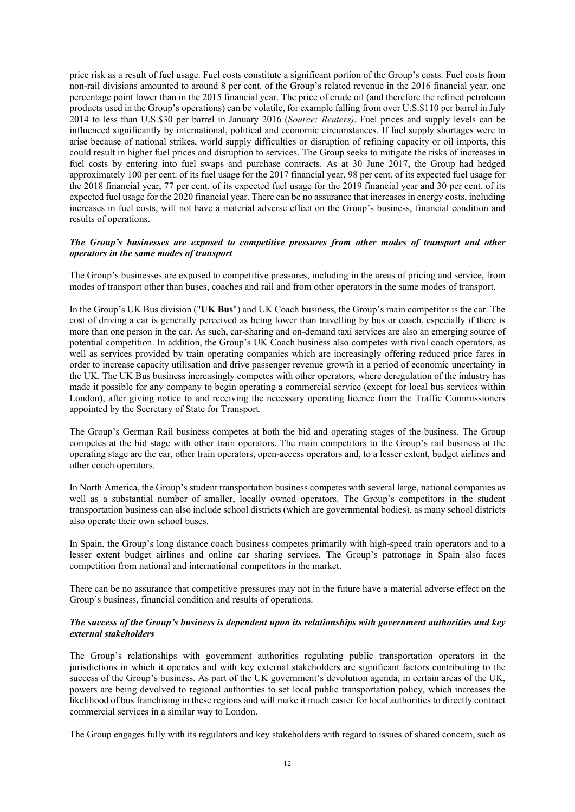price risk as a result of fuel usage. Fuel costs constitute a significant portion of the Group's costs. Fuel costs from non-rail divisions amounted to around 8 per cent. of the Group's related revenue in the 2016 financial year, one percentage point lower than in the 2015 financial year. The price of crude oil (and therefore the refined petroleum products used in the Group's operations) can be volatile, for example falling from over U.S.\$110 per barrel in July 2014 to less than U.S.\$30 per barrel in January 2016 (*Source: Reuters)*. Fuel prices and supply levels can be influenced significantly by international, political and economic circumstances. If fuel supply shortages were to arise because of national strikes, world supply difficulties or disruption of refining capacity or oil imports, this could result in higher fuel prices and disruption to services. The Group seeks to mitigate the risks of increases in fuel costs by entering into fuel swaps and purchase contracts. As at 30 June 2017, the Group had hedged approximately 100 per cent. of its fuel usage for the 2017 financial year, 98 per cent. of its expected fuel usage for the 2018 financial year, 77 per cent. of its expected fuel usage for the 2019 financial year and 30 per cent. of its expected fuel usage for the 2020 financial year. There can be no assurance that increases in energy costs, including increases in fuel costs, will not have a material adverse effect on the Group's business, financial condition and results of operations.

# *The Group's businesses are exposed to competitive pressures from other modes of transport and other operators in the same modes of transport*

The Group's businesses are exposed to competitive pressures, including in the areas of pricing and service, from modes of transport other than buses, coaches and rail and from other operators in the same modes of transport.

In the Group's UK Bus division ("**UK Bus**") and UK Coach business, the Group's main competitor is the car. The cost of driving a car is generally perceived as being lower than travelling by bus or coach, especially if there is more than one person in the car. As such, car-sharing and on-demand taxi services are also an emerging source of potential competition. In addition, the Group's UK Coach business also competes with rival coach operators, as well as services provided by train operating companies which are increasingly offering reduced price fares in order to increase capacity utilisation and drive passenger revenue growth in a period of economic uncertainty in the UK. The UK Bus business increasingly competes with other operators, where deregulation of the industry has made it possible for any company to begin operating a commercial service (except for local bus services within London), after giving notice to and receiving the necessary operating licence from the Traffic Commissioners appointed by the Secretary of State for Transport.

The Group's German Rail business competes at both the bid and operating stages of the business. The Group competes at the bid stage with other train operators. The main competitors to the Group's rail business at the operating stage are the car, other train operators, open-access operators and, to a lesser extent, budget airlines and other coach operators.

In North America, the Group's student transportation business competes with several large, national companies as well as a substantial number of smaller, locally owned operators. The Group's competitors in the student transportation business can also include school districts (which are governmental bodies), as many school districts also operate their own school buses.

In Spain, the Group's long distance coach business competes primarily with high-speed train operators and to a lesser extent budget airlines and online car sharing services. The Group's patronage in Spain also faces competition from national and international competitors in the market.

There can be no assurance that competitive pressures may not in the future have a material adverse effect on the Group's business, financial condition and results of operations.

# *The success of the Group's business is dependent upon its relationships with government authorities and key external stakeholders*

The Group's relationships with government authorities regulating public transportation operators in the jurisdictions in which it operates and with key external stakeholders are significant factors contributing to the success of the Group's business. As part of the UK government's devolution agenda, in certain areas of the UK, powers are being devolved to regional authorities to set local public transportation policy, which increases the likelihood of bus franchising in these regions and will make it much easier for local authorities to directly contract commercial services in a similar way to London.

The Group engages fully with its regulators and key stakeholders with regard to issues of shared concern, such as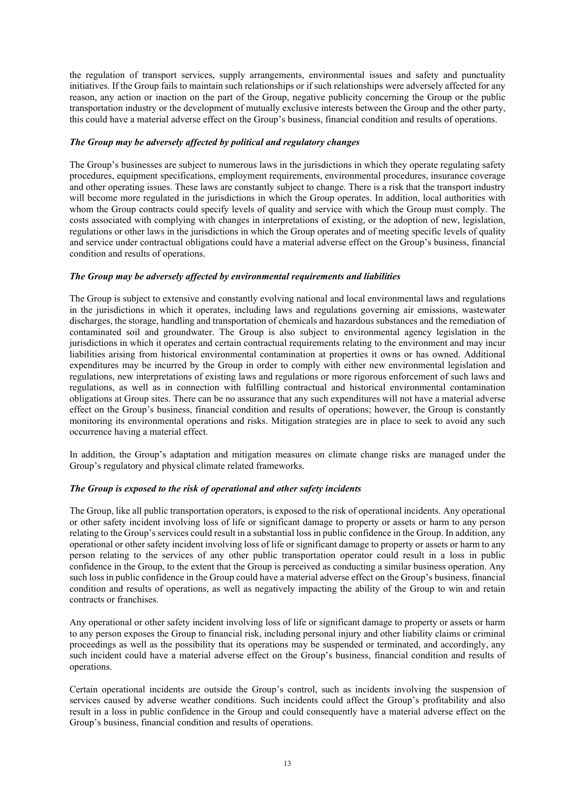the regulation of transport services, supply arrangements, environmental issues and safety and punctuality initiatives. If the Group fails to maintain such relationships or if such relationships were adversely affected for any reason, any action or inaction on the part of the Group, negative publicity concerning the Group or the public transportation industry or the development of mutually exclusive interests between the Group and the other party, this could have a material adverse effect on the Group's business, financial condition and results of operations.

#### *The Group may be adversely affected by political and regulatory changes*

The Group's businesses are subject to numerous laws in the jurisdictions in which they operate regulating safety procedures, equipment specifications, employment requirements, environmental procedures, insurance coverage and other operating issues. These laws are constantly subject to change. There is a risk that the transport industry will become more regulated in the jurisdictions in which the Group operates. In addition, local authorities with whom the Group contracts could specify levels of quality and service with which the Group must comply. The costs associated with complying with changes in interpretations of existing, or the adoption of new, legislation, regulations or other laws in the jurisdictions in which the Group operates and of meeting specific levels of quality and service under contractual obligations could have a material adverse effect on the Group's business, financial condition and results of operations.

# *The Group may be adversely affected by environmental requirements and liabilities*

The Group is subject to extensive and constantly evolving national and local environmental laws and regulations in the jurisdictions in which it operates, including laws and regulations governing air emissions, wastewater discharges, the storage, handling and transportation of chemicals and hazardous substances and the remediation of contaminated soil and groundwater. The Group is also subject to environmental agency legislation in the jurisdictions in which it operates and certain contractual requirements relating to the environment and may incur liabilities arising from historical environmental contamination at properties it owns or has owned. Additional expenditures may be incurred by the Group in order to comply with either new environmental legislation and regulations, new interpretations of existing laws and regulations or more rigorous enforcement of such laws and regulations, as well as in connection with fulfilling contractual and historical environmental contamination obligations at Group sites. There can be no assurance that any such expenditures will not have a material adverse effect on the Group's business, financial condition and results of operations; however, the Group is constantly monitoring its environmental operations and risks. Mitigation strategies are in place to seek to avoid any such occurrence having a material effect.

In addition, the Group's adaptation and mitigation measures on climate change risks are managed under the Group's regulatory and physical climate related frameworks.

#### *The Group is exposed to the risk of operational and other safety incidents*

The Group, like all public transportation operators, is exposed to the risk of operational incidents. Any operational or other safety incident involving loss of life or significant damage to property or assets or harm to any person relating to the Group's services could result in a substantial loss in public confidence in the Group. In addition, any operational or other safety incident involving loss of life or significant damage to property or assets or harm to any person relating to the services of any other public transportation operator could result in a loss in public confidence in the Group, to the extent that the Group is perceived as conducting a similar business operation. Any such loss in public confidence in the Group could have a material adverse effect on the Group's business, financial condition and results of operations, as well as negatively impacting the ability of the Group to win and retain contracts or franchises.

Any operational or other safety incident involving loss of life or significant damage to property or assets or harm to any person exposes the Group to financial risk, including personal injury and other liability claims or criminal proceedings as well as the possibility that its operations may be suspended or terminated, and accordingly, any such incident could have a material adverse effect on the Group's business, financial condition and results of operations.

Certain operational incidents are outside the Group's control, such as incidents involving the suspension of services caused by adverse weather conditions. Such incidents could affect the Group's profitability and also result in a loss in public confidence in the Group and could consequently have a material adverse effect on the Group's business, financial condition and results of operations.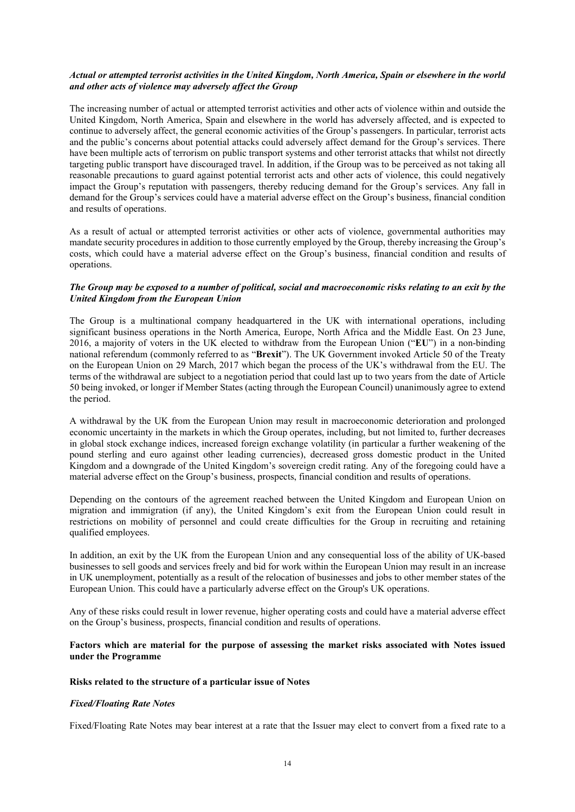# *Actual or attempted terrorist activities in the United Kingdom, North America, Spain or elsewhere in the world and other acts of violence may adversely affect the Group*

The increasing number of actual or attempted terrorist activities and other acts of violence within and outside the United Kingdom, North America, Spain and elsewhere in the world has adversely affected, and is expected to continue to adversely affect, the general economic activities of the Group's passengers. In particular, terrorist acts and the public's concerns about potential attacks could adversely affect demand for the Group's services. There have been multiple acts of terrorism on public transport systems and other terrorist attacks that whilst not directly targeting public transport have discouraged travel. In addition, if the Group was to be perceived as not taking all reasonable precautions to guard against potential terrorist acts and other acts of violence, this could negatively impact the Group's reputation with passengers, thereby reducing demand for the Group's services. Any fall in demand for the Group's services could have a material adverse effect on the Group's business, financial condition and results of operations.

As a result of actual or attempted terrorist activities or other acts of violence, governmental authorities may mandate security procedures in addition to those currently employed by the Group, thereby increasing the Group's costs, which could have a material adverse effect on the Group's business, financial condition and results of operations.

# *The Group may be exposed to a number of political, social and macroeconomic risks relating to an exit by the United Kingdom from the European Union*

The Group is a multinational company headquartered in the UK with international operations, including significant business operations in the North America, Europe, North Africa and the Middle East. On 23 June, 2016, a majority of voters in the UK elected to withdraw from the European Union ("**EU**") in a non-binding national referendum (commonly referred to as "**Brexit**"). The UK Government invoked Article 50 of the Treaty on the European Union on 29 March, 2017 which began the process of the UK's withdrawal from the EU. The terms of the withdrawal are subject to a negotiation period that could last up to two years from the date of Article 50 being invoked, or longer if Member States (acting through the European Council) unanimously agree to extend the period.

A withdrawal by the UK from the European Union may result in macroeconomic deterioration and prolonged economic uncertainty in the markets in which the Group operates, including, but not limited to, further decreases in global stock exchange indices, increased foreign exchange volatility (in particular a further weakening of the pound sterling and euro against other leading currencies), decreased gross domestic product in the United Kingdom and a downgrade of the United Kingdom's sovereign credit rating. Any of the foregoing could have a material adverse effect on the Group's business, prospects, financial condition and results of operations.

Depending on the contours of the agreement reached between the United Kingdom and European Union on migration and immigration (if any), the United Kingdom's exit from the European Union could result in restrictions on mobility of personnel and could create difficulties for the Group in recruiting and retaining qualified employees.

In addition, an exit by the UK from the European Union and any consequential loss of the ability of UK-based businesses to sell goods and services freely and bid for work within the European Union may result in an increase in UK unemployment, potentially as a result of the relocation of businesses and jobs to other member states of the European Union. This could have a particularly adverse effect on the Group's UK operations.

Any of these risks could result in lower revenue, higher operating costs and could have a material adverse effect on the Group's business, prospects, financial condition and results of operations.

#### **Factors which are material for the purpose of assessing the market risks associated with Notes issued under the Programme**

# **Risks related to the structure of a particular issue of Notes**

# *Fixed/Floating Rate Notes*

Fixed/Floating Rate Notes may bear interest at a rate that the Issuer may elect to convert from a fixed rate to a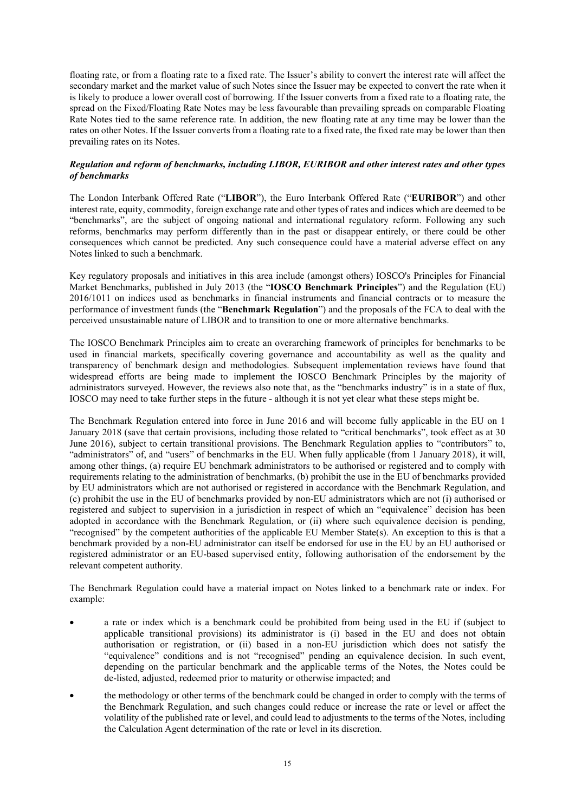floating rate, or from a floating rate to a fixed rate. The Issuer's ability to convert the interest rate will affect the secondary market and the market value of such Notes since the Issuer may be expected to convert the rate when it is likely to produce a lower overall cost of borrowing. If the Issuer converts from a fixed rate to a floating rate, the spread on the Fixed/Floating Rate Notes may be less favourable than prevailing spreads on comparable Floating Rate Notes tied to the same reference rate. In addition, the new floating rate at any time may be lower than the rates on other Notes. If the Issuer converts from a floating rate to a fixed rate, the fixed rate may be lower than then prevailing rates on its Notes.

# *Regulation and reform of benchmarks, including LIBOR, EURIBOR and other interest rates and other types of benchmarks*

The London Interbank Offered Rate ("**LIBOR**"), the Euro Interbank Offered Rate ("**EURIBOR**") and other interest rate, equity, commodity, foreign exchange rate and other types of rates and indices which are deemed to be "benchmarks", are the subject of ongoing national and international regulatory reform. Following any such reforms, benchmarks may perform differently than in the past or disappear entirely, or there could be other consequences which cannot be predicted. Any such consequence could have a material adverse effect on any Notes linked to such a benchmark.

Key regulatory proposals and initiatives in this area include (amongst others) IOSCO's Principles for Financial Market Benchmarks, published in July 2013 (the "**IOSCO Benchmark Principles**") and the Regulation (EU) 2016/1011 on indices used as benchmarks in financial instruments and financial contracts or to measure the performance of investment funds (the "**Benchmark Regulation**") and the proposals of the FCA to deal with the perceived unsustainable nature of LIBOR and to transition to one or more alternative benchmarks.

The IOSCO Benchmark Principles aim to create an overarching framework of principles for benchmarks to be used in financial markets, specifically covering governance and accountability as well as the quality and transparency of benchmark design and methodologies. Subsequent implementation reviews have found that widespread efforts are being made to implement the IOSCO Benchmark Principles by the majority of administrators surveyed. However, the reviews also note that, as the "benchmarks industry" is in a state of flux, IOSCO may need to take further steps in the future - although it is not yet clear what these steps might be.

The Benchmark Regulation entered into force in June 2016 and will become fully applicable in the EU on 1 January 2018 (save that certain provisions, including those related to "critical benchmarks", took effect as at 30 June 2016), subject to certain transitional provisions. The Benchmark Regulation applies to "contributors" to, "administrators" of, and "users" of benchmarks in the EU. When fully applicable (from 1 January 2018), it will, among other things, (a) require EU benchmark administrators to be authorised or registered and to comply with requirements relating to the administration of benchmarks, (b) prohibit the use in the EU of benchmarks provided by EU administrators which are not authorised or registered in accordance with the Benchmark Regulation, and (c) prohibit the use in the EU of benchmarks provided by non-EU administrators which are not (i) authorised or registered and subject to supervision in a jurisdiction in respect of which an "equivalence" decision has been adopted in accordance with the Benchmark Regulation, or (ii) where such equivalence decision is pending, "recognised" by the competent authorities of the applicable EU Member State(s). An exception to this is that a benchmark provided by a non-EU administrator can itself be endorsed for use in the EU by an EU authorised or registered administrator or an EU-based supervised entity, following authorisation of the endorsement by the relevant competent authority.

The Benchmark Regulation could have a material impact on Notes linked to a benchmark rate or index. For example:

- a rate or index which is a benchmark could be prohibited from being used in the EU if (subject to applicable transitional provisions) its administrator is (i) based in the EU and does not obtain authorisation or registration, or (ii) based in a non-EU jurisdiction which does not satisfy the "equivalence" conditions and is not "recognised" pending an equivalence decision. In such event, depending on the particular benchmark and the applicable terms of the Notes, the Notes could be de-listed, adjusted, redeemed prior to maturity or otherwise impacted; and
- the methodology or other terms of the benchmark could be changed in order to comply with the terms of the Benchmark Regulation, and such changes could reduce or increase the rate or level or affect the volatility of the published rate or level, and could lead to adjustments to the terms of the Notes, including the Calculation Agent determination of the rate or level in its discretion.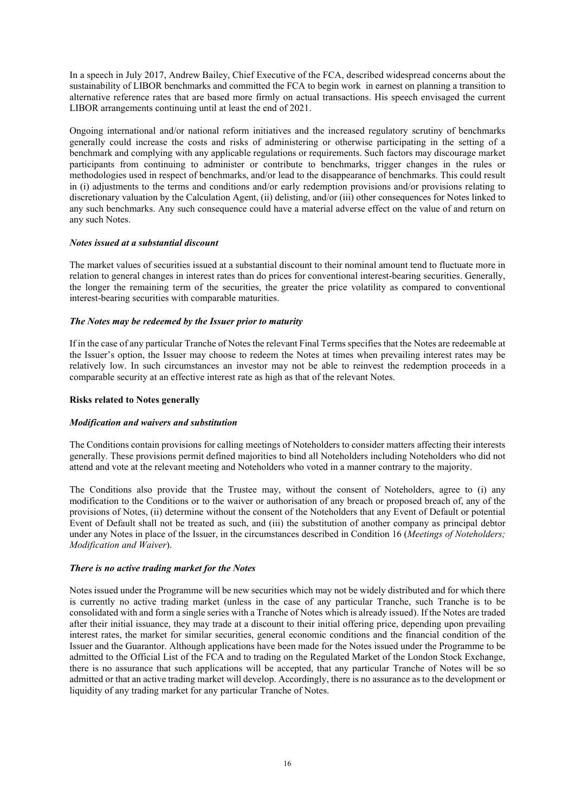In a speech in July 2017, Andrew Bailey, Chief Executive of the FCA, described widespread concerns about the sustainability of LIBOR benchmarks and committed the FCA to begin work in earnest on planning a transition to alternative reference rates that are based more firmly on actual transactions. His speech envisaged the current LIBOR arrangements continuing until at least the end of 2021.

Ongoing international and/or national reform initiatives and the increased regulatory scrutiny of benchmarks generally could increase the costs and risks of administering or otherwise participating in the setting of a benchmark and complying with any applicable regulations or requirements. Such factors may discourage market participants from continuing to administer or contribute to benchmarks, trigger changes in the rules or methodologies used in respect of benchmarks, and/or lead to the disappearance of benchmarks. This could result in (i) adjustments to the terms and conditions and/or early redemption provisions and/or provisions relating to discretionary valuation by the Calculation Agent, (ii) delisting, and/or (iii) other consequences for Notes linked to any such benchmarks. Any such consequence could have a material adverse effect on the value of and return on any such Notes.

#### *Notes issued at a substantial discount*

The market values of securities issued at a substantial discount to their nominal amount tend to fluctuate more in relation to general changes in interest rates than do prices for conventional interest-bearing securities. Generally, the longer the remaining term of the securities, the greater the price volatility as compared to conventional interest-bearing securities with comparable maturities.

#### *The Notes may be redeemed by the Issuer prior to maturity*

If in the case of any particular Tranche of Notes the relevant Final Terms specifies that the Notes are redeemable at the Issuer's option, the Issuer may choose to redeem the Notes at times when prevailing interest rates may be relatively low. In such circumstances an investor may not be able to reinvest the redemption proceeds in a comparable security at an effective interest rate as high as that of the relevant Notes.

#### **Risks related to Notes generally**

# *Modification and waivers and substitution*

The Conditions contain provisions for calling meetings of Noteholders to consider matters affecting their interests generally. These provisions permit defined majorities to bind all Noteholders including Noteholders who did not attend and vote at the relevant meeting and Noteholders who voted in a manner contrary to the majority.

The Conditions also provide that the Trustee may, without the consent of Noteholders, agree to (i) any modification to the Conditions or to the waiver or authorisation of any breach or proposed breach of, any of the provisions of Notes, (ii) determine without the consent of the Noteholders that any Event of Default or potential Event of Default shall not be treated as such, and (iii) the substitution of another company as principal debtor under any Notes in place of the Issuer, in the circumstances described in Condition 16 (*Meetings of Noteholders; Modification and Waiver*).

# *There is no active trading market for the Notes*

Notes issued under the Programme will be new securities which may not be widely distributed and for which there is currently no active trading market (unless in the case of any particular Tranche, such Tranche is to be consolidated with and form a single series with a Tranche of Notes which is already issued). If the Notes are traded after their initial issuance, they may trade at a discount to their initial offering price, depending upon prevailing interest rates, the market for similar securities, general economic conditions and the financial condition of the Issuer and the Guarantor. Although applications have been made for the Notes issued under the Programme to be admitted to the Official List of the FCA and to trading on the Regulated Market of the London Stock Exchange, there is no assurance that such applications will be accepted, that any particular Tranche of Notes will be so admitted or that an active trading market will develop. Accordingly, there is no assurance as to the development or liquidity of any trading market for any particular Tranche of Notes.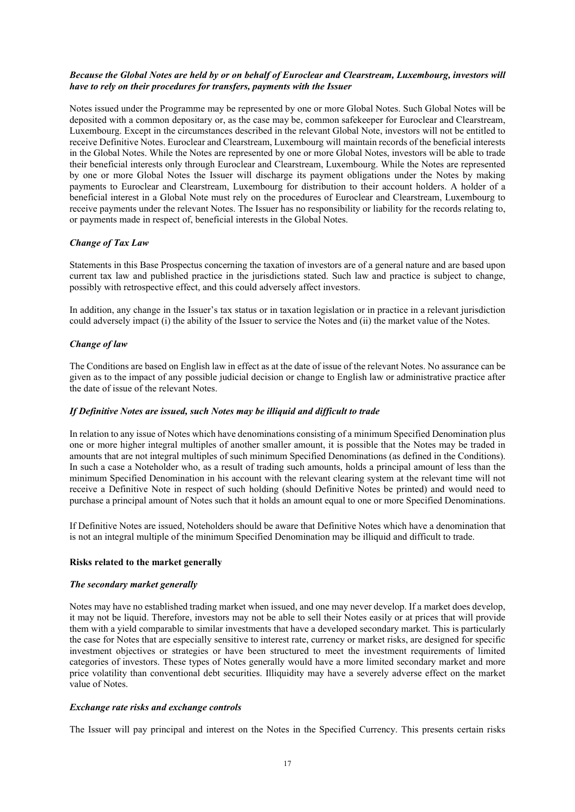# *Because the Global Notes are held by or on behalf of Euroclear and Clearstream, Luxembourg, investors will have to rely on their procedures for transfers, payments with the Issuer*

Notes issued under the Programme may be represented by one or more Global Notes. Such Global Notes will be deposited with a common depositary or, as the case may be, common safekeeper for Euroclear and Clearstream, Luxembourg. Except in the circumstances described in the relevant Global Note, investors will not be entitled to receive Definitive Notes. Euroclear and Clearstream, Luxembourg will maintain records of the beneficial interests in the Global Notes. While the Notes are represented by one or more Global Notes, investors will be able to trade their beneficial interests only through Euroclear and Clearstream, Luxembourg. While the Notes are represented by one or more Global Notes the Issuer will discharge its payment obligations under the Notes by making payments to Euroclear and Clearstream, Luxembourg for distribution to their account holders. A holder of a beneficial interest in a Global Note must rely on the procedures of Euroclear and Clearstream, Luxembourg to receive payments under the relevant Notes. The Issuer has no responsibility or liability for the records relating to, or payments made in respect of, beneficial interests in the Global Notes.

# *Change of Tax Law*

Statements in this Base Prospectus concerning the taxation of investors are of a general nature and are based upon current tax law and published practice in the jurisdictions stated. Such law and practice is subject to change, possibly with retrospective effect, and this could adversely affect investors.

In addition, any change in the Issuer's tax status or in taxation legislation or in practice in a relevant jurisdiction could adversely impact (i) the ability of the Issuer to service the Notes and (ii) the market value of the Notes.

# *Change of law*

The Conditions are based on English law in effect as at the date of issue of the relevant Notes. No assurance can be given as to the impact of any possible judicial decision or change to English law or administrative practice after the date of issue of the relevant Notes.

# *If Definitive Notes are issued, such Notes may be illiquid and difficult to trade*

In relation to any issue of Notes which have denominations consisting of a minimum Specified Denomination plus one or more higher integral multiples of another smaller amount, it is possible that the Notes may be traded in amounts that are not integral multiples of such minimum Specified Denominations (as defined in the Conditions). In such a case a Noteholder who, as a result of trading such amounts, holds a principal amount of less than the minimum Specified Denomination in his account with the relevant clearing system at the relevant time will not receive a Definitive Note in respect of such holding (should Definitive Notes be printed) and would need to purchase a principal amount of Notes such that it holds an amount equal to one or more Specified Denominations.

If Definitive Notes are issued, Noteholders should be aware that Definitive Notes which have a denomination that is not an integral multiple of the minimum Specified Denomination may be illiquid and difficult to trade.

# **Risks related to the market generally**

# *The secondary market generally*

Notes may have no established trading market when issued, and one may never develop. If a market does develop, it may not be liquid. Therefore, investors may not be able to sell their Notes easily or at prices that will provide them with a yield comparable to similar investments that have a developed secondary market. This is particularly the case for Notes that are especially sensitive to interest rate, currency or market risks, are designed for specific investment objectives or strategies or have been structured to meet the investment requirements of limited categories of investors. These types of Notes generally would have a more limited secondary market and more price volatility than conventional debt securities. Illiquidity may have a severely adverse effect on the market value of Notes.

# *Exchange rate risks and exchange controls*

The Issuer will pay principal and interest on the Notes in the Specified Currency. This presents certain risks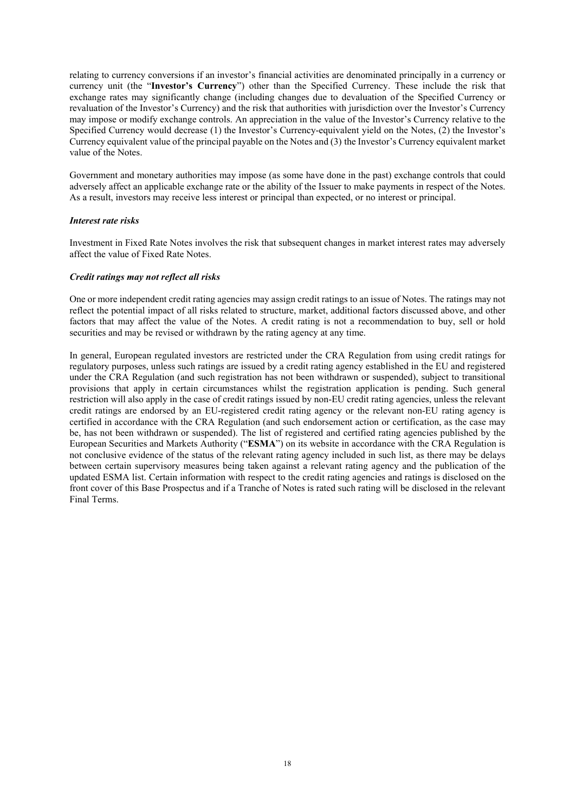relating to currency conversions if an investor's financial activities are denominated principally in a currency or currency unit (the "**Investor's Currency**") other than the Specified Currency. These include the risk that exchange rates may significantly change (including changes due to devaluation of the Specified Currency or revaluation of the Investor's Currency) and the risk that authorities with jurisdiction over the Investor's Currency may impose or modify exchange controls. An appreciation in the value of the Investor's Currency relative to the Specified Currency would decrease (1) the Investor's Currency-equivalent yield on the Notes, (2) the Investor's Currency equivalent value of the principal payable on the Notes and (3) the Investor's Currency equivalent market value of the Notes.

Government and monetary authorities may impose (as some have done in the past) exchange controls that could adversely affect an applicable exchange rate or the ability of the Issuer to make payments in respect of the Notes. As a result, investors may receive less interest or principal than expected, or no interest or principal.

#### *Interest rate risks*

Investment in Fixed Rate Notes involves the risk that subsequent changes in market interest rates may adversely affect the value of Fixed Rate Notes.

#### *Credit ratings may not reflect all risks*

One or more independent credit rating agencies may assign credit ratings to an issue of Notes. The ratings may not reflect the potential impact of all risks related to structure, market, additional factors discussed above, and other factors that may affect the value of the Notes. A credit rating is not a recommendation to buy, sell or hold securities and may be revised or withdrawn by the rating agency at any time.

In general, European regulated investors are restricted under the CRA Regulation from using credit ratings for regulatory purposes, unless such ratings are issued by a credit rating agency established in the EU and registered under the CRA Regulation (and such registration has not been withdrawn or suspended), subject to transitional provisions that apply in certain circumstances whilst the registration application is pending. Such general restriction will also apply in the case of credit ratings issued by non-EU credit rating agencies, unless the relevant credit ratings are endorsed by an EU-registered credit rating agency or the relevant non-EU rating agency is certified in accordance with the CRA Regulation (and such endorsement action or certification, as the case may be, has not been withdrawn or suspended). The list of registered and certified rating agencies published by the European Securities and Markets Authority ("**ESMA**") on its website in accordance with the CRA Regulation is not conclusive evidence of the status of the relevant rating agency included in such list, as there may be delays between certain supervisory measures being taken against a relevant rating agency and the publication of the updated ESMA list. Certain information with respect to the credit rating agencies and ratings is disclosed on the front cover of this Base Prospectus and if a Tranche of Notes is rated such rating will be disclosed in the relevant Final Terms.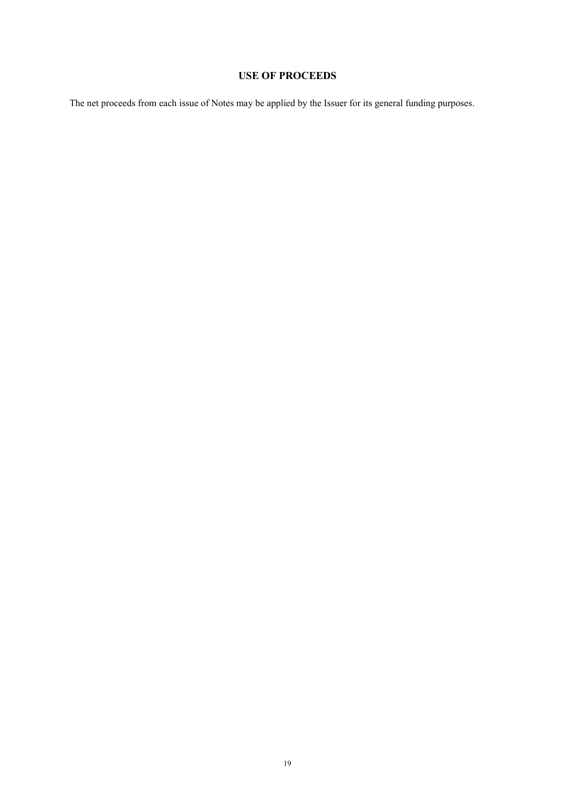# **USE OF PROCEEDS**

The net proceeds from each issue of Notes may be applied by the Issuer for its general funding purposes.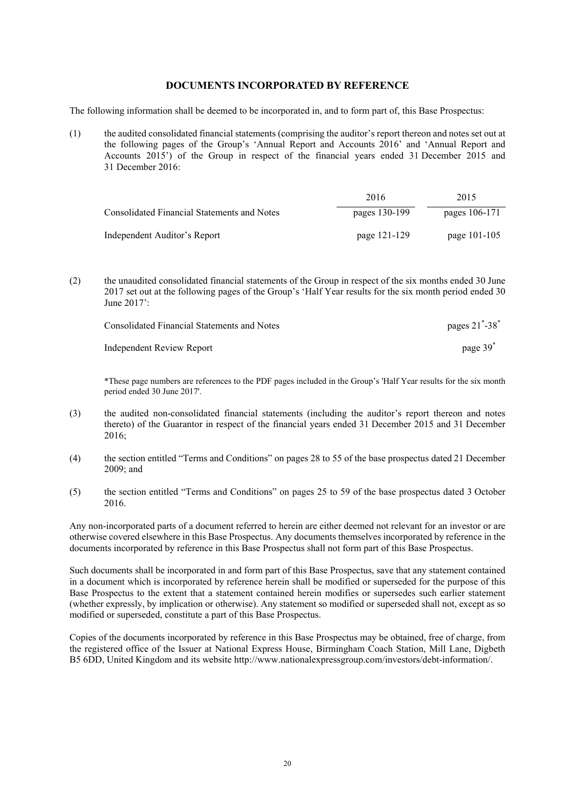# **DOCUMENTS INCORPORATED BY REFERENCE**

The following information shall be deemed to be incorporated in, and to form part of, this Base Prospectus:

(1) the audited consolidated financial statements (comprising the auditor's report thereon and notes set out at the following pages of the Group's 'Annual Report and Accounts 2016' and 'Annual Report and Accounts 2015') of the Group in respect of the financial years ended 31 December 2015 and 31 December 2016:

|                                             | 2016          | 2015          |
|---------------------------------------------|---------------|---------------|
| Consolidated Financial Statements and Notes | pages 130-199 | pages 106-171 |
| Independent Auditor's Report                | page 121-129  | page 101-105  |

(2) the unaudited consolidated financial statements of the Group in respect of the six months ended 30 June 2017 set out at the following pages of the Group's 'Half Year results for the six month period ended 30 June 2017':

| Consolidated Financial Statements and Notes | pages $21^{\degree}$ -38 $^{\degree}$ |
|---------------------------------------------|---------------------------------------|
| Independent Review Report                   | page 39                               |

\*These page numbers are references to the PDF pages included in the Group's 'Half Year results for the six month period ended 30 June 2017'.

- (3) the audited non-consolidated financial statements (including the auditor's report thereon and notes thereto) of the Guarantor in respect of the financial years ended 31 December 2015 and 31 December 2016;
- (4) the section entitled "Terms and Conditions" on pages 28 to 55 of the base prospectus dated 21 December 2009; and
- (5) the section entitled "Terms and Conditions" on pages 25 to 59 of the base prospectus dated 3 October 2016.

Any non-incorporated parts of a document referred to herein are either deemed not relevant for an investor or are otherwise covered elsewhere in this Base Prospectus. Any documents themselves incorporated by reference in the documents incorporated by reference in this Base Prospectus shall not form part of this Base Prospectus.

Such documents shall be incorporated in and form part of this Base Prospectus, save that any statement contained in a document which is incorporated by reference herein shall be modified or superseded for the purpose of this Base Prospectus to the extent that a statement contained herein modifies or supersedes such earlier statement (whether expressly, by implication or otherwise). Any statement so modified or superseded shall not, except as so modified or superseded, constitute a part of this Base Prospectus.

Copies of the documents incorporated by reference in this Base Prospectus may be obtained, free of charge, from the registered office of the Issuer at National Express House, Birmingham Coach Station, Mill Lane, Digbeth B5 6DD, United Kingdom and its website http://www.nationalexpressgroup.com/investors/debt-information/.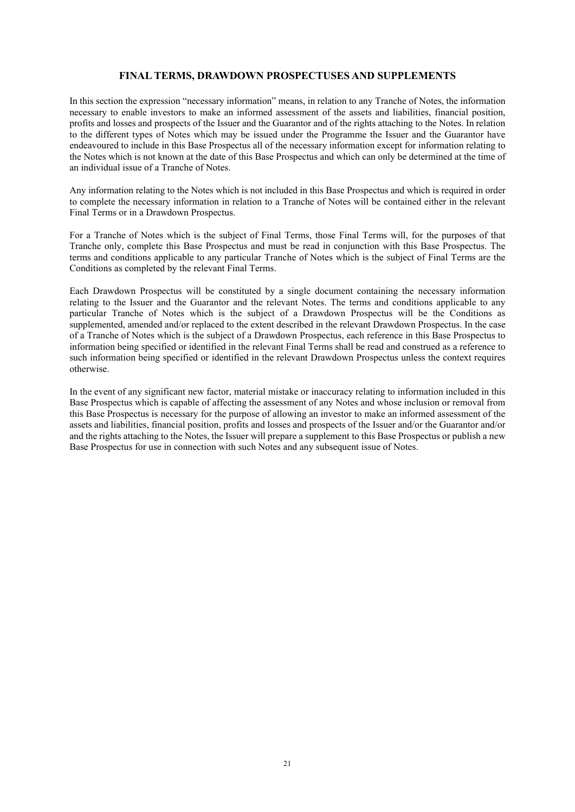# **FINAL TERMS, DRAWDOWN PROSPECTUSES AND SUPPLEMENTS**

In this section the expression "necessary information" means, in relation to any Tranche of Notes, the information necessary to enable investors to make an informed assessment of the assets and liabilities, financial position, profits and losses and prospects of the Issuer and the Guarantor and of the rights attaching to the Notes. In relation to the different types of Notes which may be issued under the Programme the Issuer and the Guarantor have endeavoured to include in this Base Prospectus all of the necessary information except for information relating to the Notes which is not known at the date of this Base Prospectus and which can only be determined at the time of an individual issue of a Tranche of Notes.

Any information relating to the Notes which is not included in this Base Prospectus and which is required in order to complete the necessary information in relation to a Tranche of Notes will be contained either in the relevant Final Terms or in a Drawdown Prospectus.

For a Tranche of Notes which is the subject of Final Terms, those Final Terms will, for the purposes of that Tranche only, complete this Base Prospectus and must be read in conjunction with this Base Prospectus. The terms and conditions applicable to any particular Tranche of Notes which is the subject of Final Terms are the Conditions as completed by the relevant Final Terms.

Each Drawdown Prospectus will be constituted by a single document containing the necessary information relating to the Issuer and the Guarantor and the relevant Notes. The terms and conditions applicable to any particular Tranche of Notes which is the subject of a Drawdown Prospectus will be the Conditions as supplemented, amended and/or replaced to the extent described in the relevant Drawdown Prospectus. In the case of a Tranche of Notes which is the subject of a Drawdown Prospectus, each reference in this Base Prospectus to information being specified or identified in the relevant Final Terms shall be read and construed as a reference to such information being specified or identified in the relevant Drawdown Prospectus unless the context requires otherwise.

In the event of any significant new factor, material mistake or inaccuracy relating to information included in this Base Prospectus which is capable of affecting the assessment of any Notes and whose inclusion or removal from this Base Prospectus is necessary for the purpose of allowing an investor to make an informed assessment of the assets and liabilities, financial position, profits and losses and prospects of the Issuer and/or the Guarantor and/or and the rights attaching to the Notes, the Issuer will prepare a supplement to this Base Prospectus or publish a new Base Prospectus for use in connection with such Notes and any subsequent issue of Notes.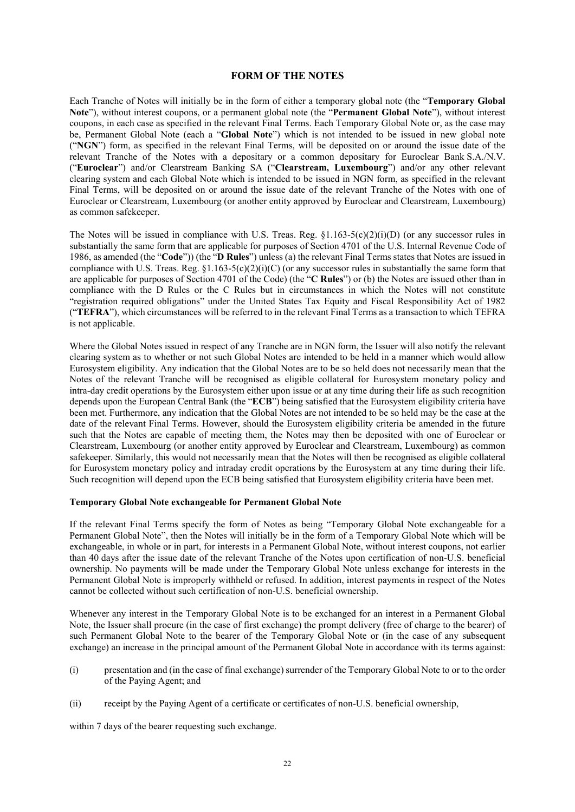#### **FORM OF THE NOTES**

Each Tranche of Notes will initially be in the form of either a temporary global note (the "**Temporary Global Note**"), without interest coupons, or a permanent global note (the "**Permanent Global Note**"), without interest coupons, in each case as specified in the relevant Final Terms. Each Temporary Global Note or, as the case may be, Permanent Global Note (each a "**Global Note**") which is not intended to be issued in new global note ("**NGN**") form, as specified in the relevant Final Terms, will be deposited on or around the issue date of the relevant Tranche of the Notes with a depositary or a common depositary for Euroclear Bank S.A./N.V. ("**Euroclear**") and/or Clearstream Banking SA ("**Clearstream, Luxembourg**") and/or any other relevant clearing system and each Global Note which is intended to be issued in NGN form, as specified in the relevant Final Terms, will be deposited on or around the issue date of the relevant Tranche of the Notes with one of Euroclear or Clearstream, Luxembourg (or another entity approved by Euroclear and Clearstream, Luxembourg) as common safekeeper.

The Notes will be issued in compliance with U.S. Treas. Reg.  $\S1.163-5(c)(2)(i)(D)$  (or any successor rules in substantially the same form that are applicable for purposes of Section 4701 of the U.S. Internal Revenue Code of 1986, as amended (the "**Code**")) (the "**D Rules**") unless (a) the relevant Final Terms states that Notes are issued in compliance with U.S. Treas. Reg.  $\S1.163-5(c)(2)(i)(C)$  (or any successor rules in substantially the same form that are applicable for purposes of Section 4701 of the Code) (the "**C Rules**") or (b) the Notes are issued other than in compliance with the D Rules or the C Rules but in circumstances in which the Notes will not constitute "registration required obligations" under the United States Tax Equity and Fiscal Responsibility Act of 1982 ("**TEFRA**"), which circumstances will be referred to in the relevant Final Terms as a transaction to which TEFRA is not applicable.

Where the Global Notes issued in respect of any Tranche are in NGN form, the Issuer will also notify the relevant clearing system as to whether or not such Global Notes are intended to be held in a manner which would allow Eurosystem eligibility. Any indication that the Global Notes are to be so held does not necessarily mean that the Notes of the relevant Tranche will be recognised as eligible collateral for Eurosystem monetary policy and intra-day credit operations by the Eurosystem either upon issue or at any time during their life as such recognition depends upon the European Central Bank (the "**ECB**") being satisfied that the Eurosystem eligibility criteria have been met. Furthermore, any indication that the Global Notes are not intended to be so held may be the case at the date of the relevant Final Terms. However, should the Eurosystem eligibility criteria be amended in the future such that the Notes are capable of meeting them, the Notes may then be deposited with one of Euroclear or Clearstream, Luxembourg (or another entity approved by Euroclear and Clearstream, Luxembourg) as common safekeeper. Similarly, this would not necessarily mean that the Notes will then be recognised as eligible collateral for Eurosystem monetary policy and intraday credit operations by the Eurosystem at any time during their life. Such recognition will depend upon the ECB being satisfied that Eurosystem eligibility criteria have been met.

#### **Temporary Global Note exchangeable for Permanent Global Note**

If the relevant Final Terms specify the form of Notes as being "Temporary Global Note exchangeable for a Permanent Global Note", then the Notes will initially be in the form of a Temporary Global Note which will be exchangeable, in whole or in part, for interests in a Permanent Global Note, without interest coupons, not earlier than 40 days after the issue date of the relevant Tranche of the Notes upon certification of non-U.S. beneficial ownership. No payments will be made under the Temporary Global Note unless exchange for interests in the Permanent Global Note is improperly withheld or refused. In addition, interest payments in respect of the Notes cannot be collected without such certification of non-U.S. beneficial ownership.

Whenever any interest in the Temporary Global Note is to be exchanged for an interest in a Permanent Global Note, the Issuer shall procure (in the case of first exchange) the prompt delivery (free of charge to the bearer) of such Permanent Global Note to the bearer of the Temporary Global Note or (in the case of any subsequent exchange) an increase in the principal amount of the Permanent Global Note in accordance with its terms against:

- (i) presentation and (in the case of final exchange) surrender of the Temporary Global Note to or to the order of the Paying Agent; and
- (ii) receipt by the Paying Agent of a certificate or certificates of non-U.S. beneficial ownership,

within 7 days of the bearer requesting such exchange.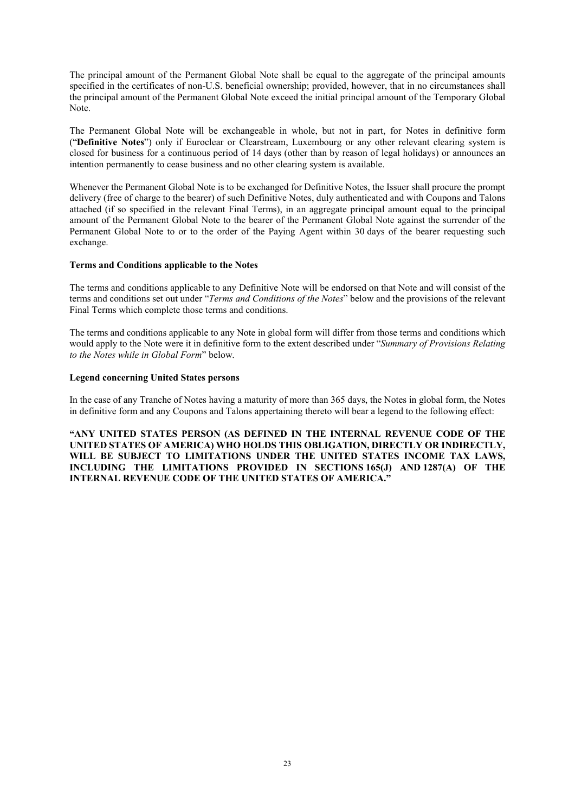The principal amount of the Permanent Global Note shall be equal to the aggregate of the principal amounts specified in the certificates of non-U.S. beneficial ownership; provided, however, that in no circumstances shall the principal amount of the Permanent Global Note exceed the initial principal amount of the Temporary Global Note.

The Permanent Global Note will be exchangeable in whole, but not in part, for Notes in definitive form ("**Definitive Notes**") only if Euroclear or Clearstream, Luxembourg or any other relevant clearing system is closed for business for a continuous period of 14 days (other than by reason of legal holidays) or announces an intention permanently to cease business and no other clearing system is available.

Whenever the Permanent Global Note is to be exchanged for Definitive Notes, the Issuer shall procure the prompt delivery (free of charge to the bearer) of such Definitive Notes, duly authenticated and with Coupons and Talons attached (if so specified in the relevant Final Terms), in an aggregate principal amount equal to the principal amount of the Permanent Global Note to the bearer of the Permanent Global Note against the surrender of the Permanent Global Note to or to the order of the Paying Agent within 30 days of the bearer requesting such exchange.

#### **Terms and Conditions applicable to the Notes**

The terms and conditions applicable to any Definitive Note will be endorsed on that Note and will consist of the terms and conditions set out under "*Terms and Conditions of the Notes*" below and the provisions of the relevant Final Terms which complete those terms and conditions.

The terms and conditions applicable to any Note in global form will differ from those terms and conditions which would apply to the Note were it in definitive form to the extent described under "*Summary of Provisions Relating to the Notes while in Global Form*" below.

#### **Legend concerning United States persons**

In the case of any Tranche of Notes having a maturity of more than 365 days, the Notes in global form, the Notes in definitive form and any Coupons and Talons appertaining thereto will bear a legend to the following effect:

**"ANY UNITED STATES PERSON (AS DEFINED IN THE INTERNAL REVENUE CODE OF THE UNITED STATES OF AMERICA) WHO HOLDS THIS OBLIGATION, DIRECTLY OR INDIRECTLY, WILL BE SUBJECT TO LIMITATIONS UNDER THE UNITED STATES INCOME TAX LAWS, INCLUDING THE LIMITATIONS PROVIDED IN SECTIONS 165(J) AND 1287(A) OF THE INTERNAL REVENUE CODE OF THE UNITED STATES OF AMERICA."**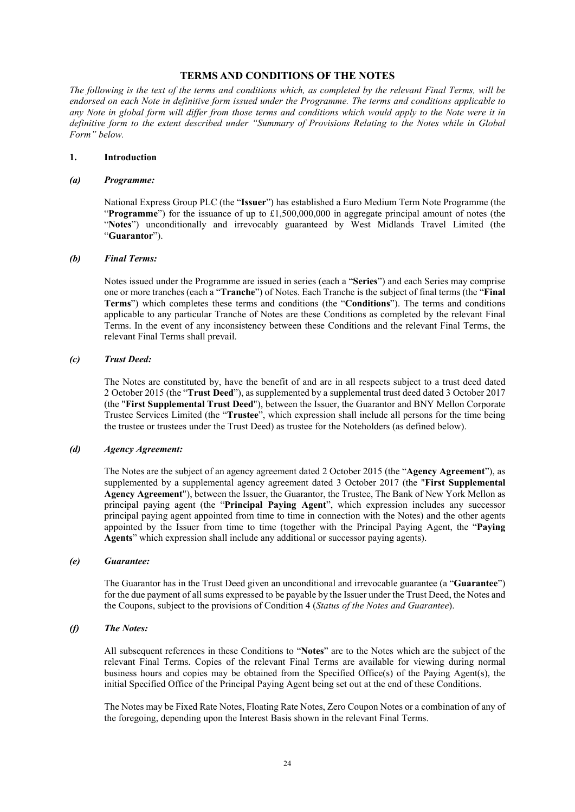# **TERMS AND CONDITIONS OF THE NOTES**

*The following is the text of the terms and conditions which, as completed by the relevant Final Terms, will be endorsed on each Note in definitive form issued under the Programme. The terms and conditions applicable to any Note in global form will differ from those terms and conditions which would apply to the Note were it in definitive form to the extent described under "Summary of Provisions Relating to the Notes while in Global Form" below.*

#### **1. Introduction**

#### *(a) Programme:*

National Express Group PLC (the "**Issuer**") has established a Euro Medium Term Note Programme (the "**Programme**") for the issuance of up to £1,500,000,000 in aggregate principal amount of notes (the "**Notes**") unconditionally and irrevocably guaranteed by West Midlands Travel Limited (the "**Guarantor**").

#### *(b) Final Terms:*

Notes issued under the Programme are issued in series (each a "**Series**") and each Series may comprise one or more tranches (each a "**Tranche**") of Notes. Each Tranche is the subject of final terms (the "**Final Terms**") which completes these terms and conditions (the "**Conditions**"). The terms and conditions applicable to any particular Tranche of Notes are these Conditions as completed by the relevant Final Terms. In the event of any inconsistency between these Conditions and the relevant Final Terms, the relevant Final Terms shall prevail.

#### *(c) Trust Deed:*

The Notes are constituted by, have the benefit of and are in all respects subject to a trust deed dated 2 October 2015 (the "**Trust Deed**"), as supplemented by a supplemental trust deed dated 3 October 2017 (the "**First Supplemental Trust Deed**"), between the Issuer, the Guarantor and BNY Mellon Corporate Trustee Services Limited (the "**Trustee**", which expression shall include all persons for the time being the trustee or trustees under the Trust Deed) as trustee for the Noteholders (as defined below).

# *(d) Agency Agreement:*

The Notes are the subject of an agency agreement dated 2 October 2015 (the "**Agency Agreement**"), as supplemented by a supplemental agency agreement dated 3 October 2017 (the "**First Supplemental Agency Agreement**"), between the Issuer, the Guarantor, the Trustee, The Bank of New York Mellon as principal paying agent (the "**Principal Paying Agent**", which expression includes any successor principal paying agent appointed from time to time in connection with the Notes) and the other agents appointed by the Issuer from time to time (together with the Principal Paying Agent, the "**Paying Agents**" which expression shall include any additional or successor paying agents).

#### *(e) Guarantee:*

The Guarantor has in the Trust Deed given an unconditional and irrevocable guarantee (a "**Guarantee**") for the due payment of all sums expressed to be payable by the Issuer under the Trust Deed, the Notes and the Coupons, subject to the provisions of Condition 4 (*Status of the Notes and Guarantee*).

# *(f) The Notes:*

All subsequent references in these Conditions to "**Notes**" are to the Notes which are the subject of the relevant Final Terms. Copies of the relevant Final Terms are available for viewing during normal business hours and copies may be obtained from the Specified Office(s) of the Paying Agent(s), the initial Specified Office of the Principal Paying Agent being set out at the end of these Conditions.

The Notes may be Fixed Rate Notes, Floating Rate Notes, Zero Coupon Notes or a combination of any of the foregoing, depending upon the Interest Basis shown in the relevant Final Terms.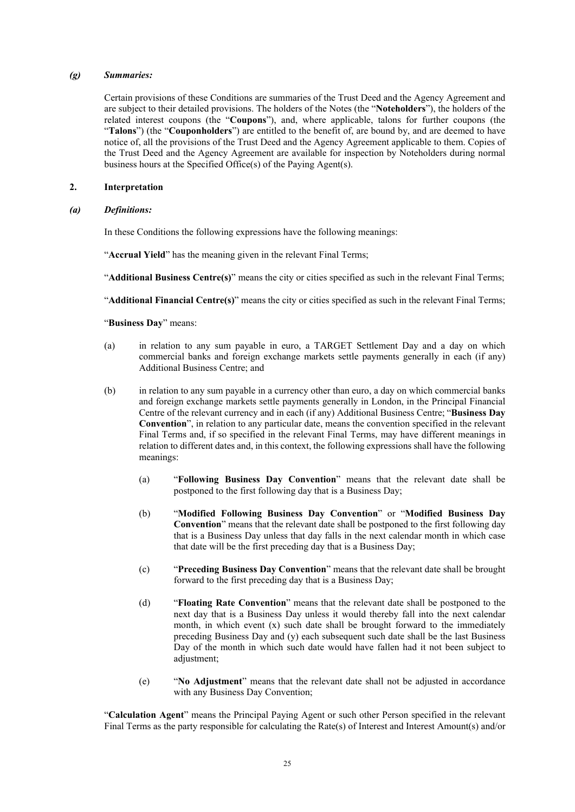#### *(g) Summaries:*

Certain provisions of these Conditions are summaries of the Trust Deed and the Agency Agreement and are subject to their detailed provisions. The holders of the Notes (the "**Noteholders**"), the holders of the related interest coupons (the "**Coupons**"), and, where applicable, talons for further coupons (the "Talons") (the "Couponholders") are entitled to the benefit of, are bound by, and are deemed to have notice of, all the provisions of the Trust Deed and the Agency Agreement applicable to them. Copies of the Trust Deed and the Agency Agreement are available for inspection by Noteholders during normal business hours at the Specified Office(s) of the Paying Agent(s).

#### **2. Interpretation**

#### *(a) Definitions:*

In these Conditions the following expressions have the following meanings:

"**Accrual Yield**" has the meaning given in the relevant Final Terms;

"**Additional Business Centre(s)**" means the city or cities specified as such in the relevant Final Terms;

"**Additional Financial Centre(s)**" means the city or cities specified as such in the relevant Final Terms;

"**Business Day**" means:

- (a) in relation to any sum payable in euro, a TARGET Settlement Day and a day on which commercial banks and foreign exchange markets settle payments generally in each (if any) Additional Business Centre; and
- (b) in relation to any sum payable in a currency other than euro, a day on which commercial banks and foreign exchange markets settle payments generally in London, in the Principal Financial Centre of the relevant currency and in each (if any) Additional Business Centre; "**Business Day Convention**", in relation to any particular date, means the convention specified in the relevant Final Terms and, if so specified in the relevant Final Terms, may have different meanings in relation to different dates and, in this context, the following expressions shall have the following meanings:
	- (a) "**Following Business Day Convention**" means that the relevant date shall be postponed to the first following day that is a Business Day;
	- (b) "**Modified Following Business Day Convention**" or "**Modified Business Day Convention**" means that the relevant date shall be postponed to the first following day that is a Business Day unless that day falls in the next calendar month in which case that date will be the first preceding day that is a Business Day;
	- (c) "**Preceding Business Day Convention**" means that the relevant date shall be brought forward to the first preceding day that is a Business Day;
	- (d) "**Floating Rate Convention**" means that the relevant date shall be postponed to the next day that is a Business Day unless it would thereby fall into the next calendar month, in which event  $(x)$  such date shall be brought forward to the immediately preceding Business Day and (y) each subsequent such date shall be the last Business Day of the month in which such date would have fallen had it not been subject to adjustment;
	- (e) "**No Adjustment**" means that the relevant date shall not be adjusted in accordance with any Business Day Convention;

"**Calculation Agent**" means the Principal Paying Agent or such other Person specified in the relevant Final Terms as the party responsible for calculating the Rate(s) of Interest and Interest Amount(s) and/or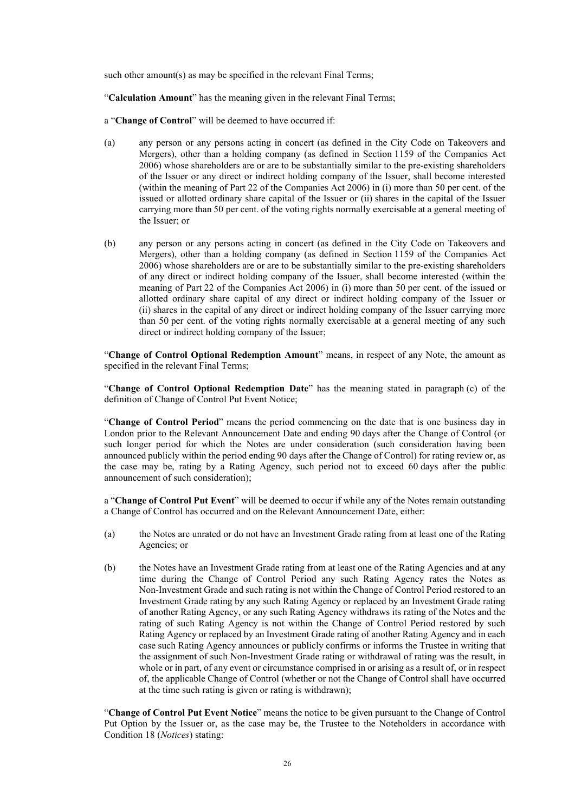such other amount(s) as may be specified in the relevant Final Terms;

"**Calculation Amount**" has the meaning given in the relevant Final Terms;

a "**Change of Control**" will be deemed to have occurred if:

- (a) any person or any persons acting in concert (as defined in the City Code on Takeovers and Mergers), other than a holding company (as defined in Section 1159 of the Companies Act 2006) whose shareholders are or are to be substantially similar to the pre-existing shareholders of the Issuer or any direct or indirect holding company of the Issuer, shall become interested (within the meaning of Part 22 of the Companies Act 2006) in (i) more than 50 per cent. of the issued or allotted ordinary share capital of the Issuer or (ii) shares in the capital of the Issuer carrying more than 50 per cent. of the voting rights normally exercisable at a general meeting of the Issuer; or
- (b) any person or any persons acting in concert (as defined in the City Code on Takeovers and Mergers), other than a holding company (as defined in Section 1159 of the Companies Act 2006) whose shareholders are or are to be substantially similar to the pre-existing shareholders of any direct or indirect holding company of the Issuer, shall become interested (within the meaning of Part 22 of the Companies Act 2006) in (i) more than 50 per cent. of the issued or allotted ordinary share capital of any direct or indirect holding company of the Issuer or (ii) shares in the capital of any direct or indirect holding company of the Issuer carrying more than 50 per cent. of the voting rights normally exercisable at a general meeting of any such direct or indirect holding company of the Issuer;

"**Change of Control Optional Redemption Amount**" means, in respect of any Note, the amount as specified in the relevant Final Terms;

"**Change of Control Optional Redemption Date**" has the meaning stated in paragraph (c) of the definition of Change of Control Put Event Notice;

"**Change of Control Period**" means the period commencing on the date that is one business day in London prior to the Relevant Announcement Date and ending 90 days after the Change of Control (or such longer period for which the Notes are under consideration (such consideration having been announced publicly within the period ending 90 days after the Change of Control) for rating review or, as the case may be, rating by a Rating Agency, such period not to exceed 60 days after the public announcement of such consideration);

a "**Change of Control Put Event**" will be deemed to occur if while any of the Notes remain outstanding a Change of Control has occurred and on the Relevant Announcement Date, either:

- (a) the Notes are unrated or do not have an Investment Grade rating from at least one of the Rating Agencies; or
- (b) the Notes have an Investment Grade rating from at least one of the Rating Agencies and at any time during the Change of Control Period any such Rating Agency rates the Notes as Non-Investment Grade and such rating is not within the Change of Control Period restored to an Investment Grade rating by any such Rating Agency or replaced by an Investment Grade rating of another Rating Agency, or any such Rating Agency withdraws its rating of the Notes and the rating of such Rating Agency is not within the Change of Control Period restored by such Rating Agency or replaced by an Investment Grade rating of another Rating Agency and in each case such Rating Agency announces or publicly confirms or informs the Trustee in writing that the assignment of such Non-Investment Grade rating or withdrawal of rating was the result, in whole or in part, of any event or circumstance comprised in or arising as a result of, or in respect of, the applicable Change of Control (whether or not the Change of Control shall have occurred at the time such rating is given or rating is withdrawn);

"**Change of Control Put Event Notice**" means the notice to be given pursuant to the Change of Control Put Option by the Issuer or, as the case may be, the Trustee to the Noteholders in accordance with Condition 18 (*Notices*) stating: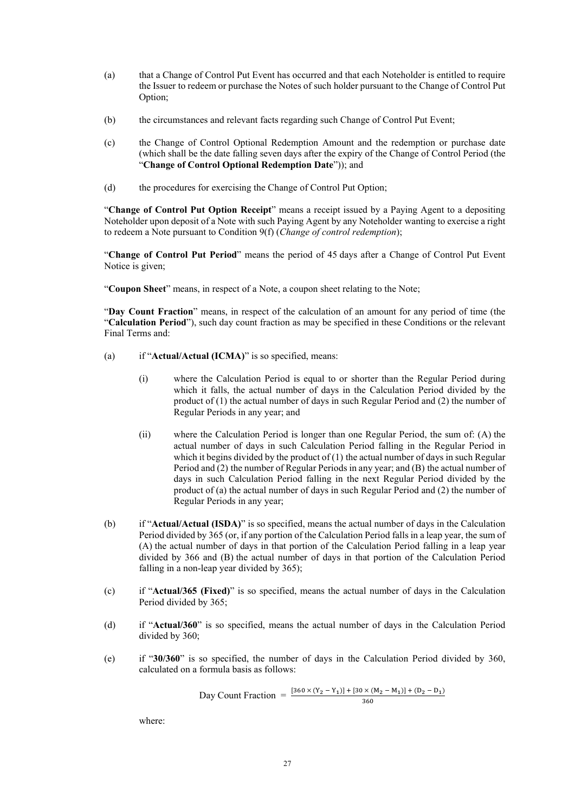- (a) that a Change of Control Put Event has occurred and that each Noteholder is entitled to require the Issuer to redeem or purchase the Notes of such holder pursuant to the Change of Control Put Option;
- (b) the circumstances and relevant facts regarding such Change of Control Put Event;
- (c) the Change of Control Optional Redemption Amount and the redemption or purchase date (which shall be the date falling seven days after the expiry of the Change of Control Period (the "**Change of Control Optional Redemption Date**")); and
- (d) the procedures for exercising the Change of Control Put Option;

"**Change of Control Put Option Receipt**" means a receipt issued by a Paying Agent to a depositing Noteholder upon deposit of a Note with such Paying Agent by any Noteholder wanting to exercise a right to redeem a Note pursuant to Condition 9(f) (*Change of control redemption*);

"**Change of Control Put Period**" means the period of 45 days after a Change of Control Put Event Notice is given;

"**Coupon Sheet**" means, in respect of a Note, a coupon sheet relating to the Note;

"**Day Count Fraction**" means, in respect of the calculation of an amount for any period of time (the "**Calculation Period**"), such day count fraction as may be specified in these Conditions or the relevant Final Terms and:

- (a) if "**Actual/Actual (ICMA)**" is so specified, means:
	- (i) where the Calculation Period is equal to or shorter than the Regular Period during which it falls, the actual number of days in the Calculation Period divided by the product of (1) the actual number of days in such Regular Period and (2) the number of Regular Periods in any year; and
	- (ii) where the Calculation Period is longer than one Regular Period, the sum of: (A) the actual number of days in such Calculation Period falling in the Regular Period in which it begins divided by the product of  $(1)$  the actual number of days in such Regular Period and (2) the number of Regular Periods in any year; and (B) the actual number of days in such Calculation Period falling in the next Regular Period divided by the product of (a) the actual number of days in such Regular Period and (2) the number of Regular Periods in any year;
- (b) if "**Actual/Actual (ISDA)**" is so specified, means the actual number of days in the Calculation Period divided by 365 (or, if any portion of the Calculation Period falls in a leap year, the sum of (A) the actual number of days in that portion of the Calculation Period falling in a leap year divided by 366 and (B) the actual number of days in that portion of the Calculation Period falling in a non-leap year divided by 365):
- (c) if "**Actual/365 (Fixed)**" is so specified, means the actual number of days in the Calculation Period divided by 365;
- (d) if "**Actual/360**" is so specified, means the actual number of days in the Calculation Period divided by 360;
- (e) if "**30/360**" is so specified, the number of days in the Calculation Period divided by 360, calculated on a formula basis as follows:

Day Count Fraction = 
$$
\frac{[360 \times (Y_2 - Y_1)] + [30 \times (M_2 - M_1)] + (D_2 - D_1)}{360}
$$

where: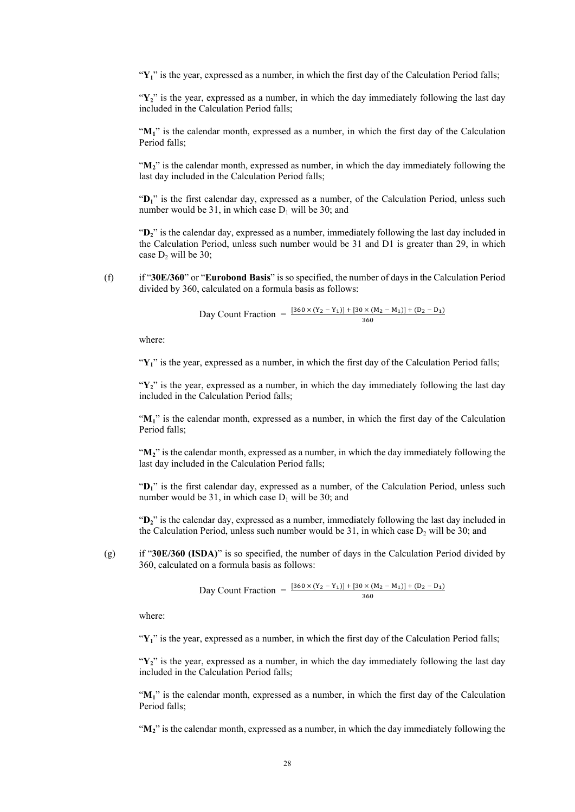"Y<sub>1</sub>" is the year, expressed as a number, in which the first day of the Calculation Period falls;

"Y<sub>2</sub>" is the year, expressed as a number, in which the day immediately following the last day included in the Calculation Period falls;

" $M<sub>1</sub>$ " is the calendar month, expressed as a number, in which the first day of the Calculation Period falls;

"**M2**" is the calendar month, expressed as number, in which the day immediately following the last day included in the Calculation Period falls;

"D<sub>1</sub>" is the first calendar day, expressed as a number, of the Calculation Period, unless such number would be 31, in which case  $D_1$  will be 30; and

"**D2**" is the calendar day, expressed as a number, immediately following the last day included in the Calculation Period, unless such number would be 31 and D1 is greater than 29, in which case  $D_2$  will be 30;

(f) if "**30E/360**" or "**Eurobond Basis**" is so specified, the number of days in the Calculation Period divided by 360, calculated on a formula basis as follows:

Day Count Fraction = 
$$
\frac{[360 \times (Y_2 - Y_1)] + [30 \times (M_2 - M_1)] + (D_2 - D_1)}{360}
$$

where:

"Y<sub>1</sub>" is the year, expressed as a number, in which the first day of the Calculation Period falls;

"Y<sub>2</sub>" is the year, expressed as a number, in which the day immediately following the last day included in the Calculation Period falls;

" $M_1$ " is the calendar month, expressed as a number, in which the first day of the Calculation Period falls;

"**M2**" is the calendar month, expressed as a number, in which the day immediately following the last day included in the Calculation Period falls;

" $D_1$ " is the first calendar day, expressed as a number, of the Calculation Period, unless such number would be 31, in which case  $D_1$  will be 30; and

"D<sub>2</sub>" is the calendar day, expressed as a number, immediately following the last day included in the Calculation Period, unless such number would be 31, in which case  $D_2$  will be 30; and

(g) if "**30E/360 (ISDA)**" is so specified, the number of days in the Calculation Period divided by 360, calculated on a formula basis as follows:

Day Count Fraction = 
$$
\frac{[360 \times (Y_2 - Y_1)] + [30 \times (M_2 - M_1)] + (D_2 - D_1)}{360}
$$

where:

"Y<sub>1</sub>" is the year, expressed as a number, in which the first day of the Calculation Period falls;

"**Y2**" is the year, expressed as a number, in which the day immediately following the last day included in the Calculation Period falls;

"M<sub>1</sub>" is the calendar month, expressed as a number, in which the first day of the Calculation Period falls;

"**M2**" is the calendar month, expressed as a number, in which the day immediately following the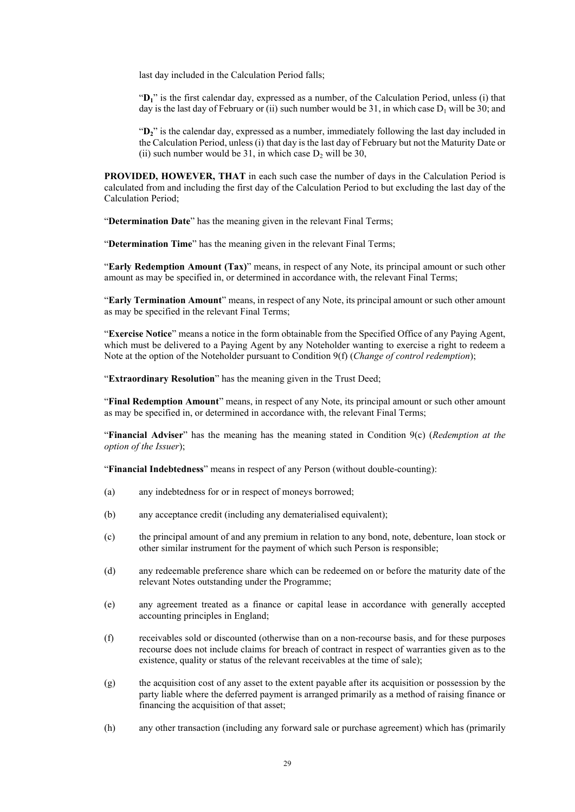last day included in the Calculation Period falls;

"**D1**" is the first calendar day, expressed as a number, of the Calculation Period, unless (i) that day is the last day of February or (ii) such number would be 31, in which case  $D_1$  will be 30; and

"**D2**" is the calendar day, expressed as a number, immediately following the last day included in the Calculation Period, unless (i) that day is the last day of February but not the Maturity Date or (ii) such number would be 31, in which case  $D_2$  will be 30,

**PROVIDED, HOWEVER, THAT** in each such case the number of days in the Calculation Period is calculated from and including the first day of the Calculation Period to but excluding the last day of the Calculation Period;

"**Determination Date**" has the meaning given in the relevant Final Terms;

"**Determination Time**" has the meaning given in the relevant Final Terms;

"**Early Redemption Amount (Tax)**" means, in respect of any Note, its principal amount or such other amount as may be specified in, or determined in accordance with, the relevant Final Terms;

"**Early Termination Amount**" means, in respect of any Note, its principal amount or such other amount as may be specified in the relevant Final Terms;

"**Exercise Notice**" means a notice in the form obtainable from the Specified Office of any Paying Agent, which must be delivered to a Paying Agent by any Noteholder wanting to exercise a right to redeem a Note at the option of the Noteholder pursuant to Condition 9(f) (*Change of control redemption*);

"**Extraordinary Resolution**" has the meaning given in the Trust Deed;

"**Final Redemption Amount**" means, in respect of any Note, its principal amount or such other amount as may be specified in, or determined in accordance with, the relevant Final Terms;

"**Financial Adviser**" has the meaning has the meaning stated in Condition 9(c) (*Redemption at the option of the Issuer*);

"**Financial Indebtedness**" means in respect of any Person (without double-counting):

- (a) any indebtedness for or in respect of moneys borrowed;
- (b) any acceptance credit (including any dematerialised equivalent);
- (c) the principal amount of and any premium in relation to any bond, note, debenture, loan stock or other similar instrument for the payment of which such Person is responsible;
- (d) any redeemable preference share which can be redeemed on or before the maturity date of the relevant Notes outstanding under the Programme;
- (e) any agreement treated as a finance or capital lease in accordance with generally accepted accounting principles in England;
- (f) receivables sold or discounted (otherwise than on a non-recourse basis, and for these purposes recourse does not include claims for breach of contract in respect of warranties given as to the existence, quality or status of the relevant receivables at the time of sale);
- (g) the acquisition cost of any asset to the extent payable after its acquisition or possession by the party liable where the deferred payment is arranged primarily as a method of raising finance or financing the acquisition of that asset;
- (h) any other transaction (including any forward sale or purchase agreement) which has (primarily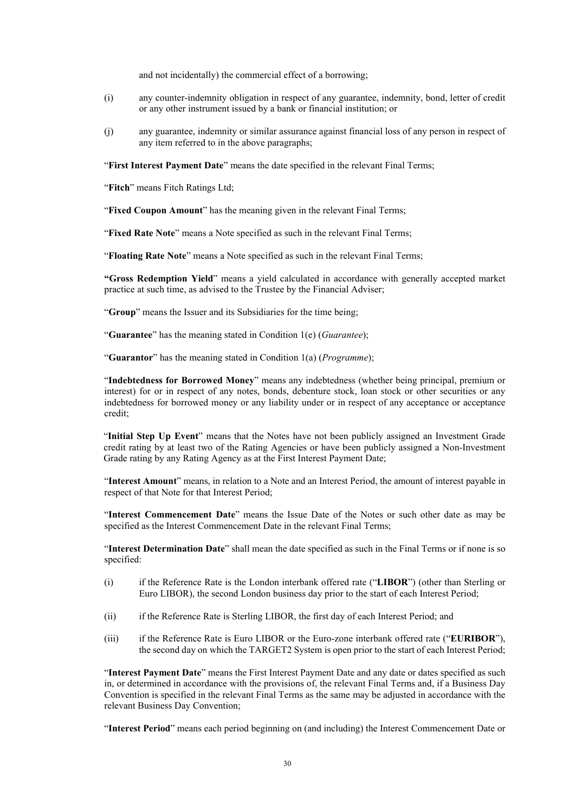and not incidentally) the commercial effect of a borrowing;

- (i) any counter-indemnity obligation in respect of any guarantee, indemnity, bond, letter of credit or any other instrument issued by a bank or financial institution; or
- (j) any guarantee, indemnity or similar assurance against financial loss of any person in respect of any item referred to in the above paragraphs;

"**First Interest Payment Date**" means the date specified in the relevant Final Terms;

"**Fitch**" means Fitch Ratings Ltd;

"**Fixed Coupon Amount**" has the meaning given in the relevant Final Terms;

"**Fixed Rate Note**" means a Note specified as such in the relevant Final Terms;

"**Floating Rate Note**" means a Note specified as such in the relevant Final Terms;

**"Gross Redemption Yield**" means a yield calculated in accordance with generally accepted market practice at such time, as advised to the Trustee by the Financial Adviser;

"**Group**" means the Issuer and its Subsidiaries for the time being;

"**Guarantee**" has the meaning stated in Condition 1(e) (*Guarantee*);

"**Guarantor**" has the meaning stated in Condition 1(a) (*Programme*);

"**Indebtedness for Borrowed Money**" means any indebtedness (whether being principal, premium or interest) for or in respect of any notes, bonds, debenture stock, loan stock or other securities or any indebtedness for borrowed money or any liability under or in respect of any acceptance or acceptance credit;

"**Initial Step Up Event**" means that the Notes have not been publicly assigned an Investment Grade credit rating by at least two of the Rating Agencies or have been publicly assigned a Non-Investment Grade rating by any Rating Agency as at the First Interest Payment Date;

"**Interest Amount**" means, in relation to a Note and an Interest Period, the amount of interest payable in respect of that Note for that Interest Period;

"**Interest Commencement Date**" means the Issue Date of the Notes or such other date as may be specified as the Interest Commencement Date in the relevant Final Terms;

"**Interest Determination Date**" shall mean the date specified as such in the Final Terms or if none is so specified:

- (i) if the Reference Rate is the London interbank offered rate ("**LIBOR**") (other than Sterling or Euro LIBOR), the second London business day prior to the start of each Interest Period;
- (ii) if the Reference Rate is Sterling LIBOR, the first day of each Interest Period; and
- (iii) if the Reference Rate is Euro LIBOR or the Euro-zone interbank offered rate ("**EURIBOR**"), the second day on which the TARGET2 System is open prior to the start of each Interest Period;

"**Interest Payment Date**" means the First Interest Payment Date and any date or dates specified as such in, or determined in accordance with the provisions of, the relevant Final Terms and, if a Business Day Convention is specified in the relevant Final Terms as the same may be adjusted in accordance with the relevant Business Day Convention;

"**Interest Period**" means each period beginning on (and including) the Interest Commencement Date or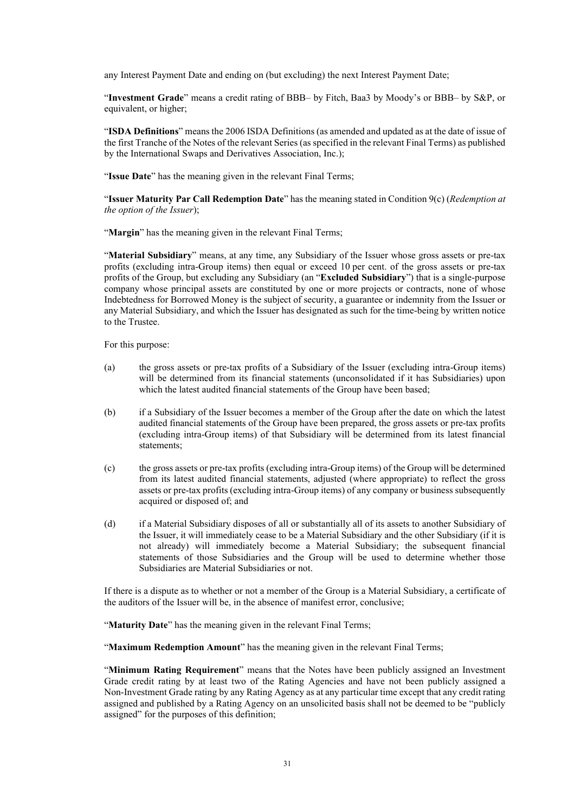any Interest Payment Date and ending on (but excluding) the next Interest Payment Date;

"**Investment Grade**" means a credit rating of BBB– by Fitch, Baa3 by Moody's or BBB– by S&P, or equivalent, or higher;

"**ISDA Definitions**" means the 2006 ISDA Definitions (as amended and updated as at the date of issue of the first Tranche of the Notes of the relevant Series (as specified in the relevant Final Terms) as published by the International Swaps and Derivatives Association, Inc.);

"**Issue Date**" has the meaning given in the relevant Final Terms;

"**Issuer Maturity Par Call Redemption Date**" has the meaning stated in Condition 9(c) (*Redemption at the option of the Issuer*);

"**Margin**" has the meaning given in the relevant Final Terms;

"**Material Subsidiary**" means, at any time, any Subsidiary of the Issuer whose gross assets or pre-tax profits (excluding intra-Group items) then equal or exceed 10 per cent. of the gross assets or pre-tax profits of the Group, but excluding any Subsidiary (an "**Excluded Subsidiary**") that is a single-purpose company whose principal assets are constituted by one or more projects or contracts, none of whose Indebtedness for Borrowed Money is the subject of security, a guarantee or indemnity from the Issuer or any Material Subsidiary, and which the Issuer has designated as such for the time-being by written notice to the Trustee.

For this purpose:

- (a) the gross assets or pre-tax profits of a Subsidiary of the Issuer (excluding intra-Group items) will be determined from its financial statements (unconsolidated if it has Subsidiaries) upon which the latest audited financial statements of the Group have been based;
- (b) if a Subsidiary of the Issuer becomes a member of the Group after the date on which the latest audited financial statements of the Group have been prepared, the gross assets or pre-tax profits (excluding intra-Group items) of that Subsidiary will be determined from its latest financial statements;
- (c) the gross assets or pre-tax profits (excluding intra-Group items) of the Group will be determined from its latest audited financial statements, adjusted (where appropriate) to reflect the gross assets or pre-tax profits (excluding intra-Group items) of any company or business subsequently acquired or disposed of; and
- (d) if a Material Subsidiary disposes of all or substantially all of its assets to another Subsidiary of the Issuer, it will immediately cease to be a Material Subsidiary and the other Subsidiary (if it is not already) will immediately become a Material Subsidiary; the subsequent financial statements of those Subsidiaries and the Group will be used to determine whether those Subsidiaries are Material Subsidiaries or not.

If there is a dispute as to whether or not a member of the Group is a Material Subsidiary, a certificate of the auditors of the Issuer will be, in the absence of manifest error, conclusive;

"**Maturity Date**" has the meaning given in the relevant Final Terms;

"**Maximum Redemption Amount**" has the meaning given in the relevant Final Terms;

"**Minimum Rating Requirement**" means that the Notes have been publicly assigned an Investment Grade credit rating by at least two of the Rating Agencies and have not been publicly assigned a Non-Investment Grade rating by any Rating Agency as at any particular time except that any credit rating assigned and published by a Rating Agency on an unsolicited basis shall not be deemed to be "publicly assigned" for the purposes of this definition;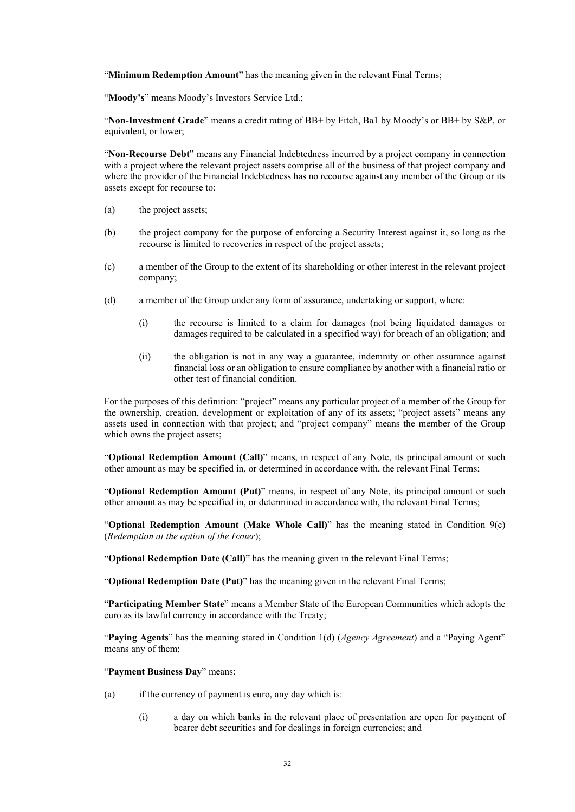"**Minimum Redemption Amount**" has the meaning given in the relevant Final Terms;

"**Moody's**" means Moody's Investors Service Ltd.;

"**Non-Investment Grade**" means a credit rating of BB+ by Fitch, Ba1 by Moody's or BB+ by S&P, or equivalent, or lower;

"**Non-Recourse Debt**" means any Financial Indebtedness incurred by a project company in connection with a project where the relevant project assets comprise all of the business of that project company and where the provider of the Financial Indebtedness has no recourse against any member of the Group or its assets except for recourse to:

- (a) the project assets;
- (b) the project company for the purpose of enforcing a Security Interest against it, so long as the recourse is limited to recoveries in respect of the project assets;
- (c) a member of the Group to the extent of its shareholding or other interest in the relevant project company;
- (d) a member of the Group under any form of assurance, undertaking or support, where:
	- (i) the recourse is limited to a claim for damages (not being liquidated damages or damages required to be calculated in a specified way) for breach of an obligation; and
	- (ii) the obligation is not in any way a guarantee, indemnity or other assurance against financial loss or an obligation to ensure compliance by another with a financial ratio or other test of financial condition.

For the purposes of this definition: "project" means any particular project of a member of the Group for the ownership, creation, development or exploitation of any of its assets; "project assets" means any assets used in connection with that project; and "project company" means the member of the Group which owns the project assets;

"**Optional Redemption Amount (Call)**" means, in respect of any Note, its principal amount or such other amount as may be specified in, or determined in accordance with, the relevant Final Terms;

"**Optional Redemption Amount (Put)**" means, in respect of any Note, its principal amount or such other amount as may be specified in, or determined in accordance with, the relevant Final Terms;

"**Optional Redemption Amount (Make Whole Call)**" has the meaning stated in Condition 9(c) (*Redemption at the option of the Issuer*);

"**Optional Redemption Date (Call)**" has the meaning given in the relevant Final Terms;

"**Optional Redemption Date (Put)**" has the meaning given in the relevant Final Terms;

"**Participating Member State**" means a Member State of the European Communities which adopts the euro as its lawful currency in accordance with the Treaty;

"**Paying Agents**" has the meaning stated in Condition 1(d) (*Agency Agreement*) and a "Paying Agent" means any of them;

# "**Payment Business Day**" means:

- (a) if the currency of payment is euro, any day which is:
	- (i) a day on which banks in the relevant place of presentation are open for payment of bearer debt securities and for dealings in foreign currencies; and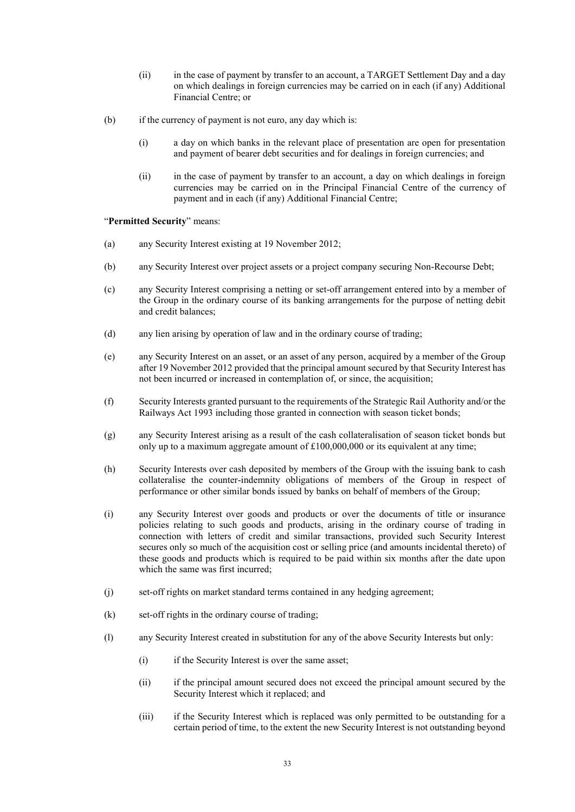- (ii) in the case of payment by transfer to an account, a TARGET Settlement Day and a day on which dealings in foreign currencies may be carried on in each (if any) Additional Financial Centre; or
- (b) if the currency of payment is not euro, any day which is:
	- (i) a day on which banks in the relevant place of presentation are open for presentation and payment of bearer debt securities and for dealings in foreign currencies; and
	- (ii) in the case of payment by transfer to an account, a day on which dealings in foreign currencies may be carried on in the Principal Financial Centre of the currency of payment and in each (if any) Additional Financial Centre;

"**Permitted Security**" means:

- (a) any Security Interest existing at 19 November 2012;
- (b) any Security Interest over project assets or a project company securing Non-Recourse Debt;
- (c) any Security Interest comprising a netting or set-off arrangement entered into by a member of the Group in the ordinary course of its banking arrangements for the purpose of netting debit and credit balances;
- (d) any lien arising by operation of law and in the ordinary course of trading;
- (e) any Security Interest on an asset, or an asset of any person, acquired by a member of the Group after 19 November 2012 provided that the principal amount secured by that Security Interest has not been incurred or increased in contemplation of, or since, the acquisition;
- (f) Security Interests granted pursuant to the requirements of the Strategic Rail Authority and/or the Railways Act 1993 including those granted in connection with season ticket bonds;
- (g) any Security Interest arising as a result of the cash collateralisation of season ticket bonds but only up to a maximum aggregate amount of £100,000,000 or its equivalent at any time;
- (h) Security Interests over cash deposited by members of the Group with the issuing bank to cash collateralise the counter-indemnity obligations of members of the Group in respect of performance or other similar bonds issued by banks on behalf of members of the Group;
- (i) any Security Interest over goods and products or over the documents of title or insurance policies relating to such goods and products, arising in the ordinary course of trading in connection with letters of credit and similar transactions, provided such Security Interest secures only so much of the acquisition cost or selling price (and amounts incidental thereto) of these goods and products which is required to be paid within six months after the date upon which the same was first incurred:
- (j) set-off rights on market standard terms contained in any hedging agreement;
- (k) set-off rights in the ordinary course of trading;
- (l) any Security Interest created in substitution for any of the above Security Interests but only:
	- (i) if the Security Interest is over the same asset;
	- (ii) if the principal amount secured does not exceed the principal amount secured by the Security Interest which it replaced; and
	- (iii) if the Security Interest which is replaced was only permitted to be outstanding for a certain period of time, to the extent the new Security Interest is not outstanding beyond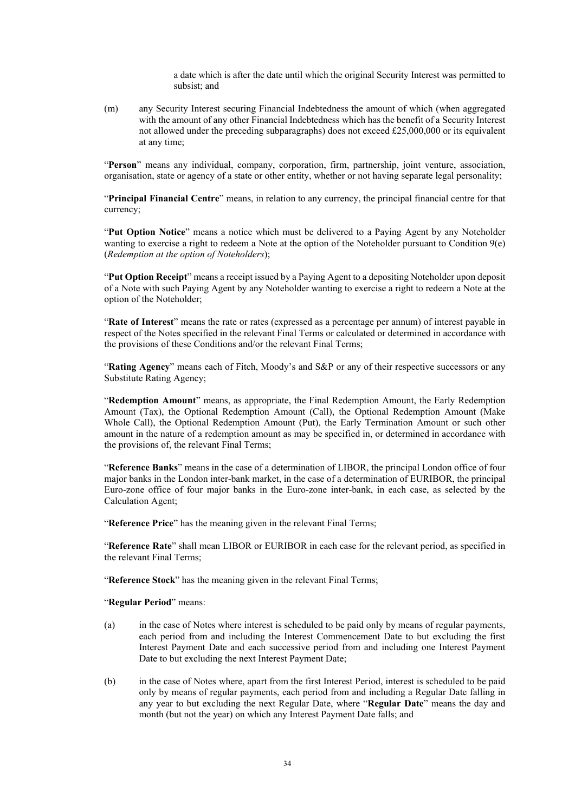a date which is after the date until which the original Security Interest was permitted to subsist; and

(m) any Security Interest securing Financial Indebtedness the amount of which (when aggregated with the amount of any other Financial Indebtedness which has the benefit of a Security Interest not allowed under the preceding subparagraphs) does not exceed £25,000,000 or its equivalent at any time;

"**Person**" means any individual, company, corporation, firm, partnership, joint venture, association, organisation, state or agency of a state or other entity, whether or not having separate legal personality;

"**Principal Financial Centre**" means, in relation to any currency, the principal financial centre for that currency;

"**Put Option Notice**" means a notice which must be delivered to a Paying Agent by any Noteholder wanting to exercise a right to redeem a Note at the option of the Noteholder pursuant to Condition 9(e) (*Redemption at the option of Noteholders*);

"**Put Option Receipt**" means a receipt issued by a Paying Agent to a depositing Noteholder upon deposit of a Note with such Paying Agent by any Noteholder wanting to exercise a right to redeem a Note at the option of the Noteholder;

"**Rate of Interest**" means the rate or rates (expressed as a percentage per annum) of interest payable in respect of the Notes specified in the relevant Final Terms or calculated or determined in accordance with the provisions of these Conditions and/or the relevant Final Terms;

"Rating Agency" means each of Fitch, Moody's and S&P or any of their respective successors or any Substitute Rating Agency;

"**Redemption Amount**" means, as appropriate, the Final Redemption Amount, the Early Redemption Amount (Tax), the Optional Redemption Amount (Call), the Optional Redemption Amount (Make Whole Call), the Optional Redemption Amount (Put), the Early Termination Amount or such other amount in the nature of a redemption amount as may be specified in, or determined in accordance with the provisions of, the relevant Final Terms;

"**Reference Banks**" means in the case of a determination of LIBOR, the principal London office of four major banks in the London inter-bank market, in the case of a determination of EURIBOR, the principal Euro-zone office of four major banks in the Euro-zone inter-bank, in each case, as selected by the Calculation Agent;

"**Reference Price**" has the meaning given in the relevant Final Terms;

"**Reference Rate**" shall mean LIBOR or EURIBOR in each case for the relevant period, as specified in the relevant Final Terms;

"**Reference Stock**" has the meaning given in the relevant Final Terms;

#### "**Regular Period**" means:

- (a) in the case of Notes where interest is scheduled to be paid only by means of regular payments, each period from and including the Interest Commencement Date to but excluding the first Interest Payment Date and each successive period from and including one Interest Payment Date to but excluding the next Interest Payment Date;
- (b) in the case of Notes where, apart from the first Interest Period, interest is scheduled to be paid only by means of regular payments, each period from and including a Regular Date falling in any year to but excluding the next Regular Date, where "**Regular Date**" means the day and month (but not the year) on which any Interest Payment Date falls; and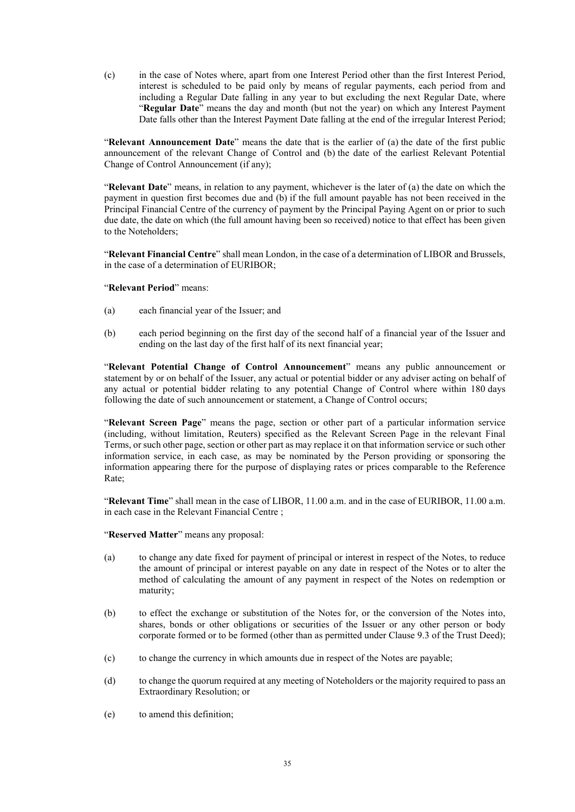(c) in the case of Notes where, apart from one Interest Period other than the first Interest Period, interest is scheduled to be paid only by means of regular payments, each period from and including a Regular Date falling in any year to but excluding the next Regular Date, where "**Regular Date**" means the day and month (but not the year) on which any Interest Payment Date falls other than the Interest Payment Date falling at the end of the irregular Interest Period;

"**Relevant Announcement Date**" means the date that is the earlier of (a) the date of the first public announcement of the relevant Change of Control and (b) the date of the earliest Relevant Potential Change of Control Announcement (if any);

"**Relevant Date**" means, in relation to any payment, whichever is the later of (a) the date on which the payment in question first becomes due and (b) if the full amount payable has not been received in the Principal Financial Centre of the currency of payment by the Principal Paying Agent on or prior to such due date, the date on which (the full amount having been so received) notice to that effect has been given to the Noteholders;

"**Relevant Financial Centre**" shall mean London, in the case of a determination of LIBOR and Brussels, in the case of a determination of EURIBOR;

### "**Relevant Period**" means:

- (a) each financial year of the Issuer; and
- (b) each period beginning on the first day of the second half of a financial year of the Issuer and ending on the last day of the first half of its next financial year;

"**Relevant Potential Change of Control Announcement**" means any public announcement or statement by or on behalf of the Issuer, any actual or potential bidder or any adviser acting on behalf of any actual or potential bidder relating to any potential Change of Control where within 180 days following the date of such announcement or statement, a Change of Control occurs;

"**Relevant Screen Page**" means the page, section or other part of a particular information service (including, without limitation, Reuters) specified as the Relevant Screen Page in the relevant Final Terms, or such other page, section or other part as may replace it on that information service or such other information service, in each case, as may be nominated by the Person providing or sponsoring the information appearing there for the purpose of displaying rates or prices comparable to the Reference Rate;

"**Relevant Time**" shall mean in the case of LIBOR, 11.00 a.m. and in the case of EURIBOR, 11.00 a.m. in each case in the Relevant Financial Centre ;

"**Reserved Matter**" means any proposal:

- (a) to change any date fixed for payment of principal or interest in respect of the Notes, to reduce the amount of principal or interest payable on any date in respect of the Notes or to alter the method of calculating the amount of any payment in respect of the Notes on redemption or maturity;
- (b) to effect the exchange or substitution of the Notes for, or the conversion of the Notes into, shares, bonds or other obligations or securities of the Issuer or any other person or body corporate formed or to be formed (other than as permitted under Clause 9.3 of the Trust Deed);
- (c) to change the currency in which amounts due in respect of the Notes are payable;
- (d) to change the quorum required at any meeting of Noteholders or the majority required to pass an Extraordinary Resolution; or
- (e) to amend this definition;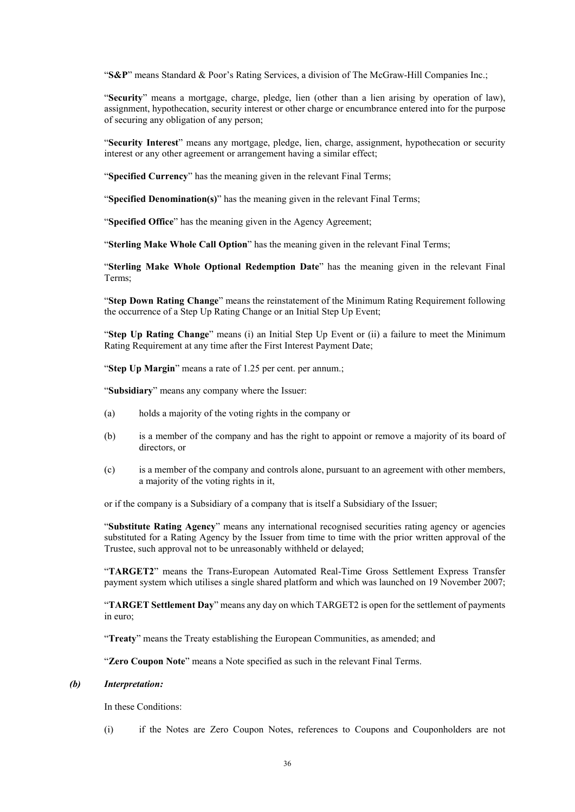"**S&P**" means Standard & Poor's Rating Services, a division of The McGraw-Hill Companies Inc.;

"**Security**" means a mortgage, charge, pledge, lien (other than a lien arising by operation of law), assignment, hypothecation, security interest or other charge or encumbrance entered into for the purpose of securing any obligation of any person;

"**Security Interest**" means any mortgage, pledge, lien, charge, assignment, hypothecation or security interest or any other agreement or arrangement having a similar effect;

"**Specified Currency**" has the meaning given in the relevant Final Terms;

"**Specified Denomination(s)**" has the meaning given in the relevant Final Terms;

"**Specified Office**" has the meaning given in the Agency Agreement;

"**Sterling Make Whole Call Option**" has the meaning given in the relevant Final Terms;

"**Sterling Make Whole Optional Redemption Date**" has the meaning given in the relevant Final Terms;

"**Step Down Rating Change**" means the reinstatement of the Minimum Rating Requirement following the occurrence of a Step Up Rating Change or an Initial Step Up Event;

"**Step Up Rating Change**" means (i) an Initial Step Up Event or (ii) a failure to meet the Minimum Rating Requirement at any time after the First Interest Payment Date;

"**Step Up Margin**" means a rate of 1.25 per cent. per annum.;

"**Subsidiary**" means any company where the Issuer:

- (a) holds a majority of the voting rights in the company or
- (b) is a member of the company and has the right to appoint or remove a majority of its board of directors, or
- (c) is a member of the company and controls alone, pursuant to an agreement with other members, a majority of the voting rights in it,

or if the company is a Subsidiary of a company that is itself a Subsidiary of the Issuer;

"**Substitute Rating Agency**" means any international recognised securities rating agency or agencies substituted for a Rating Agency by the Issuer from time to time with the prior written approval of the Trustee, such approval not to be unreasonably withheld or delayed;

"**TARGET2**" means the Trans-European Automated Real-Time Gross Settlement Express Transfer payment system which utilises a single shared platform and which was launched on 19 November 2007;

"**TARGET Settlement Day**" means any day on which TARGET2 is open for the settlement of payments in euro;

"**Treaty**" means the Treaty establishing the European Communities, as amended; and

"**Zero Coupon Note**" means a Note specified as such in the relevant Final Terms.

### *(b) Interpretation:*

In these Conditions:

(i) if the Notes are Zero Coupon Notes, references to Coupons and Couponholders are not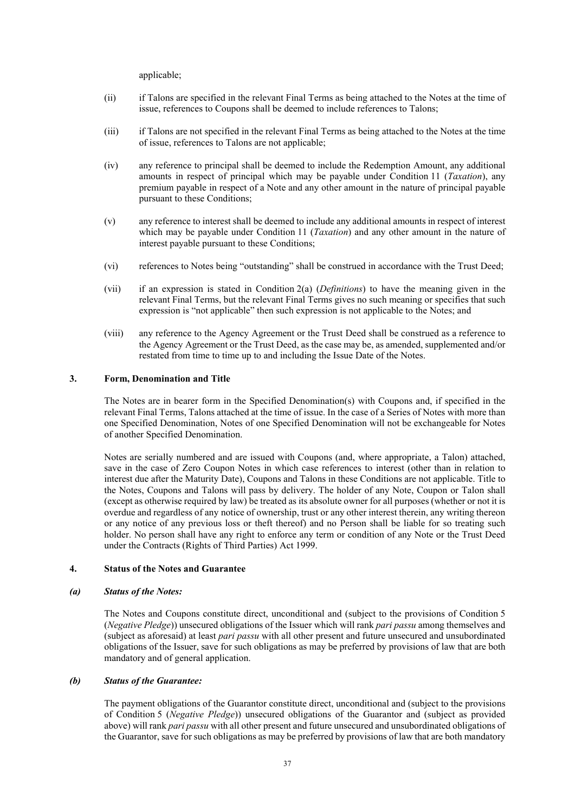applicable;

- (ii) if Talons are specified in the relevant Final Terms as being attached to the Notes at the time of issue, references to Coupons shall be deemed to include references to Talons;
- (iii) if Talons are not specified in the relevant Final Terms as being attached to the Notes at the time of issue, references to Talons are not applicable;
- (iv) any reference to principal shall be deemed to include the Redemption Amount, any additional amounts in respect of principal which may be payable under Condition 11 (*Taxation*), any premium payable in respect of a Note and any other amount in the nature of principal payable pursuant to these Conditions;
- (v) any reference to interest shall be deemed to include any additional amounts in respect of interest which may be payable under Condition 11 (*Taxation*) and any other amount in the nature of interest payable pursuant to these Conditions;
- (vi) references to Notes being "outstanding" shall be construed in accordance with the Trust Deed;
- (vii) if an expression is stated in Condition 2(a) (*Definitions*) to have the meaning given in the relevant Final Terms, but the relevant Final Terms gives no such meaning or specifies that such expression is "not applicable" then such expression is not applicable to the Notes; and
- (viii) any reference to the Agency Agreement or the Trust Deed shall be construed as a reference to the Agency Agreement or the Trust Deed, as the case may be, as amended, supplemented and/or restated from time to time up to and including the Issue Date of the Notes.

### **3. Form, Denomination and Title**

The Notes are in bearer form in the Specified Denomination(s) with Coupons and, if specified in the relevant Final Terms, Talons attached at the time of issue. In the case of a Series of Notes with more than one Specified Denomination, Notes of one Specified Denomination will not be exchangeable for Notes of another Specified Denomination.

Notes are serially numbered and are issued with Coupons (and, where appropriate, a Talon) attached, save in the case of Zero Coupon Notes in which case references to interest (other than in relation to interest due after the Maturity Date), Coupons and Talons in these Conditions are not applicable. Title to the Notes, Coupons and Talons will pass by delivery. The holder of any Note, Coupon or Talon shall (except as otherwise required by law) be treated as its absolute owner for all purposes (whether or not it is overdue and regardless of any notice of ownership, trust or any other interest therein, any writing thereon or any notice of any previous loss or theft thereof) and no Person shall be liable for so treating such holder. No person shall have any right to enforce any term or condition of any Note or the Trust Deed under the Contracts (Rights of Third Parties) Act 1999.

# **4. Status of the Notes and Guarantee**

#### *(a) Status of the Notes:*

The Notes and Coupons constitute direct, unconditional and (subject to the provisions of Condition 5 (*Negative Pledge*)) unsecured obligations of the Issuer which will rank *pari passu* among themselves and (subject as aforesaid) at least *pari passu* with all other present and future unsecured and unsubordinated obligations of the Issuer, save for such obligations as may be preferred by provisions of law that are both mandatory and of general application.

# *(b) Status of the Guarantee:*

The payment obligations of the Guarantor constitute direct, unconditional and (subject to the provisions of Condition 5 (*Negative Pledge*)) unsecured obligations of the Guarantor and (subject as provided above) will rank *pari passu* with all other present and future unsecured and unsubordinated obligations of the Guarantor, save for such obligations as may be preferred by provisions of law that are both mandatory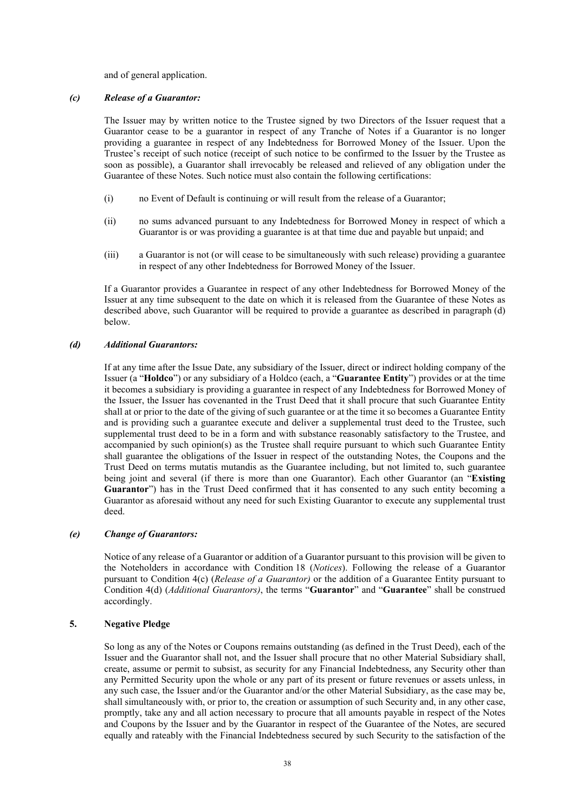and of general application.

## *(c) Release of a Guarantor:*

The Issuer may by written notice to the Trustee signed by two Directors of the Issuer request that a Guarantor cease to be a guarantor in respect of any Tranche of Notes if a Guarantor is no longer providing a guarantee in respect of any Indebtedness for Borrowed Money of the Issuer. Upon the Trustee's receipt of such notice (receipt of such notice to be confirmed to the Issuer by the Trustee as soon as possible), a Guarantor shall irrevocably be released and relieved of any obligation under the Guarantee of these Notes. Such notice must also contain the following certifications:

- (i) no Event of Default is continuing or will result from the release of a Guarantor;
- (ii) no sums advanced pursuant to any Indebtedness for Borrowed Money in respect of which a Guarantor is or was providing a guarantee is at that time due and payable but unpaid; and
- (iii) a Guarantor is not (or will cease to be simultaneously with such release) providing a guarantee in respect of any other Indebtedness for Borrowed Money of the Issuer.

If a Guarantor provides a Guarantee in respect of any other Indebtedness for Borrowed Money of the Issuer at any time subsequent to the date on which it is released from the Guarantee of these Notes as described above, such Guarantor will be required to provide a guarantee as described in paragraph (d) below.

### *(d) Additional Guarantors:*

If at any time after the Issue Date, any subsidiary of the Issuer, direct or indirect holding company of the Issuer (a "**Holdco**") or any subsidiary of a Holdco (each, a "**Guarantee Entity**") provides or at the time it becomes a subsidiary is providing a guarantee in respect of any Indebtedness for Borrowed Money of the Issuer, the Issuer has covenanted in the Trust Deed that it shall procure that such Guarantee Entity shall at or prior to the date of the giving of such guarantee or at the time it so becomes a Guarantee Entity and is providing such a guarantee execute and deliver a supplemental trust deed to the Trustee, such supplemental trust deed to be in a form and with substance reasonably satisfactory to the Trustee, and accompanied by such opinion(s) as the Trustee shall require pursuant to which such Guarantee Entity shall guarantee the obligations of the Issuer in respect of the outstanding Notes, the Coupons and the Trust Deed on terms mutatis mutandis as the Guarantee including, but not limited to, such guarantee being joint and several (if there is more than one Guarantor). Each other Guarantor (an "**Existing Guarantor**") has in the Trust Deed confirmed that it has consented to any such entity becoming a Guarantor as aforesaid without any need for such Existing Guarantor to execute any supplemental trust deed.

# *(e) Change of Guarantors:*

Notice of any release of a Guarantor or addition of a Guarantor pursuant to this provision will be given to the Noteholders in accordance with Condition 18 (*Notices*). Following the release of a Guarantor pursuant to Condition 4(c) (*Release of a Guarantor)* or the addition of a Guarantee Entity pursuant to Condition 4(d) (*Additional Guarantors)*, the terms "**Guarantor**" and "**Guarantee**" shall be construed accordingly.

# **5. Negative Pledge**

So long as any of the Notes or Coupons remains outstanding (as defined in the Trust Deed), each of the Issuer and the Guarantor shall not, and the Issuer shall procure that no other Material Subsidiary shall, create, assume or permit to subsist, as security for any Financial Indebtedness, any Security other than any Permitted Security upon the whole or any part of its present or future revenues or assets unless, in any such case, the Issuer and/or the Guarantor and/or the other Material Subsidiary, as the case may be, shall simultaneously with, or prior to, the creation or assumption of such Security and, in any other case, promptly, take any and all action necessary to procure that all amounts payable in respect of the Notes and Coupons by the Issuer and by the Guarantor in respect of the Guarantee of the Notes, are secured equally and rateably with the Financial Indebtedness secured by such Security to the satisfaction of the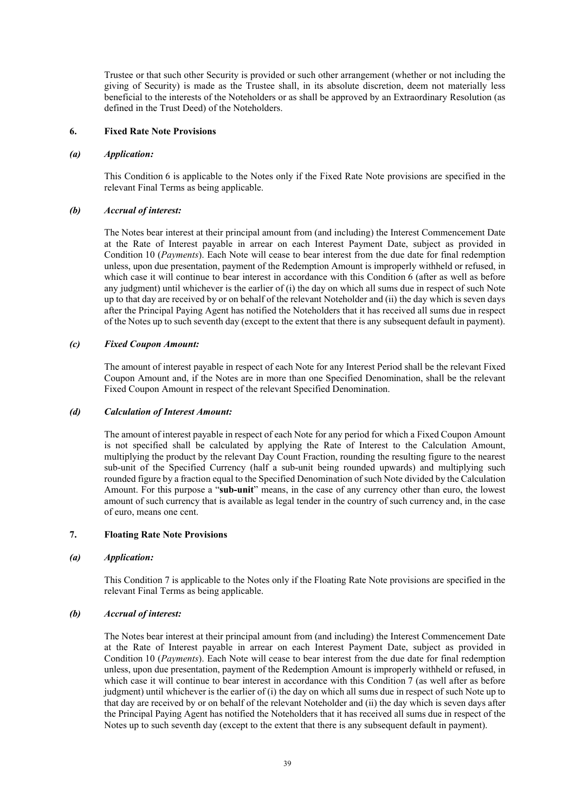Trustee or that such other Security is provided or such other arrangement (whether or not including the giving of Security) is made as the Trustee shall, in its absolute discretion, deem not materially less beneficial to the interests of the Noteholders or as shall be approved by an Extraordinary Resolution (as defined in the Trust Deed) of the Noteholders.

### **6. Fixed Rate Note Provisions**

### *(a) Application:*

This Condition 6 is applicable to the Notes only if the Fixed Rate Note provisions are specified in the relevant Final Terms as being applicable.

# *(b) Accrual of interest:*

The Notes bear interest at their principal amount from (and including) the Interest Commencement Date at the Rate of Interest payable in arrear on each Interest Payment Date, subject as provided in Condition 10 (*Payments*). Each Note will cease to bear interest from the due date for final redemption unless, upon due presentation, payment of the Redemption Amount is improperly withheld or refused, in which case it will continue to bear interest in accordance with this Condition 6 (after as well as before any judgment) until whichever is the earlier of (i) the day on which all sums due in respect of such Note up to that day are received by or on behalf of the relevant Noteholder and (ii) the day which is seven days after the Principal Paying Agent has notified the Noteholders that it has received all sums due in respect of the Notes up to such seventh day (except to the extent that there is any subsequent default in payment).

# *(c) Fixed Coupon Amount:*

The amount of interest payable in respect of each Note for any Interest Period shall be the relevant Fixed Coupon Amount and, if the Notes are in more than one Specified Denomination, shall be the relevant Fixed Coupon Amount in respect of the relevant Specified Denomination.

# *(d) Calculation of Interest Amount:*

The amount of interest payable in respect of each Note for any period for which a Fixed Coupon Amount is not specified shall be calculated by applying the Rate of Interest to the Calculation Amount, multiplying the product by the relevant Day Count Fraction, rounding the resulting figure to the nearest sub-unit of the Specified Currency (half a sub-unit being rounded upwards) and multiplying such rounded figure by a fraction equal to the Specified Denomination of such Note divided by the Calculation Amount. For this purpose a "**sub-unit**" means, in the case of any currency other than euro, the lowest amount of such currency that is available as legal tender in the country of such currency and, in the case of euro, means one cent.

# **7. Floating Rate Note Provisions**

#### *(a) Application:*

This Condition 7 is applicable to the Notes only if the Floating Rate Note provisions are specified in the relevant Final Terms as being applicable.

# *(b) Accrual of interest:*

The Notes bear interest at their principal amount from (and including) the Interest Commencement Date at the Rate of Interest payable in arrear on each Interest Payment Date, subject as provided in Condition 10 (*Payments*). Each Note will cease to bear interest from the due date for final redemption unless, upon due presentation, payment of the Redemption Amount is improperly withheld or refused, in which case it will continue to bear interest in accordance with this Condition 7 (as well after as before judgment) until whichever is the earlier of (i) the day on which all sums due in respect of such Note up to that day are received by or on behalf of the relevant Noteholder and (ii) the day which is seven days after the Principal Paying Agent has notified the Noteholders that it has received all sums due in respect of the Notes up to such seventh day (except to the extent that there is any subsequent default in payment).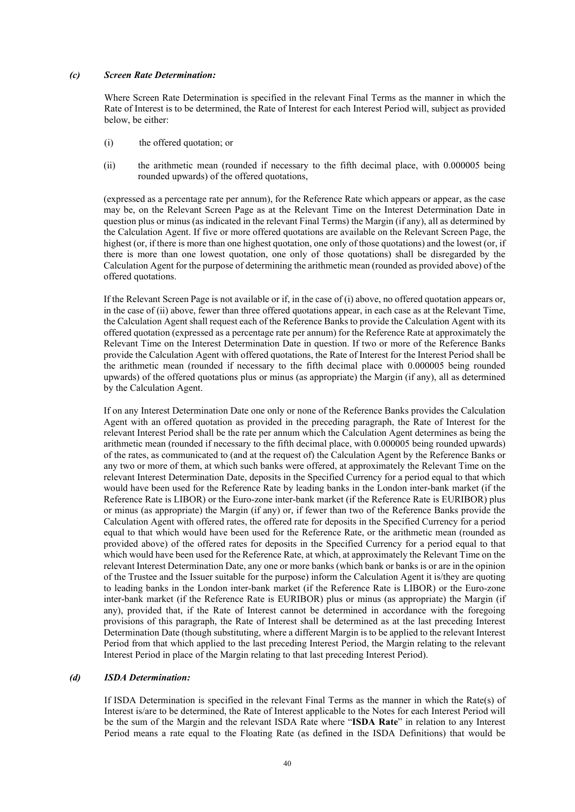#### *(c) Screen Rate Determination:*

Where Screen Rate Determination is specified in the relevant Final Terms as the manner in which the Rate of Interest is to be determined, the Rate of Interest for each Interest Period will, subject as provided below, be either:

- (i) the offered quotation; or
- (ii) the arithmetic mean (rounded if necessary to the fifth decimal place, with 0.000005 being rounded upwards) of the offered quotations,

(expressed as a percentage rate per annum), for the Reference Rate which appears or appear, as the case may be, on the Relevant Screen Page as at the Relevant Time on the Interest Determination Date in question plus or minus (as indicated in the relevant Final Terms) the Margin (if any), all as determined by the Calculation Agent. If five or more offered quotations are available on the Relevant Screen Page, the highest (or, if there is more than one highest quotation, one only of those quotations) and the lowest (or, if there is more than one lowest quotation, one only of those quotations) shall be disregarded by the Calculation Agent for the purpose of determining the arithmetic mean (rounded as provided above) of the offered quotations.

If the Relevant Screen Page is not available or if, in the case of (i) above, no offered quotation appears or, in the case of (ii) above, fewer than three offered quotations appear, in each case as at the Relevant Time, the Calculation Agent shall request each of the Reference Banks to provide the Calculation Agent with its offered quotation (expressed as a percentage rate per annum) for the Reference Rate at approximately the Relevant Time on the Interest Determination Date in question. If two or more of the Reference Banks provide the Calculation Agent with offered quotations, the Rate of Interest for the Interest Period shall be the arithmetic mean (rounded if necessary to the fifth decimal place with 0.000005 being rounded upwards) of the offered quotations plus or minus (as appropriate) the Margin (if any), all as determined by the Calculation Agent.

If on any Interest Determination Date one only or none of the Reference Banks provides the Calculation Agent with an offered quotation as provided in the preceding paragraph, the Rate of Interest for the relevant Interest Period shall be the rate per annum which the Calculation Agent determines as being the arithmetic mean (rounded if necessary to the fifth decimal place, with 0.000005 being rounded upwards) of the rates, as communicated to (and at the request of) the Calculation Agent by the Reference Banks or any two or more of them, at which such banks were offered, at approximately the Relevant Time on the relevant Interest Determination Date, deposits in the Specified Currency for a period equal to that which would have been used for the Reference Rate by leading banks in the London inter-bank market (if the Reference Rate is LIBOR) or the Euro-zone inter-bank market (if the Reference Rate is EURIBOR) plus or minus (as appropriate) the Margin (if any) or, if fewer than two of the Reference Banks provide the Calculation Agent with offered rates, the offered rate for deposits in the Specified Currency for a period equal to that which would have been used for the Reference Rate, or the arithmetic mean (rounded as provided above) of the offered rates for deposits in the Specified Currency for a period equal to that which would have been used for the Reference Rate, at which, at approximately the Relevant Time on the relevant Interest Determination Date, any one or more banks (which bank or banks is or are in the opinion of the Trustee and the Issuer suitable for the purpose) inform the Calculation Agent it is/they are quoting to leading banks in the London inter-bank market (if the Reference Rate is LIBOR) or the Euro-zone inter-bank market (if the Reference Rate is EURIBOR) plus or minus (as appropriate) the Margin (if any), provided that, if the Rate of Interest cannot be determined in accordance with the foregoing provisions of this paragraph, the Rate of Interest shall be determined as at the last preceding Interest Determination Date (though substituting, where a different Margin is to be applied to the relevant Interest Period from that which applied to the last preceding Interest Period, the Margin relating to the relevant Interest Period in place of the Margin relating to that last preceding Interest Period).

# *(d) ISDA Determination:*

If ISDA Determination is specified in the relevant Final Terms as the manner in which the Rate(s) of Interest is/are to be determined, the Rate of Interest applicable to the Notes for each Interest Period will be the sum of the Margin and the relevant ISDA Rate where "**ISDA Rate**" in relation to any Interest Period means a rate equal to the Floating Rate (as defined in the ISDA Definitions) that would be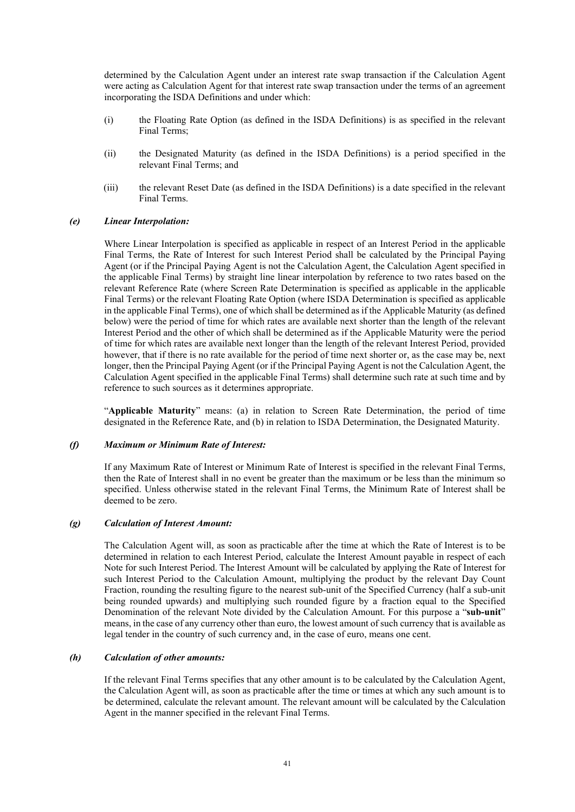determined by the Calculation Agent under an interest rate swap transaction if the Calculation Agent were acting as Calculation Agent for that interest rate swap transaction under the terms of an agreement incorporating the ISDA Definitions and under which:

- (i) the Floating Rate Option (as defined in the ISDA Definitions) is as specified in the relevant Final Terms;
- (ii) the Designated Maturity (as defined in the ISDA Definitions) is a period specified in the relevant Final Terms; and
- (iii) the relevant Reset Date (as defined in the ISDA Definitions) is a date specified in the relevant Final Terms.

### *(e) Linear Interpolation:*

Where Linear Interpolation is specified as applicable in respect of an Interest Period in the applicable Final Terms, the Rate of Interest for such Interest Period shall be calculated by the Principal Paying Agent (or if the Principal Paying Agent is not the Calculation Agent, the Calculation Agent specified in the applicable Final Terms) by straight line linear interpolation by reference to two rates based on the relevant Reference Rate (where Screen Rate Determination is specified as applicable in the applicable Final Terms) or the relevant Floating Rate Option (where ISDA Determination is specified as applicable in the applicable Final Terms), one of which shall be determined as if the Applicable Maturity (as defined below) were the period of time for which rates are available next shorter than the length of the relevant Interest Period and the other of which shall be determined as if the Applicable Maturity were the period of time for which rates are available next longer than the length of the relevant Interest Period, provided however, that if there is no rate available for the period of time next shorter or, as the case may be, next longer, then the Principal Paying Agent (or if the Principal Paying Agent is not the Calculation Agent, the Calculation Agent specified in the applicable Final Terms) shall determine such rate at such time and by reference to such sources as it determines appropriate.

"**Applicable Maturity**" means: (a) in relation to Screen Rate Determination, the period of time designated in the Reference Rate, and (b) in relation to ISDA Determination, the Designated Maturity.

### *(f) Maximum or Minimum Rate of Interest:*

If any Maximum Rate of Interest or Minimum Rate of Interest is specified in the relevant Final Terms, then the Rate of Interest shall in no event be greater than the maximum or be less than the minimum so specified. Unless otherwise stated in the relevant Final Terms, the Minimum Rate of Interest shall be deemed to be zero.

## *(g) Calculation of Interest Amount:*

The Calculation Agent will, as soon as practicable after the time at which the Rate of Interest is to be determined in relation to each Interest Period, calculate the Interest Amount payable in respect of each Note for such Interest Period. The Interest Amount will be calculated by applying the Rate of Interest for such Interest Period to the Calculation Amount, multiplying the product by the relevant Day Count Fraction, rounding the resulting figure to the nearest sub-unit of the Specified Currency (half a sub-unit being rounded upwards) and multiplying such rounded figure by a fraction equal to the Specified Denomination of the relevant Note divided by the Calculation Amount. For this purpose a "**sub-unit**" means, in the case of any currency other than euro, the lowest amount of such currency that is available as legal tender in the country of such currency and, in the case of euro, means one cent.

# *(h) Calculation of other amounts:*

If the relevant Final Terms specifies that any other amount is to be calculated by the Calculation Agent, the Calculation Agent will, as soon as practicable after the time or times at which any such amount is to be determined, calculate the relevant amount. The relevant amount will be calculated by the Calculation Agent in the manner specified in the relevant Final Terms.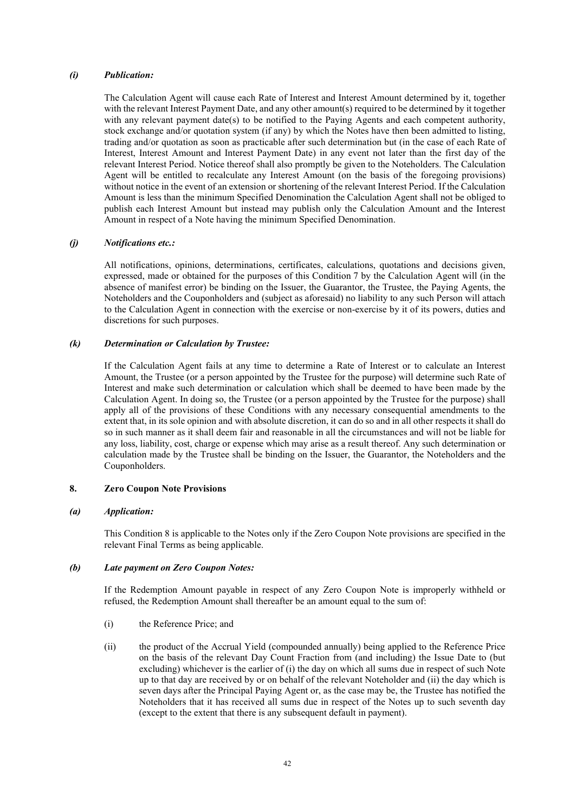# *(i) Publication:*

The Calculation Agent will cause each Rate of Interest and Interest Amount determined by it, together with the relevant Interest Payment Date, and any other amount(s) required to be determined by it together with any relevant payment date(s) to be notified to the Paying Agents and each competent authority, stock exchange and/or quotation system (if any) by which the Notes have then been admitted to listing, trading and/or quotation as soon as practicable after such determination but (in the case of each Rate of Interest, Interest Amount and Interest Payment Date) in any event not later than the first day of the relevant Interest Period. Notice thereof shall also promptly be given to the Noteholders. The Calculation Agent will be entitled to recalculate any Interest Amount (on the basis of the foregoing provisions) without notice in the event of an extension or shortening of the relevant Interest Period. If the Calculation Amount is less than the minimum Specified Denomination the Calculation Agent shall not be obliged to publish each Interest Amount but instead may publish only the Calculation Amount and the Interest Amount in respect of a Note having the minimum Specified Denomination.

### *(j) Notifications etc.:*

All notifications, opinions, determinations, certificates, calculations, quotations and decisions given, expressed, made or obtained for the purposes of this Condition 7 by the Calculation Agent will (in the absence of manifest error) be binding on the Issuer, the Guarantor, the Trustee, the Paying Agents, the Noteholders and the Couponholders and (subject as aforesaid) no liability to any such Person will attach to the Calculation Agent in connection with the exercise or non-exercise by it of its powers, duties and discretions for such purposes.

# *(k) Determination or Calculation by Trustee:*

If the Calculation Agent fails at any time to determine a Rate of Interest or to calculate an Interest Amount, the Trustee (or a person appointed by the Trustee for the purpose) will determine such Rate of Interest and make such determination or calculation which shall be deemed to have been made by the Calculation Agent. In doing so, the Trustee (or a person appointed by the Trustee for the purpose) shall apply all of the provisions of these Conditions with any necessary consequential amendments to the extent that, in its sole opinion and with absolute discretion, it can do so and in all other respects it shall do so in such manner as it shall deem fair and reasonable in all the circumstances and will not be liable for any loss, liability, cost, charge or expense which may arise as a result thereof. Any such determination or calculation made by the Trustee shall be binding on the Issuer, the Guarantor, the Noteholders and the Couponholders.

# **8. Zero Coupon Note Provisions**

#### *(a) Application:*

This Condition 8 is applicable to the Notes only if the Zero Coupon Note provisions are specified in the relevant Final Terms as being applicable.

### *(b) Late payment on Zero Coupon Notes:*

If the Redemption Amount payable in respect of any Zero Coupon Note is improperly withheld or refused, the Redemption Amount shall thereafter be an amount equal to the sum of:

- (i) the Reference Price; and
- (ii) the product of the Accrual Yield (compounded annually) being applied to the Reference Price on the basis of the relevant Day Count Fraction from (and including) the Issue Date to (but excluding) whichever is the earlier of (i) the day on which all sums due in respect of such Note up to that day are received by or on behalf of the relevant Noteholder and (ii) the day which is seven days after the Principal Paying Agent or, as the case may be, the Trustee has notified the Noteholders that it has received all sums due in respect of the Notes up to such seventh day (except to the extent that there is any subsequent default in payment).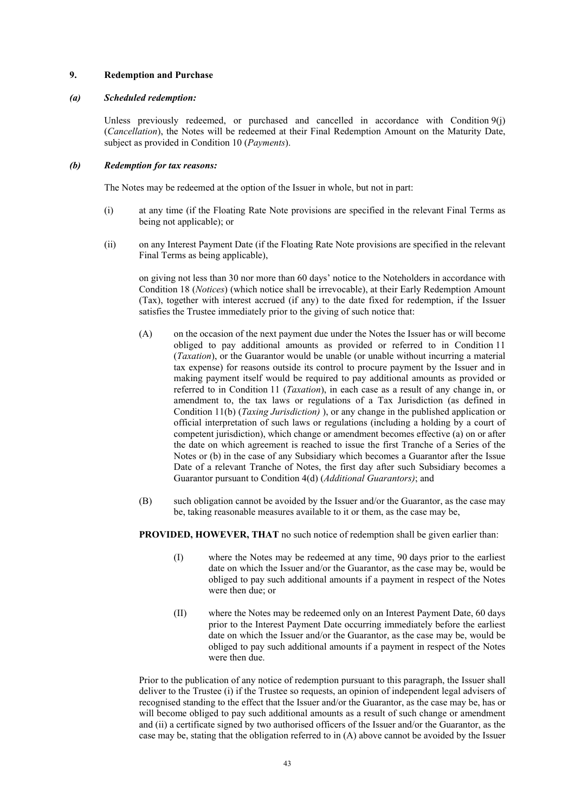# **9. Redemption and Purchase**

### *(a) Scheduled redemption:*

Unless previously redeemed, or purchased and cancelled in accordance with Condition 9(j) (*Cancellation*), the Notes will be redeemed at their Final Redemption Amount on the Maturity Date, subject as provided in Condition 10 (*Payments*).

# *(b) Redemption for tax reasons:*

The Notes may be redeemed at the option of the Issuer in whole, but not in part:

- (i) at any time (if the Floating Rate Note provisions are specified in the relevant Final Terms as being not applicable); or
- (ii) on any Interest Payment Date (if the Floating Rate Note provisions are specified in the relevant Final Terms as being applicable),

on giving not less than 30 nor more than 60 days' notice to the Noteholders in accordance with Condition 18 (*Notices*) (which notice shall be irrevocable), at their Early Redemption Amount (Tax), together with interest accrued (if any) to the date fixed for redemption, if the Issuer satisfies the Trustee immediately prior to the giving of such notice that:

- (A) on the occasion of the next payment due under the Notes the Issuer has or will become obliged to pay additional amounts as provided or referred to in Condition 11 (*Taxation*), or the Guarantor would be unable (or unable without incurring a material tax expense) for reasons outside its control to procure payment by the Issuer and in making payment itself would be required to pay additional amounts as provided or referred to in Condition 11 (*Taxation*), in each case as a result of any change in, or amendment to, the tax laws or regulations of a Tax Jurisdiction (as defined in Condition 11(b) (*Taxing Jurisdiction)* ), or any change in the published application or official interpretation of such laws or regulations (including a holding by a court of competent jurisdiction), which change or amendment becomes effective (a) on or after the date on which agreement is reached to issue the first Tranche of a Series of the Notes or (b) in the case of any Subsidiary which becomes a Guarantor after the Issue Date of a relevant Tranche of Notes, the first day after such Subsidiary becomes a Guarantor pursuant to Condition 4(d) (*Additional Guarantors)*; and
- (B) such obligation cannot be avoided by the Issuer and/or the Guarantor, as the case may be, taking reasonable measures available to it or them, as the case may be,

**PROVIDED, HOWEVER, THAT** no such notice of redemption shall be given earlier than:

- (I) where the Notes may be redeemed at any time, 90 days prior to the earliest date on which the Issuer and/or the Guarantor, as the case may be, would be obliged to pay such additional amounts if a payment in respect of the Notes were then due; or
- (II) where the Notes may be redeemed only on an Interest Payment Date, 60 days prior to the Interest Payment Date occurring immediately before the earliest date on which the Issuer and/or the Guarantor, as the case may be, would be obliged to pay such additional amounts if a payment in respect of the Notes were then due.

Prior to the publication of any notice of redemption pursuant to this paragraph, the Issuer shall deliver to the Trustee (i) if the Trustee so requests, an opinion of independent legal advisers of recognised standing to the effect that the Issuer and/or the Guarantor, as the case may be, has or will become obliged to pay such additional amounts as a result of such change or amendment and (ii) a certificate signed by two authorised officers of the Issuer and/or the Guarantor, as the case may be, stating that the obligation referred to in (A) above cannot be avoided by the Issuer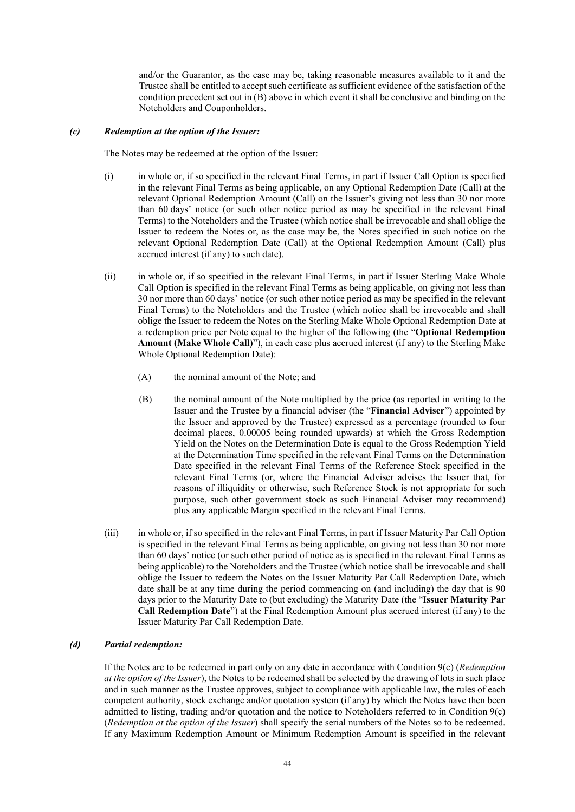and/or the Guarantor, as the case may be, taking reasonable measures available to it and the Trustee shall be entitled to accept such certificate as sufficient evidence of the satisfaction of the condition precedent set out in (B) above in which event it shall be conclusive and binding on the Noteholders and Couponholders.

# *(c) Redemption at the option of the Issuer:*

The Notes may be redeemed at the option of the Issuer:

- (i) in whole or, if so specified in the relevant Final Terms, in part if Issuer Call Option is specified in the relevant Final Terms as being applicable, on any Optional Redemption Date (Call) at the relevant Optional Redemption Amount (Call) on the Issuer's giving not less than 30 nor more than 60 days' notice (or such other notice period as may be specified in the relevant Final Terms) to the Noteholders and the Trustee (which notice shall be irrevocable and shall oblige the Issuer to redeem the Notes or, as the case may be, the Notes specified in such notice on the relevant Optional Redemption Date (Call) at the Optional Redemption Amount (Call) plus accrued interest (if any) to such date).
- (ii) in whole or, if so specified in the relevant Final Terms, in part if Issuer Sterling Make Whole Call Option is specified in the relevant Final Terms as being applicable, on giving not less than 30 nor more than 60 days' notice (or such other notice period as may be specified in the relevant Final Terms) to the Noteholders and the Trustee (which notice shall be irrevocable and shall oblige the Issuer to redeem the Notes on the Sterling Make Whole Optional Redemption Date at a redemption price per Note equal to the higher of the following (the "**Optional Redemption Amount (Make Whole Call)**"), in each case plus accrued interest (if any) to the Sterling Make Whole Optional Redemption Date):
	- (A) the nominal amount of the Note; and
	- (B) the nominal amount of the Note multiplied by the price (as reported in writing to the Issuer and the Trustee by a financial adviser (the "**Financial Adviser**") appointed by the Issuer and approved by the Trustee) expressed as a percentage (rounded to four decimal places, 0.00005 being rounded upwards) at which the Gross Redemption Yield on the Notes on the Determination Date is equal to the Gross Redemption Yield at the Determination Time specified in the relevant Final Terms on the Determination Date specified in the relevant Final Terms of the Reference Stock specified in the relevant Final Terms (or, where the Financial Adviser advises the Issuer that, for reasons of illiquidity or otherwise, such Reference Stock is not appropriate for such purpose, such other government stock as such Financial Adviser may recommend) plus any applicable Margin specified in the relevant Final Terms.
- (iii) in whole or, if so specified in the relevant Final Terms, in part if Issuer Maturity Par Call Option is specified in the relevant Final Terms as being applicable, on giving not less than 30 nor more than 60 days' notice (or such other period of notice as is specified in the relevant Final Terms as being applicable) to the Noteholders and the Trustee (which notice shall be irrevocable and shall oblige the Issuer to redeem the Notes on the Issuer Maturity Par Call Redemption Date, which date shall be at any time during the period commencing on (and including) the day that is 90 days prior to the Maturity Date to (but excluding) the Maturity Date (the "**Issuer Maturity Par Call Redemption Date**") at the Final Redemption Amount plus accrued interest (if any) to the Issuer Maturity Par Call Redemption Date.

# *(d) Partial redemption:*

If the Notes are to be redeemed in part only on any date in accordance with Condition 9(c) (*Redemption at the option of the Issuer*), the Notes to be redeemed shall be selected by the drawing of lots in such place and in such manner as the Trustee approves, subject to compliance with applicable law, the rules of each competent authority, stock exchange and/or quotation system (if any) by which the Notes have then been admitted to listing, trading and/or quotation and the notice to Noteholders referred to in Condition 9(c) (*Redemption at the option of the Issuer*) shall specify the serial numbers of the Notes so to be redeemed. If any Maximum Redemption Amount or Minimum Redemption Amount is specified in the relevant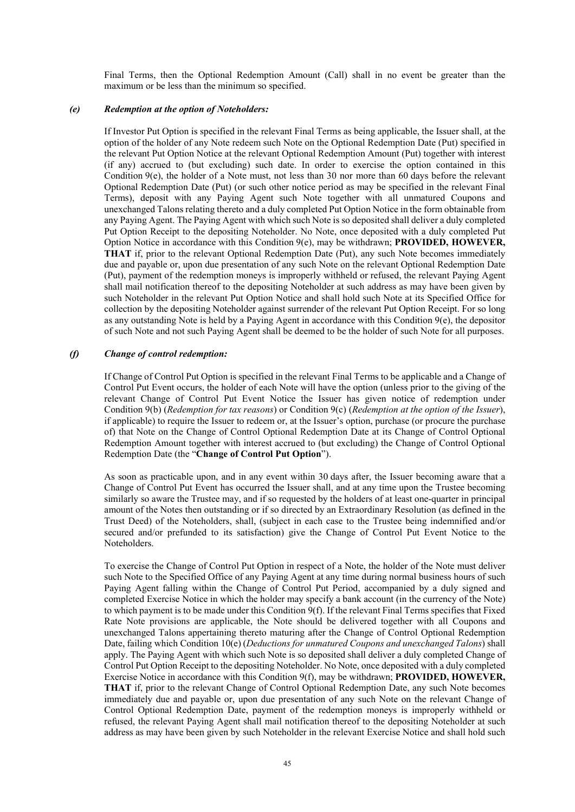Final Terms, then the Optional Redemption Amount (Call) shall in no event be greater than the maximum or be less than the minimum so specified.

# *(e) Redemption at the option of Noteholders:*

If Investor Put Option is specified in the relevant Final Terms as being applicable, the Issuer shall, at the option of the holder of any Note redeem such Note on the Optional Redemption Date (Put) specified in the relevant Put Option Notice at the relevant Optional Redemption Amount (Put) together with interest (if any) accrued to (but excluding) such date. In order to exercise the option contained in this Condition 9(e), the holder of a Note must, not less than 30 nor more than 60 days before the relevant Optional Redemption Date (Put) (or such other notice period as may be specified in the relevant Final Terms), deposit with any Paying Agent such Note together with all unmatured Coupons and unexchanged Talons relating thereto and a duly completed Put Option Notice in the form obtainable from any Paying Agent. The Paying Agent with which such Note is so deposited shall deliver a duly completed Put Option Receipt to the depositing Noteholder. No Note, once deposited with a duly completed Put Option Notice in accordance with this Condition 9(e), may be withdrawn; **PROVIDED, HOWEVER, THAT** if, prior to the relevant Optional Redemption Date (Put), any such Note becomes immediately due and payable or, upon due presentation of any such Note on the relevant Optional Redemption Date (Put), payment of the redemption moneys is improperly withheld or refused, the relevant Paying Agent shall mail notification thereof to the depositing Noteholder at such address as may have been given by such Noteholder in the relevant Put Option Notice and shall hold such Note at its Specified Office for collection by the depositing Noteholder against surrender of the relevant Put Option Receipt. For so long as any outstanding Note is held by a Paying Agent in accordance with this Condition  $9(e)$ , the depositor of such Note and not such Paying Agent shall be deemed to be the holder of such Note for all purposes.

# *(f) Change of control redemption:*

If Change of Control Put Option is specified in the relevant Final Terms to be applicable and a Change of Control Put Event occurs, the holder of each Note will have the option (unless prior to the giving of the relevant Change of Control Put Event Notice the Issuer has given notice of redemption under Condition 9(b) (*Redemption for tax reasons*) or Condition 9(c) (*Redemption at the option of the Issuer*), if applicable) to require the Issuer to redeem or, at the Issuer's option, purchase (or procure the purchase of) that Note on the Change of Control Optional Redemption Date at its Change of Control Optional Redemption Amount together with interest accrued to (but excluding) the Change of Control Optional Redemption Date (the "**Change of Control Put Option**").

As soon as practicable upon, and in any event within 30 days after, the Issuer becoming aware that a Change of Control Put Event has occurred the Issuer shall, and at any time upon the Trustee becoming similarly so aware the Trustee may, and if so requested by the holders of at least one-quarter in principal amount of the Notes then outstanding or if so directed by an Extraordinary Resolution (as defined in the Trust Deed) of the Noteholders, shall, (subject in each case to the Trustee being indemnified and/or secured and/or prefunded to its satisfaction) give the Change of Control Put Event Notice to the Noteholders.

To exercise the Change of Control Put Option in respect of a Note, the holder of the Note must deliver such Note to the Specified Office of any Paying Agent at any time during normal business hours of such Paying Agent falling within the Change of Control Put Period, accompanied by a duly signed and completed Exercise Notice in which the holder may specify a bank account (in the currency of the Note) to which payment is to be made under this Condition 9(f). If the relevant Final Terms specifies that Fixed Rate Note provisions are applicable, the Note should be delivered together with all Coupons and unexchanged Talons appertaining thereto maturing after the Change of Control Optional Redemption Date, failing which Condition 10(e) (*Deductions for unmatured Coupons and unexchanged Talons*) shall apply. The Paying Agent with which such Note is so deposited shall deliver a duly completed Change of Control Put Option Receipt to the depositing Noteholder. No Note, once deposited with a duly completed Exercise Notice in accordance with this Condition 9(f), may be withdrawn; **PROVIDED, HOWEVER, THAT** if, prior to the relevant Change of Control Optional Redemption Date, any such Note becomes immediately due and payable or, upon due presentation of any such Note on the relevant Change of Control Optional Redemption Date, payment of the redemption moneys is improperly withheld or refused, the relevant Paying Agent shall mail notification thereof to the depositing Noteholder at such address as may have been given by such Noteholder in the relevant Exercise Notice and shall hold such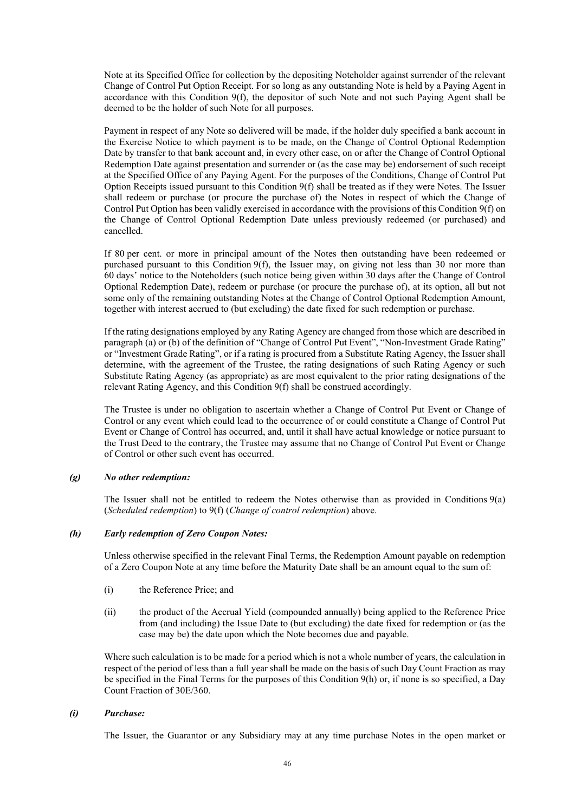Note at its Specified Office for collection by the depositing Noteholder against surrender of the relevant Change of Control Put Option Receipt. For so long as any outstanding Note is held by a Paying Agent in accordance with this Condition 9(f), the depositor of such Note and not such Paying Agent shall be deemed to be the holder of such Note for all purposes.

Payment in respect of any Note so delivered will be made, if the holder duly specified a bank account in the Exercise Notice to which payment is to be made, on the Change of Control Optional Redemption Date by transfer to that bank account and, in every other case, on or after the Change of Control Optional Redemption Date against presentation and surrender or (as the case may be) endorsement of such receipt at the Specified Office of any Paying Agent. For the purposes of the Conditions, Change of Control Put Option Receipts issued pursuant to this Condition  $9(f)$  shall be treated as if they were Notes. The Issuer shall redeem or purchase (or procure the purchase of) the Notes in respect of which the Change of Control Put Option has been validly exercised in accordance with the provisions of this Condition 9(f) on the Change of Control Optional Redemption Date unless previously redeemed (or purchased) and cancelled.

If 80 per cent. or more in principal amount of the Notes then outstanding have been redeemed or purchased pursuant to this Condition 9(f), the Issuer may, on giving not less than 30 nor more than 60 days' notice to the Noteholders (such notice being given within 30 days after the Change of Control Optional Redemption Date), redeem or purchase (or procure the purchase of), at its option, all but not some only of the remaining outstanding Notes at the Change of Control Optional Redemption Amount, together with interest accrued to (but excluding) the date fixed for such redemption or purchase.

If the rating designations employed by any Rating Agency are changed from those which are described in paragraph (a) or (b) of the definition of "Change of Control Put Event", "Non-Investment Grade Rating" or "Investment Grade Rating", or if a rating is procured from a Substitute Rating Agency, the Issuer shall determine, with the agreement of the Trustee, the rating designations of such Rating Agency or such Substitute Rating Agency (as appropriate) as are most equivalent to the prior rating designations of the relevant Rating Agency, and this Condition 9(f) shall be construed accordingly.

The Trustee is under no obligation to ascertain whether a Change of Control Put Event or Change of Control or any event which could lead to the occurrence of or could constitute a Change of Control Put Event or Change of Control has occurred, and, until it shall have actual knowledge or notice pursuant to the Trust Deed to the contrary, the Trustee may assume that no Change of Control Put Event or Change of Control or other such event has occurred.

# *(g) No other redemption:*

The Issuer shall not be entitled to redeem the Notes otherwise than as provided in Conditions 9(a) (*Scheduled redemption*) to 9(f) (*Change of control redemption*) above.

# *(h) Early redemption of Zero Coupon Notes:*

Unless otherwise specified in the relevant Final Terms, the Redemption Amount payable on redemption of a Zero Coupon Note at any time before the Maturity Date shall be an amount equal to the sum of:

- (i) the Reference Price; and
- (ii) the product of the Accrual Yield (compounded annually) being applied to the Reference Price from (and including) the Issue Date to (but excluding) the date fixed for redemption or (as the case may be) the date upon which the Note becomes due and payable.

Where such calculation is to be made for a period which is not a whole number of years, the calculation in respect of the period of less than a full year shall be made on the basis of such Day Count Fraction as may be specified in the Final Terms for the purposes of this Condition 9(h) or, if none is so specified, a Day Count Fraction of 30E/360.

# *(i) Purchase:*

The Issuer, the Guarantor or any Subsidiary may at any time purchase Notes in the open market or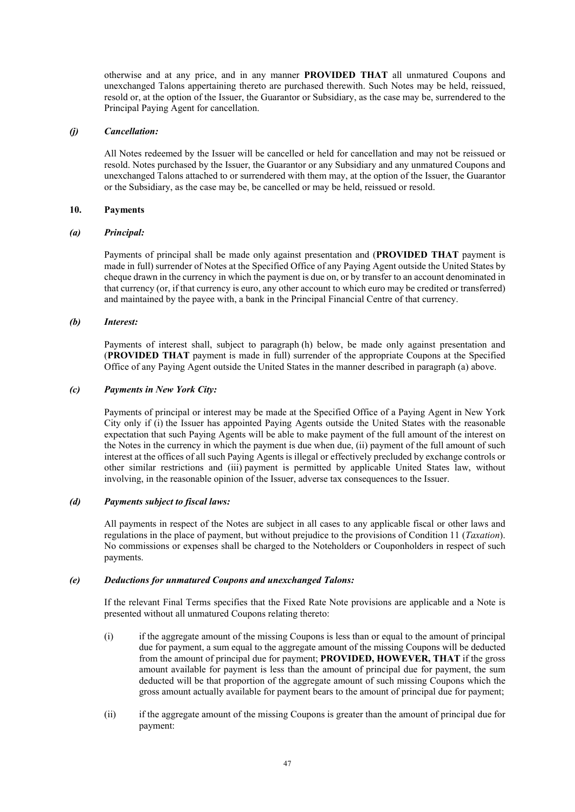otherwise and at any price, and in any manner **PROVIDED THAT** all unmatured Coupons and unexchanged Talons appertaining thereto are purchased therewith. Such Notes may be held, reissued, resold or, at the option of the Issuer, the Guarantor or Subsidiary, as the case may be, surrendered to the Principal Paying Agent for cancellation.

# *(j) Cancellation:*

All Notes redeemed by the Issuer will be cancelled or held for cancellation and may not be reissued or resold. Notes purchased by the Issuer, the Guarantor or any Subsidiary and any unmatured Coupons and unexchanged Talons attached to or surrendered with them may, at the option of the Issuer, the Guarantor or the Subsidiary, as the case may be, be cancelled or may be held, reissued or resold.

### **10. Payments**

### *(a) Principal:*

Payments of principal shall be made only against presentation and (**PROVIDED THAT** payment is made in full) surrender of Notes at the Specified Office of any Paying Agent outside the United States by cheque drawn in the currency in which the payment is due on, or by transfer to an account denominated in that currency (or, if that currency is euro, any other account to which euro may be credited or transferred) and maintained by the payee with, a bank in the Principal Financial Centre of that currency.

### *(b) Interest:*

Payments of interest shall, subject to paragraph (h) below, be made only against presentation and (**PROVIDED THAT** payment is made in full) surrender of the appropriate Coupons at the Specified Office of any Paying Agent outside the United States in the manner described in paragraph (a) above.

### *(c) Payments in New York City:*

Payments of principal or interest may be made at the Specified Office of a Paying Agent in New York City only if (i) the Issuer has appointed Paying Agents outside the United States with the reasonable expectation that such Paying Agents will be able to make payment of the full amount of the interest on the Notes in the currency in which the payment is due when due, (ii) payment of the full amount of such interest at the offices of all such Paying Agents is illegal or effectively precluded by exchange controls or other similar restrictions and (iii) payment is permitted by applicable United States law, without involving, in the reasonable opinion of the Issuer, adverse tax consequences to the Issuer.

#### *(d) Payments subject to fiscal laws:*

All payments in respect of the Notes are subject in all cases to any applicable fiscal or other laws and regulations in the place of payment, but without prejudice to the provisions of Condition 11 (*Taxation*). No commissions or expenses shall be charged to the Noteholders or Couponholders in respect of such payments.

### *(e) Deductions for unmatured Coupons and unexchanged Talons:*

If the relevant Final Terms specifies that the Fixed Rate Note provisions are applicable and a Note is presented without all unmatured Coupons relating thereto:

- (i) if the aggregate amount of the missing Coupons is less than or equal to the amount of principal due for payment, a sum equal to the aggregate amount of the missing Coupons will be deducted from the amount of principal due for payment; **PROVIDED, HOWEVER, THAT** if the gross amount available for payment is less than the amount of principal due for payment, the sum deducted will be that proportion of the aggregate amount of such missing Coupons which the gross amount actually available for payment bears to the amount of principal due for payment;
- (ii) if the aggregate amount of the missing Coupons is greater than the amount of principal due for payment: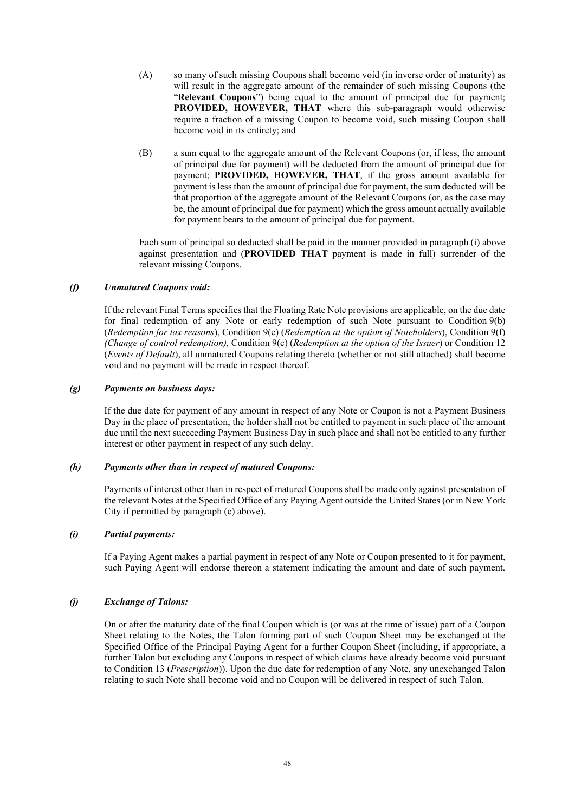- (A) so many of such missing Coupons shall become void (in inverse order of maturity) as will result in the aggregate amount of the remainder of such missing Coupons (the "**Relevant Coupons**") being equal to the amount of principal due for payment; **PROVIDED, HOWEVER, THAT** where this sub-paragraph would otherwise require a fraction of a missing Coupon to become void, such missing Coupon shall become void in its entirety; and
- (B) a sum equal to the aggregate amount of the Relevant Coupons (or, if less, the amount of principal due for payment) will be deducted from the amount of principal due for payment; **PROVIDED, HOWEVER, THAT**, if the gross amount available for payment is less than the amount of principal due for payment, the sum deducted will be that proportion of the aggregate amount of the Relevant Coupons (or, as the case may be, the amount of principal due for payment) which the gross amount actually available for payment bears to the amount of principal due for payment.

Each sum of principal so deducted shall be paid in the manner provided in paragraph (i) above against presentation and (**PROVIDED THAT** payment is made in full) surrender of the relevant missing Coupons.

# *(f) Unmatured Coupons void:*

If the relevant Final Terms specifies that the Floating Rate Note provisions are applicable, on the due date for final redemption of any Note or early redemption of such Note pursuant to Condition 9(b) (*Redemption for tax reasons*), Condition 9(e) (*Redemption at the option of Noteholders*), Condition 9(f) *(Change of control redemption),* Condition 9(c) (*Redemption at the option of the Issuer*) or Condition 12 (*Events of Default*), all unmatured Coupons relating thereto (whether or not still attached) shall become void and no payment will be made in respect thereof.

### *(g) Payments on business days:*

If the due date for payment of any amount in respect of any Note or Coupon is not a Payment Business Day in the place of presentation, the holder shall not be entitled to payment in such place of the amount due until the next succeeding Payment Business Day in such place and shall not be entitled to any further interest or other payment in respect of any such delay.

# *(h) Payments other than in respect of matured Coupons:*

Payments of interest other than in respect of matured Coupons shall be made only against presentation of the relevant Notes at the Specified Office of any Paying Agent outside the United States (or in New York City if permitted by paragraph (c) above).

# *(i) Partial payments:*

If a Paying Agent makes a partial payment in respect of any Note or Coupon presented to it for payment, such Paying Agent will endorse thereon a statement indicating the amount and date of such payment.

# *(j) Exchange of Talons:*

On or after the maturity date of the final Coupon which is (or was at the time of issue) part of a Coupon Sheet relating to the Notes, the Talon forming part of such Coupon Sheet may be exchanged at the Specified Office of the Principal Paying Agent for a further Coupon Sheet (including, if appropriate, a further Talon but excluding any Coupons in respect of which claims have already become void pursuant to Condition 13 (*Prescription*)). Upon the due date for redemption of any Note, any unexchanged Talon relating to such Note shall become void and no Coupon will be delivered in respect of such Talon.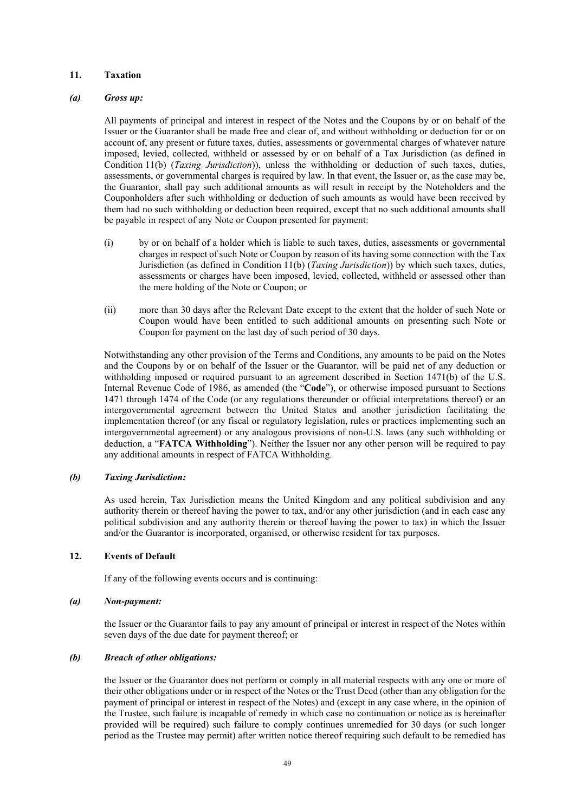# **11. Taxation**

### *(a) Gross up:*

All payments of principal and interest in respect of the Notes and the Coupons by or on behalf of the Issuer or the Guarantor shall be made free and clear of, and without withholding or deduction for or on account of, any present or future taxes, duties, assessments or governmental charges of whatever nature imposed, levied, collected, withheld or assessed by or on behalf of a Tax Jurisdiction (as defined in Condition 11(b) (*Taxing Jurisdiction*)), unless the withholding or deduction of such taxes, duties, assessments, or governmental charges is required by law. In that event, the Issuer or, as the case may be, the Guarantor, shall pay such additional amounts as will result in receipt by the Noteholders and the Couponholders after such withholding or deduction of such amounts as would have been received by them had no such withholding or deduction been required, except that no such additional amounts shall be payable in respect of any Note or Coupon presented for payment:

- (i) by or on behalf of a holder which is liable to such taxes, duties, assessments or governmental charges in respect of such Note or Coupon by reason of its having some connection with the Tax Jurisdiction (as defined in Condition 11(b) (*Taxing Jurisdiction*)) by which such taxes, duties, assessments or charges have been imposed, levied, collected, withheld or assessed other than the mere holding of the Note or Coupon; or
- (ii) more than 30 days after the Relevant Date except to the extent that the holder of such Note or Coupon would have been entitled to such additional amounts on presenting such Note or Coupon for payment on the last day of such period of 30 days.

Notwithstanding any other provision of the Terms and Conditions, any amounts to be paid on the Notes and the Coupons by or on behalf of the Issuer or the Guarantor, will be paid net of any deduction or withholding imposed or required pursuant to an agreement described in Section 1471(b) of the U.S. Internal Revenue Code of 1986, as amended (the "**Code**"), or otherwise imposed pursuant to Sections 1471 through 1474 of the Code (or any regulations thereunder or official interpretations thereof) or an intergovernmental agreement between the United States and another jurisdiction facilitating the implementation thereof (or any fiscal or regulatory legislation, rules or practices implementing such an intergovernmental agreement) or any analogous provisions of non-U.S. laws (any such withholding or deduction, a "**FATCA Withholding**"). Neither the Issuer nor any other person will be required to pay any additional amounts in respect of FATCA Withholding.

# *(b) Taxing Jurisdiction:*

As used herein, Tax Jurisdiction means the United Kingdom and any political subdivision and any authority therein or thereof having the power to tax, and/or any other jurisdiction (and in each case any political subdivision and any authority therein or thereof having the power to tax) in which the Issuer and/or the Guarantor is incorporated, organised, or otherwise resident for tax purposes.

# **12. Events of Default**

If any of the following events occurs and is continuing:

#### *(a) Non-payment:*

the Issuer or the Guarantor fails to pay any amount of principal or interest in respect of the Notes within seven days of the due date for payment thereof; or

#### *(b) Breach of other obligations:*

the Issuer or the Guarantor does not perform or comply in all material respects with any one or more of their other obligations under or in respect of the Notes or the Trust Deed (other than any obligation for the payment of principal or interest in respect of the Notes) and (except in any case where, in the opinion of the Trustee, such failure is incapable of remedy in which case no continuation or notice as is hereinafter provided will be required) such failure to comply continues unremedied for 30 days (or such longer period as the Trustee may permit) after written notice thereof requiring such default to be remedied has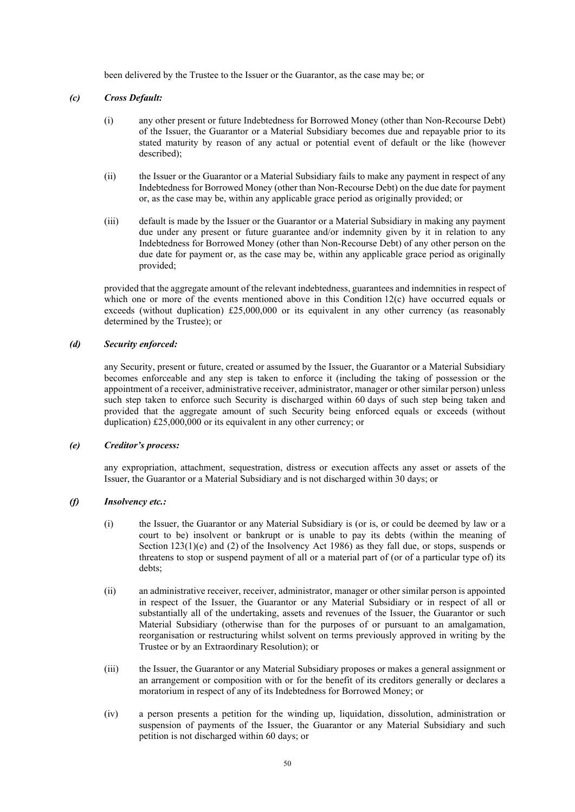been delivered by the Trustee to the Issuer or the Guarantor, as the case may be; or

# *(c) Cross Default:*

- (i) any other present or future Indebtedness for Borrowed Money (other than Non-Recourse Debt) of the Issuer, the Guarantor or a Material Subsidiary becomes due and repayable prior to its stated maturity by reason of any actual or potential event of default or the like (however described);
- (ii) the Issuer or the Guarantor or a Material Subsidiary fails to make any payment in respect of any Indebtedness for Borrowed Money (other than Non-Recourse Debt) on the due date for payment or, as the case may be, within any applicable grace period as originally provided; or
- (iii) default is made by the Issuer or the Guarantor or a Material Subsidiary in making any payment due under any present or future guarantee and/or indemnity given by it in relation to any Indebtedness for Borrowed Money (other than Non-Recourse Debt) of any other person on the due date for payment or, as the case may be, within any applicable grace period as originally provided;

provided that the aggregate amount of the relevant indebtedness, guarantees and indemnities in respect of which one or more of the events mentioned above in this Condition 12(c) have occurred equals or exceeds (without duplication) £25,000,000 or its equivalent in any other currency (as reasonably determined by the Trustee); or

# *(d) Security enforced:*

any Security, present or future, created or assumed by the Issuer, the Guarantor or a Material Subsidiary becomes enforceable and any step is taken to enforce it (including the taking of possession or the appointment of a receiver, administrative receiver, administrator, manager or other similar person) unless such step taken to enforce such Security is discharged within 60 days of such step being taken and provided that the aggregate amount of such Security being enforced equals or exceeds (without duplication) £25,000,000 or its equivalent in any other currency; or

# *(e) Creditor's process:*

any expropriation, attachment, sequestration, distress or execution affects any asset or assets of the Issuer, the Guarantor or a Material Subsidiary and is not discharged within 30 days; or

# *(f) Insolvency etc.:*

- (i) the Issuer, the Guarantor or any Material Subsidiary is (or is, or could be deemed by law or a court to be) insolvent or bankrupt or is unable to pay its debts (within the meaning of Section  $123(1)(e)$  and (2) of the Insolvency Act 1986) as they fall due, or stops, suspends or threatens to stop or suspend payment of all or a material part of (or of a particular type of) its debts;
- (ii) an administrative receiver, receiver, administrator, manager or other similar person is appointed in respect of the Issuer, the Guarantor or any Material Subsidiary or in respect of all or substantially all of the undertaking, assets and revenues of the Issuer, the Guarantor or such Material Subsidiary (otherwise than for the purposes of or pursuant to an amalgamation, reorganisation or restructuring whilst solvent on terms previously approved in writing by the Trustee or by an Extraordinary Resolution); or
- (iii) the Issuer, the Guarantor or any Material Subsidiary proposes or makes a general assignment or an arrangement or composition with or for the benefit of its creditors generally or declares a moratorium in respect of any of its Indebtedness for Borrowed Money; or
- (iv) a person presents a petition for the winding up, liquidation, dissolution, administration or suspension of payments of the Issuer, the Guarantor or any Material Subsidiary and such petition is not discharged within 60 days; or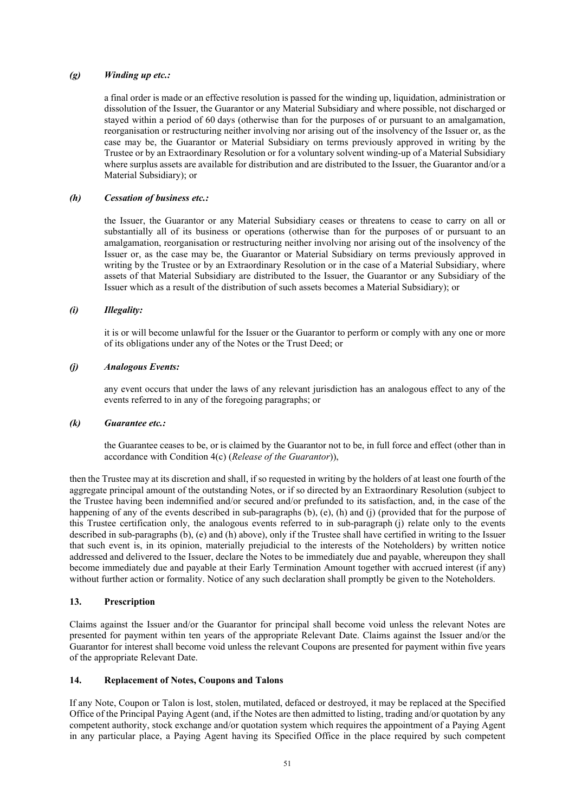# *(g) Winding up etc.:*

a final order is made or an effective resolution is passed for the winding up, liquidation, administration or dissolution of the Issuer, the Guarantor or any Material Subsidiary and where possible, not discharged or stayed within a period of 60 days (otherwise than for the purposes of or pursuant to an amalgamation, reorganisation or restructuring neither involving nor arising out of the insolvency of the Issuer or, as the case may be, the Guarantor or Material Subsidiary on terms previously approved in writing by the Trustee or by an Extraordinary Resolution or for a voluntary solvent winding-up of a Material Subsidiary where surplus assets are available for distribution and are distributed to the Issuer, the Guarantor and/or a Material Subsidiary); or

# *(h) Cessation of business etc.:*

the Issuer, the Guarantor or any Material Subsidiary ceases or threatens to cease to carry on all or substantially all of its business or operations (otherwise than for the purposes of or pursuant to an amalgamation, reorganisation or restructuring neither involving nor arising out of the insolvency of the Issuer or, as the case may be, the Guarantor or Material Subsidiary on terms previously approved in writing by the Trustee or by an Extraordinary Resolution or in the case of a Material Subsidiary, where assets of that Material Subsidiary are distributed to the Issuer, the Guarantor or any Subsidiary of the Issuer which as a result of the distribution of such assets becomes a Material Subsidiary); or

### *(i) Illegality:*

it is or will become unlawful for the Issuer or the Guarantor to perform or comply with any one or more of its obligations under any of the Notes or the Trust Deed; or

# *(j) Analogous Events:*

any event occurs that under the laws of any relevant jurisdiction has an analogous effect to any of the events referred to in any of the foregoing paragraphs; or

#### *(k) Guarantee etc.:*

the Guarantee ceases to be, or is claimed by the Guarantor not to be, in full force and effect (other than in accordance with Condition 4(c) (*Release of the Guarantor*)),

then the Trustee may at its discretion and shall, if so requested in writing by the holders of at least one fourth of the aggregate principal amount of the outstanding Notes, or if so directed by an Extraordinary Resolution (subject to the Trustee having been indemnified and/or secured and/or prefunded to its satisfaction, and, in the case of the happening of any of the events described in sub-paragraphs (b), (e), (h) and (j) (provided that for the purpose of this Trustee certification only, the analogous events referred to in sub-paragraph (j) relate only to the events described in sub-paragraphs (b), (e) and (h) above), only if the Trustee shall have certified in writing to the Issuer that such event is, in its opinion, materially prejudicial to the interests of the Noteholders) by written notice addressed and delivered to the Issuer, declare the Notes to be immediately due and payable, whereupon they shall become immediately due and payable at their Early Termination Amount together with accrued interest (if any) without further action or formality. Notice of any such declaration shall promptly be given to the Noteholders.

# **13. Prescription**

Claims against the Issuer and/or the Guarantor for principal shall become void unless the relevant Notes are presented for payment within ten years of the appropriate Relevant Date. Claims against the Issuer and/or the Guarantor for interest shall become void unless the relevant Coupons are presented for payment within five years of the appropriate Relevant Date.

# **14. Replacement of Notes, Coupons and Talons**

If any Note, Coupon or Talon is lost, stolen, mutilated, defaced or destroyed, it may be replaced at the Specified Office of the Principal Paying Agent (and, if the Notes are then admitted to listing, trading and/or quotation by any competent authority, stock exchange and/or quotation system which requires the appointment of a Paying Agent in any particular place, a Paying Agent having its Specified Office in the place required by such competent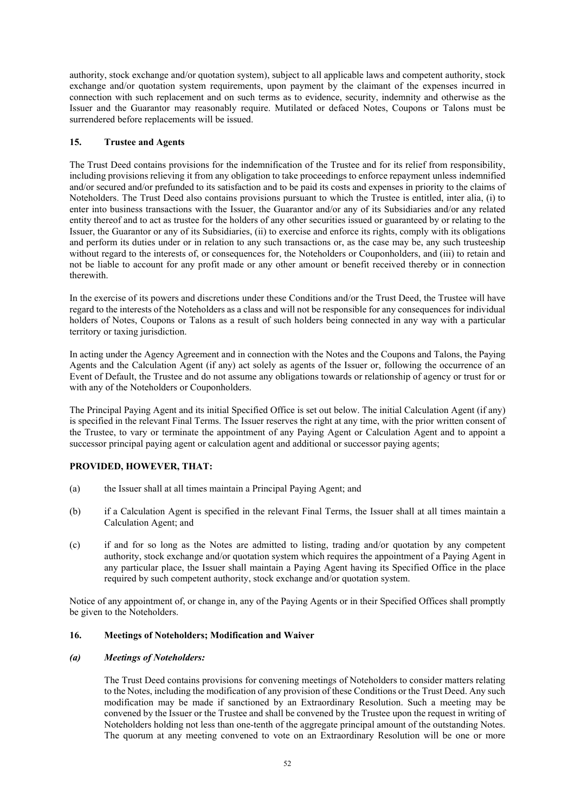authority, stock exchange and/or quotation system), subject to all applicable laws and competent authority, stock exchange and/or quotation system requirements, upon payment by the claimant of the expenses incurred in connection with such replacement and on such terms as to evidence, security, indemnity and otherwise as the Issuer and the Guarantor may reasonably require. Mutilated or defaced Notes, Coupons or Talons must be surrendered before replacements will be issued.

# **15. Trustee and Agents**

The Trust Deed contains provisions for the indemnification of the Trustee and for its relief from responsibility, including provisions relieving it from any obligation to take proceedings to enforce repayment unless indemnified and/or secured and/or prefunded to its satisfaction and to be paid its costs and expenses in priority to the claims of Noteholders. The Trust Deed also contains provisions pursuant to which the Trustee is entitled, inter alia, (i) to enter into business transactions with the Issuer, the Guarantor and/or any of its Subsidiaries and/or any related entity thereof and to act as trustee for the holders of any other securities issued or guaranteed by or relating to the Issuer, the Guarantor or any of its Subsidiaries, (ii) to exercise and enforce its rights, comply with its obligations and perform its duties under or in relation to any such transactions or, as the case may be, any such trusteeship without regard to the interests of, or consequences for, the Noteholders or Couponholders, and (iii) to retain and not be liable to account for any profit made or any other amount or benefit received thereby or in connection therewith.

In the exercise of its powers and discretions under these Conditions and/or the Trust Deed, the Trustee will have regard to the interests of the Noteholders as a class and will not be responsible for any consequences for individual holders of Notes, Coupons or Talons as a result of such holders being connected in any way with a particular territory or taxing jurisdiction.

In acting under the Agency Agreement and in connection with the Notes and the Coupons and Talons, the Paying Agents and the Calculation Agent (if any) act solely as agents of the Issuer or, following the occurrence of an Event of Default, the Trustee and do not assume any obligations towards or relationship of agency or trust for or with any of the Noteholders or Couponholders.

The Principal Paying Agent and its initial Specified Office is set out below. The initial Calculation Agent (if any) is specified in the relevant Final Terms. The Issuer reserves the right at any time, with the prior written consent of the Trustee, to vary or terminate the appointment of any Paying Agent or Calculation Agent and to appoint a successor principal paying agent or calculation agent and additional or successor paying agents;

# **PROVIDED, HOWEVER, THAT:**

- (a) the Issuer shall at all times maintain a Principal Paying Agent; and
- (b) if a Calculation Agent is specified in the relevant Final Terms, the Issuer shall at all times maintain a Calculation Agent; and
- (c) if and for so long as the Notes are admitted to listing, trading and/or quotation by any competent authority, stock exchange and/or quotation system which requires the appointment of a Paying Agent in any particular place, the Issuer shall maintain a Paying Agent having its Specified Office in the place required by such competent authority, stock exchange and/or quotation system.

Notice of any appointment of, or change in, any of the Paying Agents or in their Specified Offices shall promptly be given to the Noteholders.

# **16. Meetings of Noteholders; Modification and Waiver**

# *(a) Meetings of Noteholders:*

The Trust Deed contains provisions for convening meetings of Noteholders to consider matters relating to the Notes, including the modification of any provision of these Conditions or the Trust Deed. Any such modification may be made if sanctioned by an Extraordinary Resolution. Such a meeting may be convened by the Issuer or the Trustee and shall be convened by the Trustee upon the request in writing of Noteholders holding not less than one-tenth of the aggregate principal amount of the outstanding Notes. The quorum at any meeting convened to vote on an Extraordinary Resolution will be one or more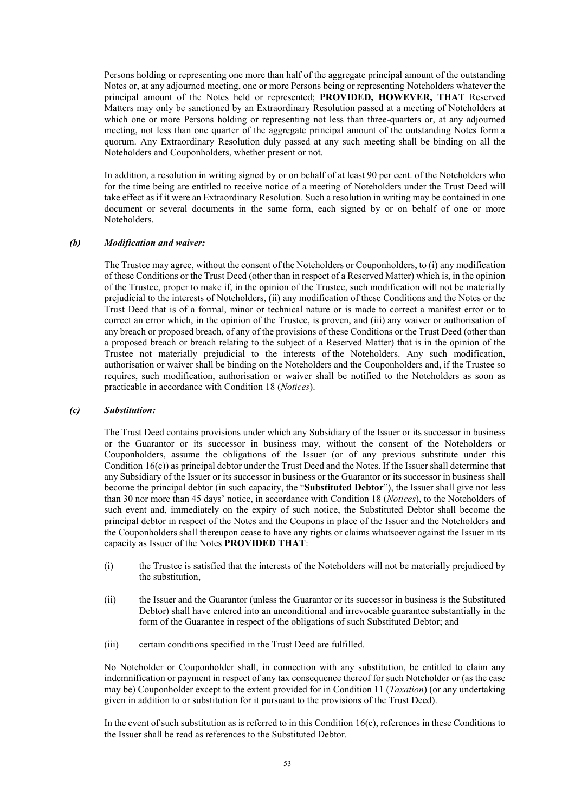Persons holding or representing one more than half of the aggregate principal amount of the outstanding Notes or, at any adjourned meeting, one or more Persons being or representing Noteholders whatever the principal amount of the Notes held or represented; **PROVIDED, HOWEVER, THAT** Reserved Matters may only be sanctioned by an Extraordinary Resolution passed at a meeting of Noteholders at which one or more Persons holding or representing not less than three-quarters or, at any adjourned meeting, not less than one quarter of the aggregate principal amount of the outstanding Notes form a quorum. Any Extraordinary Resolution duly passed at any such meeting shall be binding on all the Noteholders and Couponholders, whether present or not.

In addition, a resolution in writing signed by or on behalf of at least 90 per cent. of the Noteholders who for the time being are entitled to receive notice of a meeting of Noteholders under the Trust Deed will take effect as if it were an Extraordinary Resolution. Such a resolution in writing may be contained in one document or several documents in the same form, each signed by or on behalf of one or more Noteholders.

### *(b) Modification and waiver:*

The Trustee may agree, without the consent of the Noteholders or Couponholders, to (i) any modification of these Conditions or the Trust Deed (other than in respect of a Reserved Matter) which is, in the opinion of the Trustee, proper to make if, in the opinion of the Trustee, such modification will not be materially prejudicial to the interests of Noteholders, (ii) any modification of these Conditions and the Notes or the Trust Deed that is of a formal, minor or technical nature or is made to correct a manifest error or to correct an error which, in the opinion of the Trustee, is proven, and (iii) any waiver or authorisation of any breach or proposed breach, of any of the provisions of these Conditions or the Trust Deed (other than a proposed breach or breach relating to the subject of a Reserved Matter) that is in the opinion of the Trustee not materially prejudicial to the interests of the Noteholders. Any such modification, authorisation or waiver shall be binding on the Noteholders and the Couponholders and, if the Trustee so requires, such modification, authorisation or waiver shall be notified to the Noteholders as soon as practicable in accordance with Condition 18 (*Notices*).

#### *(c) Substitution:*

The Trust Deed contains provisions under which any Subsidiary of the Issuer or its successor in business or the Guarantor or its successor in business may, without the consent of the Noteholders or Couponholders, assume the obligations of the Issuer (or of any previous substitute under this Condition 16(c)) as principal debtor under the Trust Deed and the Notes. If the Issuer shall determine that any Subsidiary of the Issuer or its successor in business or the Guarantor or its successor in business shall become the principal debtor (in such capacity, the "**Substituted Debtor**"), the Issuer shall give not less than 30 nor more than 45 days' notice, in accordance with Condition 18 (*Notices*), to the Noteholders of such event and, immediately on the expiry of such notice, the Substituted Debtor shall become the principal debtor in respect of the Notes and the Coupons in place of the Issuer and the Noteholders and the Couponholders shall thereupon cease to have any rights or claims whatsoever against the Issuer in its capacity as Issuer of the Notes **PROVIDED THAT**:

- (i) the Trustee is satisfied that the interests of the Noteholders will not be materially prejudiced by the substitution,
- (ii) the Issuer and the Guarantor (unless the Guarantor or its successor in business is the Substituted Debtor) shall have entered into an unconditional and irrevocable guarantee substantially in the form of the Guarantee in respect of the obligations of such Substituted Debtor; and
- (iii) certain conditions specified in the Trust Deed are fulfilled.

No Noteholder or Couponholder shall, in connection with any substitution, be entitled to claim any indemnification or payment in respect of any tax consequence thereof for such Noteholder or (as the case may be) Couponholder except to the extent provided for in Condition 11 (*Taxation*) (or any undertaking given in addition to or substitution for it pursuant to the provisions of the Trust Deed).

In the event of such substitution as is referred to in this Condition 16(c), references in these Conditions to the Issuer shall be read as references to the Substituted Debtor.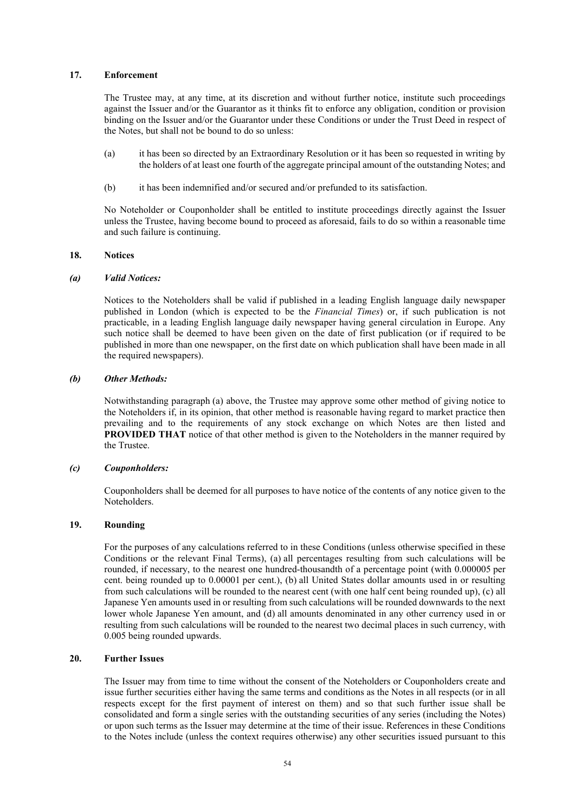# **17. Enforcement**

The Trustee may, at any time, at its discretion and without further notice, institute such proceedings against the Issuer and/or the Guarantor as it thinks fit to enforce any obligation, condition or provision binding on the Issuer and/or the Guarantor under these Conditions or under the Trust Deed in respect of the Notes, but shall not be bound to do so unless:

- (a) it has been so directed by an Extraordinary Resolution or it has been so requested in writing by the holders of at least one fourth of the aggregate principal amount of the outstanding Notes; and
- (b) it has been indemnified and/or secured and/or prefunded to its satisfaction.

No Noteholder or Couponholder shall be entitled to institute proceedings directly against the Issuer unless the Trustee, having become bound to proceed as aforesaid, fails to do so within a reasonable time and such failure is continuing.

#### **18. Notices**

#### *(a) Valid Notices:*

Notices to the Noteholders shall be valid if published in a leading English language daily newspaper published in London (which is expected to be the *Financial Times*) or, if such publication is not practicable, in a leading English language daily newspaper having general circulation in Europe. Any such notice shall be deemed to have been given on the date of first publication (or if required to be published in more than one newspaper, on the first date on which publication shall have been made in all the required newspapers).

### *(b) Other Methods:*

Notwithstanding paragraph (a) above, the Trustee may approve some other method of giving notice to the Noteholders if, in its opinion, that other method is reasonable having regard to market practice then prevailing and to the requirements of any stock exchange on which Notes are then listed and **PROVIDED THAT** notice of that other method is given to the Noteholders in the manner required by the Trustee.

### *(c) Couponholders:*

Couponholders shall be deemed for all purposes to have notice of the contents of any notice given to the **Noteholders** 

# **19. Rounding**

For the purposes of any calculations referred to in these Conditions (unless otherwise specified in these Conditions or the relevant Final Terms), (a) all percentages resulting from such calculations will be rounded, if necessary, to the nearest one hundred-thousandth of a percentage point (with 0.000005 per cent. being rounded up to 0.00001 per cent.), (b) all United States dollar amounts used in or resulting from such calculations will be rounded to the nearest cent (with one half cent being rounded up), (c) all Japanese Yen amounts used in or resulting from such calculations will be rounded downwards to the next lower whole Japanese Yen amount, and (d) all amounts denominated in any other currency used in or resulting from such calculations will be rounded to the nearest two decimal places in such currency, with 0.005 being rounded upwards.

# **20. Further Issues**

The Issuer may from time to time without the consent of the Noteholders or Couponholders create and issue further securities either having the same terms and conditions as the Notes in all respects (or in all respects except for the first payment of interest on them) and so that such further issue shall be consolidated and form a single series with the outstanding securities of any series (including the Notes) or upon such terms as the Issuer may determine at the time of their issue. References in these Conditions to the Notes include (unless the context requires otherwise) any other securities issued pursuant to this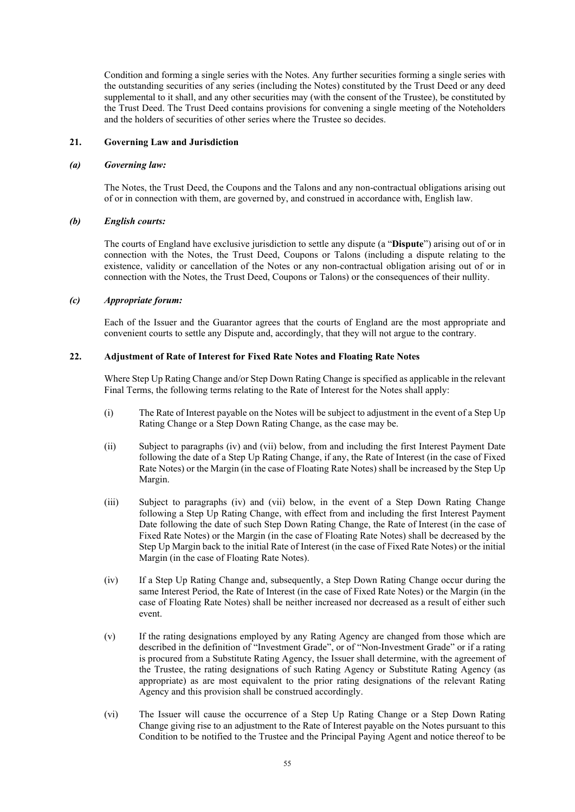Condition and forming a single series with the Notes. Any further securities forming a single series with the outstanding securities of any series (including the Notes) constituted by the Trust Deed or any deed supplemental to it shall, and any other securities may (with the consent of the Trustee), be constituted by the Trust Deed. The Trust Deed contains provisions for convening a single meeting of the Noteholders and the holders of securities of other series where the Trustee so decides.

# **21. Governing Law and Jurisdiction**

#### *(a) Governing law:*

The Notes, the Trust Deed, the Coupons and the Talons and any non-contractual obligations arising out of or in connection with them, are governed by, and construed in accordance with, English law.

### *(b) English courts:*

The courts of England have exclusive jurisdiction to settle any dispute (a "**Dispute**") arising out of or in connection with the Notes, the Trust Deed, Coupons or Talons (including a dispute relating to the existence, validity or cancellation of the Notes or any non-contractual obligation arising out of or in connection with the Notes, the Trust Deed, Coupons or Talons) or the consequences of their nullity.

# *(c) Appropriate forum:*

Each of the Issuer and the Guarantor agrees that the courts of England are the most appropriate and convenient courts to settle any Dispute and, accordingly, that they will not argue to the contrary.

# **22. Adjustment of Rate of Interest for Fixed Rate Notes and Floating Rate Notes**

Where Step Up Rating Change and/or Step Down Rating Change is specified as applicable in the relevant Final Terms, the following terms relating to the Rate of Interest for the Notes shall apply:

- (i) The Rate of Interest payable on the Notes will be subject to adjustment in the event of a Step Up Rating Change or a Step Down Rating Change, as the case may be.
- (ii) Subject to paragraphs (iv) and (vii) below, from and including the first Interest Payment Date following the date of a Step Up Rating Change, if any, the Rate of Interest (in the case of Fixed Rate Notes) or the Margin (in the case of Floating Rate Notes) shall be increased by the Step Up Margin.
- (iii) Subject to paragraphs (iv) and (vii) below, in the event of a Step Down Rating Change following a Step Up Rating Change, with effect from and including the first Interest Payment Date following the date of such Step Down Rating Change, the Rate of Interest (in the case of Fixed Rate Notes) or the Margin (in the case of Floating Rate Notes) shall be decreased by the Step Up Margin back to the initial Rate of Interest (in the case of Fixed Rate Notes) or the initial Margin (in the case of Floating Rate Notes).
- (iv) If a Step Up Rating Change and, subsequently, a Step Down Rating Change occur during the same Interest Period, the Rate of Interest (in the case of Fixed Rate Notes) or the Margin (in the case of Floating Rate Notes) shall be neither increased nor decreased as a result of either such event.
- (v) If the rating designations employed by any Rating Agency are changed from those which are described in the definition of "Investment Grade", or of "Non-Investment Grade" or if a rating is procured from a Substitute Rating Agency, the Issuer shall determine, with the agreement of the Trustee, the rating designations of such Rating Agency or Substitute Rating Agency (as appropriate) as are most equivalent to the prior rating designations of the relevant Rating Agency and this provision shall be construed accordingly.
- (vi) The Issuer will cause the occurrence of a Step Up Rating Change or a Step Down Rating Change giving rise to an adjustment to the Rate of Interest payable on the Notes pursuant to this Condition to be notified to the Trustee and the Principal Paying Agent and notice thereof to be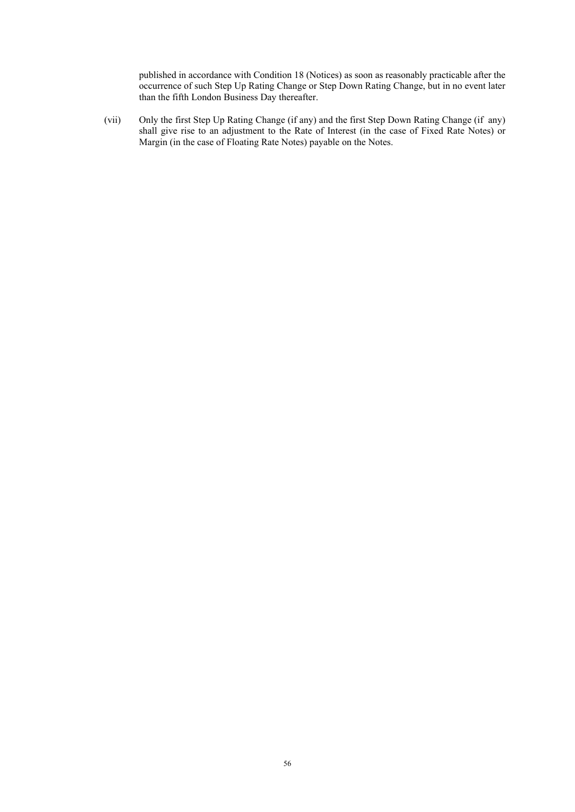published in accordance with Condition 18 (Notices) as soon as reasonably practicable after the occurrence of such Step Up Rating Change or Step Down Rating Change, but in no event later than the fifth London Business Day thereafter.

(vii) Only the first Step Up Rating Change (if any) and the first Step Down Rating Change (if any) shall give rise to an adjustment to the Rate of Interest (in the case of Fixed Rate Notes) or Margin (in the case of Floating Rate Notes) payable on the Notes.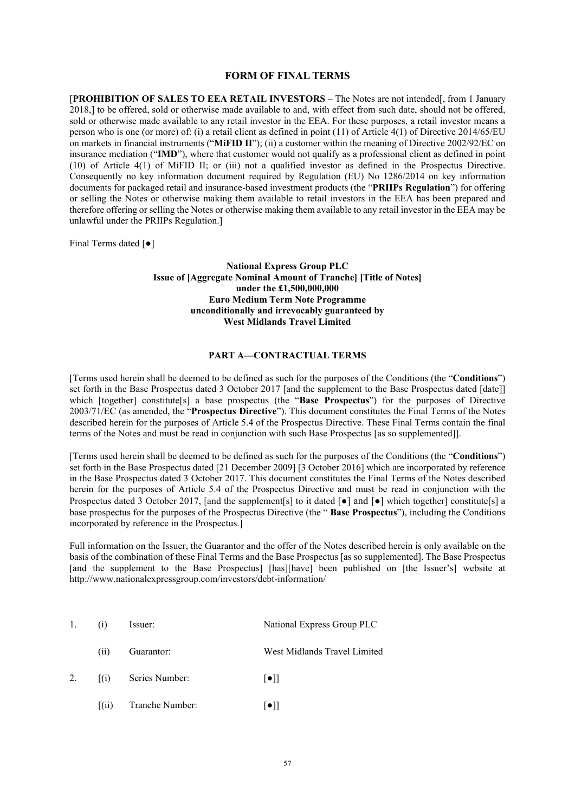### **FORM OF FINAL TERMS**

[**PROHIBITION OF SALES TO EEA RETAIL INVESTORS** – The Notes are not intended[, from 1 January 2018,] to be offered, sold or otherwise made available to and, with effect from such date, should not be offered, sold or otherwise made available to any retail investor in the EEA. For these purposes, a retail investor means a person who is one (or more) of: (i) a retail client as defined in point (11) of Article 4(1) of Directive 2014/65/EU on markets in financial instruments ("**MiFID II**"); (ii) a customer within the meaning of Directive 2002/92/EC on insurance mediation ("**IMD**"), where that customer would not qualify as a professional client as defined in point (10) of Article 4(1) of MiFID II; or (iii) not a qualified investor as defined in the Prospectus Directive. Consequently no key information document required by Regulation (EU) No 1286/2014 on key information documents for packaged retail and insurance-based investment products (the "**PRIIPs Regulation**") for offering or selling the Notes or otherwise making them available to retail investors in the EEA has been prepared and therefore offering or selling the Notes or otherwise making them available to any retail investor in the EEA may be unlawful under the PRIIPs Regulation.]

Final Terms dated [●]

**National Express Group PLC Issue of [Aggregate Nominal Amount of Tranche] [Title of Notes] under the £1,500,000,000 Euro Medium Term Note Programme unconditionally and irrevocably guaranteed by West Midlands Travel Limited**

# **PART A—CONTRACTUAL TERMS**

[Terms used herein shall be deemed to be defined as such for the purposes of the Conditions (the "**Conditions**") set forth in the Base Prospectus dated 3 October 2017 [and the supplement to the Base Prospectus dated [date]] which [together] constitute<sup>[5]</sup> a base prospectus (the "**Base Prospectus**") for the purposes of Directive 2003/71/EC (as amended, the "**Prospectus Directive**"). This document constitutes the Final Terms of the Notes described herein for the purposes of Article 5.4 of the Prospectus Directive. These Final Terms contain the final terms of the Notes and must be read in conjunction with such Base Prospectus [as so supplemented]].

[Terms used herein shall be deemed to be defined as such for the purposes of the Conditions (the "**Conditions**") set forth in the Base Prospectus dated [21 December 2009] [3 October 2016] which are incorporated by reference in the Base Prospectus dated 3 October 2017. This document constitutes the Final Terms of the Notes described herein for the purposes of Article 5.4 of the Prospectus Directive and must be read in conjunction with the Prospectus dated 3 October 2017, [and the supplement[s] to it dated  $\lceil \bullet \rceil$  and  $\lceil \bullet \rceil$  which together] constitute[s] a base prospectus for the purposes of the Prospectus Directive (the " **Base Prospectus**"), including the Conditions incorporated by reference in the Prospectus.]

Full information on the Issuer, the Guarantor and the offer of the Notes described herein is only available on the basis of the combination of these Final Terms and the Base Prospectus [as so supplemented]. The Base Prospectus [and the supplement to the Base Prospectus] [has][have] been published on [the Issuer's] website at http://www.nationalexpressgroup.com/investors/debt-information/

| 1. | (1)          | Issuer:         | National Express Group PLC   |
|----|--------------|-----------------|------------------------------|
|    | (11)         | Guarantor:      | West Midlands Travel Limited |
| 2. | $\lceil$ (i) | Series Number:  | $\lceil \bullet \rceil$      |
|    | (11)         | Tranche Number: | l●                           |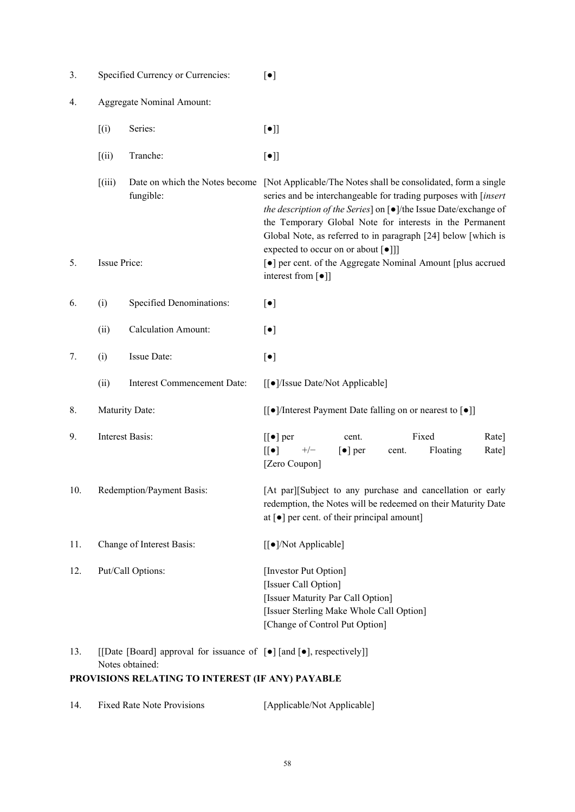| 3.                                               |                                                                                                             | Specified Currency or Currencies:           | $\lbrack \bullet \rbrack$                                                                                                                                                                                                                                                                                                                    |
|--------------------------------------------------|-------------------------------------------------------------------------------------------------------------|---------------------------------------------|----------------------------------------------------------------------------------------------------------------------------------------------------------------------------------------------------------------------------------------------------------------------------------------------------------------------------------------------|
| 4.                                               | <b>Aggregate Nominal Amount:</b>                                                                            |                                             |                                                                                                                                                                                                                                                                                                                                              |
|                                                  | (i)                                                                                                         | Series:                                     | $[\bullet]$                                                                                                                                                                                                                                                                                                                                  |
|                                                  | (iii)                                                                                                       | Tranche:                                    | $[\bullet]$                                                                                                                                                                                                                                                                                                                                  |
|                                                  | (iii)                                                                                                       | Date on which the Notes become<br>fungible: | [Not Applicable/The Notes shall be consolidated, form a single<br>series and be interchangeable for trading purposes with [insert<br>the description of the Series] on [ $\bullet$ ]/the Issue Date/exchange of<br>the Temporary Global Note for interests in the Permanent<br>Global Note, as referred to in paragraph [24] below [which is |
| 5.                                               | expected to occur on or about [ $\bullet$ ]]<br>Issue Price:<br>interest from [ $\bullet$ ]]                |                                             | [ $\bullet$ ] per cent. of the Aggregate Nominal Amount [plus accrued                                                                                                                                                                                                                                                                        |
| 6.                                               | (i)                                                                                                         | Specified Denominations:                    | $[\bullet]$                                                                                                                                                                                                                                                                                                                                  |
|                                                  | (ii)                                                                                                        | <b>Calculation Amount:</b>                  | $[\bullet]$                                                                                                                                                                                                                                                                                                                                  |
| 7.                                               | (i)                                                                                                         | Issue Date:                                 | $[\bullet]$                                                                                                                                                                                                                                                                                                                                  |
|                                                  | (ii)                                                                                                        | <b>Interest Commencement Date:</b>          | [[ $\bullet$ ]/Issue Date/Not Applicable]                                                                                                                                                                                                                                                                                                    |
| 8.                                               | Maturity Date:<br>[[●]/Interest Payment Date falling on or nearest to [●]]                                  |                                             |                                                                                                                                                                                                                                                                                                                                              |
| 9.                                               | <b>Interest Basis:</b>                                                                                      |                                             | Fixed<br>Rate]<br>$[[\bullet]$ per<br>cent.<br>$[[\bullet]]$<br>$+/-$<br>$\lceil \bullet \rceil$ per<br>Floating<br>Rate]<br>cent.<br>[Zero Coupon]                                                                                                                                                                                          |
| 10.                                              | Redemption/Payment Basis:                                                                                   |                                             | [At par][Subject to any purchase and cancellation or early<br>redemption, the Notes will be redeemed on their Maturity Date<br>at $[\bullet]$ per cent. of their principal amount]                                                                                                                                                           |
| 11.                                              | Change of Interest Basis:                                                                                   |                                             | [[●]/Not Applicable]                                                                                                                                                                                                                                                                                                                         |
| 12.                                              | Put/Call Options:                                                                                           |                                             | [Investor Put Option]<br>[Issuer Call Option]<br>[Issuer Maturity Par Call Option]<br>[Issuer Sterling Make Whole Call Option]<br>[Change of Control Put Option]                                                                                                                                                                             |
| 13.                                              | [[Date [Board] approval for issuance of [ $\bullet$ ] [and [ $\bullet$ ], respectively]]<br>Notes obtained: |                                             |                                                                                                                                                                                                                                                                                                                                              |
| PROVISIONS RELATING TO INTEREST (IF ANY) PAYABLE |                                                                                                             |                                             |                                                                                                                                                                                                                                                                                                                                              |

| 14. | <b>Fixed Rate Note Provisions</b> | [Applicable/Not Applicable] |
|-----|-----------------------------------|-----------------------------|
|-----|-----------------------------------|-----------------------------|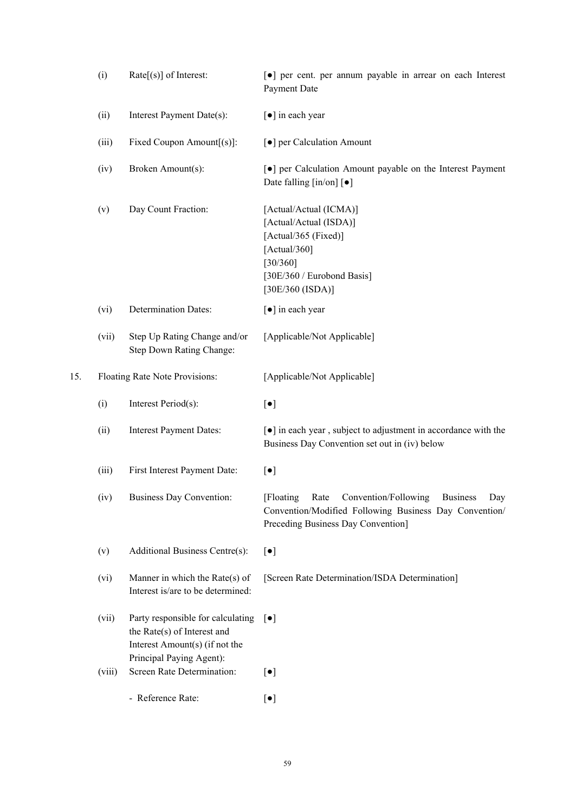|     | (i)    | $Rate[s]$ of Interest:                                                 | [•] per cent. per annum payable in arrear on each Interest<br>Payment Date                                                                                           |
|-----|--------|------------------------------------------------------------------------|----------------------------------------------------------------------------------------------------------------------------------------------------------------------|
|     | (ii)   | Interest Payment Date(s):                                              | [•] in each year                                                                                                                                                     |
|     | (iii)  | Fixed Coupon Amount[(s)]:                                              | [ $\bullet$ ] per Calculation Amount                                                                                                                                 |
|     | (iv)   | Broken Amount(s):                                                      | •] per Calculation Amount payable on the Interest Payment<br>Date falling $\lceil \text{in}/\text{on} \rceil$ $\lceil \bullet \rceil$                                |
|     | (v)    | Day Count Fraction:                                                    | [Actual/Actual (ICMA)]<br>[Actual/Actual (ISDA)]<br>[Actual/365 (Fixed)]<br>[Actual/360]<br>[30/360]<br>[30E/360 / Eurobond Basis]<br>[30E/360 (ISDA)]               |
|     | (vi)   | <b>Determination Dates:</b>                                            | [•] in each year                                                                                                                                                     |
|     | (vii)  | Step Up Rating Change and/or<br>Step Down Rating Change:               | [Applicable/Not Applicable]                                                                                                                                          |
| 15. |        | Floating Rate Note Provisions:                                         | [Applicable/Not Applicable]                                                                                                                                          |
|     | (i)    | Interest Period(s):                                                    | $[\bullet]$                                                                                                                                                          |
|     | (ii)   | <b>Interest Payment Dates:</b>                                         | [ $\bullet$ ] in each year, subject to adjustment in accordance with the<br>Business Day Convention set out in (iv) below                                            |
|     | (iii)  | First Interest Payment Date:                                           | $[\bullet]$                                                                                                                                                          |
|     | (iv)   | <b>Business Day Convention:</b>                                        | [Floating]<br>Convention/Following<br><b>Business</b><br>Rate<br>Day<br>Convention/Modified Following Business Day Convention/<br>Preceding Business Day Convention] |
|     | (v)    | Additional Business Centre(s):                                         | $[\bullet]$                                                                                                                                                          |
|     | (vi)   | Manner in which the Rate $(s)$ of<br>Interest is/are to be determined: | [Screen Rate Determination/ISDA Determination]                                                                                                                       |
|     | (vii)  | Party responsible for calculating<br>the Rate(s) of Interest and       | $\lceil \bullet \rceil$                                                                                                                                              |
|     |        | Interest Amount(s) (if not the<br>Principal Paying Agent):             |                                                                                                                                                                      |
|     | (viii) | Screen Rate Determination:                                             | $[\bullet]$                                                                                                                                                          |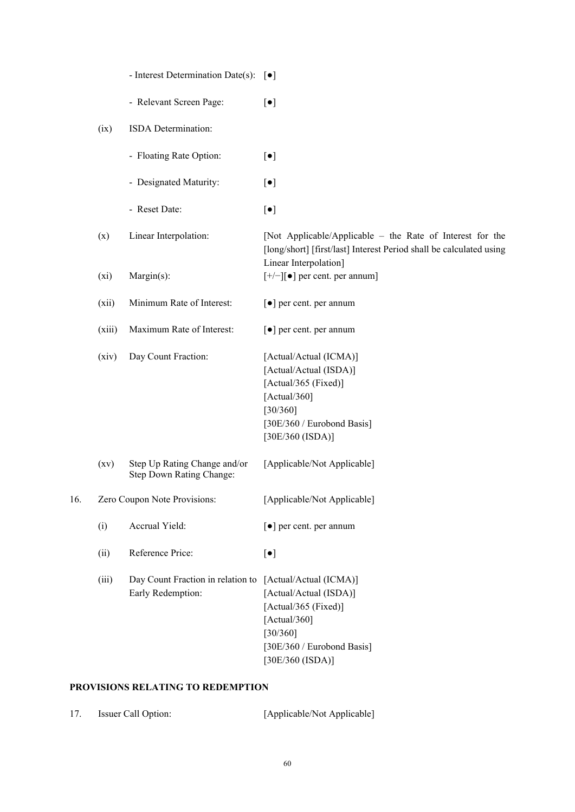|     |                    | - Interest Determination Date(s): $\lbrack \bullet \rbrack$ |                                                                                                                                                           |
|-----|--------------------|-------------------------------------------------------------|-----------------------------------------------------------------------------------------------------------------------------------------------------------|
|     |                    | - Relevant Screen Page:                                     | $\lbrack \bullet \rbrack$                                                                                                                                 |
|     | (ix)               | ISDA Determination:                                         |                                                                                                                                                           |
|     |                    | - Floating Rate Option:                                     | $[\bullet]$                                                                                                                                               |
|     |                    | - Designated Maturity:                                      | $[\bullet]$                                                                                                                                               |
|     |                    | - Reset Date:                                               | $[\bullet]$                                                                                                                                               |
|     | (x)                | Linear Interpolation:                                       | [Not Applicable/Applicable – the Rate of Interest for the<br>[long/short] [first/last] Interest Period shall be calculated using<br>Linear Interpolation] |
|     | (xi)               | Margin(s):                                                  | $[+/]-$ ] $[•]$ per cent. per annum]                                                                                                                      |
|     | (xii)              | Minimum Rate of Interest:                                   | [ $\bullet$ ] per cent. per annum                                                                                                                         |
|     | (xiii)             | Maximum Rate of Interest:                                   | [ $\bullet$ ] per cent. per annum                                                                                                                         |
|     | (xiv)              | Day Count Fraction:                                         | [Actual/Actual (ICMA)]<br>[Actual/Actual (ISDA)]<br>[Actual/365 (Fixed)]<br>[Actual/360]<br>[30/360]<br>[30E/360 / Eurobond Basis]<br>[30E/360 (ISDA)]    |
|     | $\left( xv\right)$ | Step Up Rating Change and/or<br>Step Down Rating Change:    | [Applicable/Not Applicable]                                                                                                                               |
| 16. |                    | Zero Coupon Note Provisions:                                | [Applicable/Not Applicable]                                                                                                                               |
|     | (i)                | Accrual Yield:                                              | [ $\bullet$ ] per cent. per annum                                                                                                                         |
|     | (ii)               | Reference Price:                                            | $[\bullet]$                                                                                                                                               |
|     | (iii)              | Day Count Fraction in relation to<br>Early Redemption:      | [Actual/Actual (ICMA)]<br>[Actual/Actual (ISDA)]<br>[Actual/365 (Fixed)]<br>[Actual/360]<br>[30/360]<br>[30E/360 / Eurobond Basis]<br>[30E/360 (ISDA)]    |

# **PROVISIONS RELATING TO REDEMPTION**

| 17.<br>Issuer Call Option: | [Applicable/Not Applicable] |
|----------------------------|-----------------------------|
|----------------------------|-----------------------------|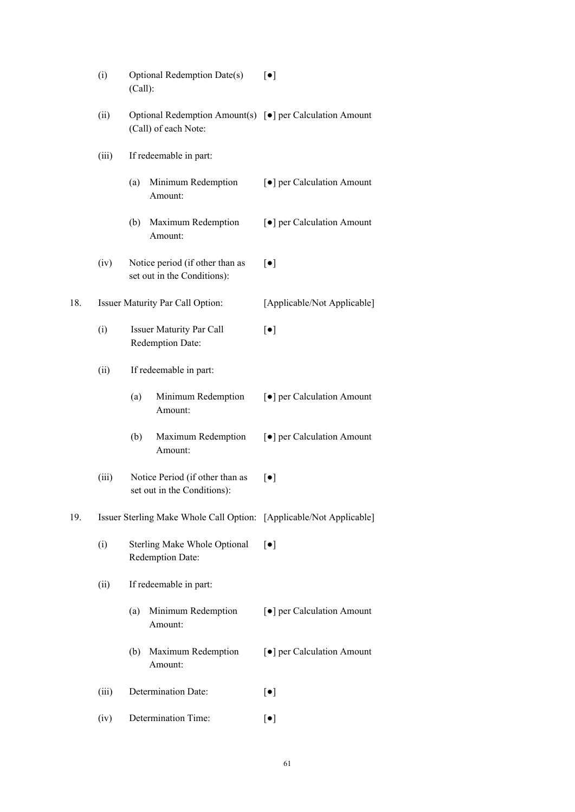|     | (i)                                                                                                                                   | Optional Redemption Date(s)<br>(Call):                         | $[\bullet]$                          |  |
|-----|---------------------------------------------------------------------------------------------------------------------------------------|----------------------------------------------------------------|--------------------------------------|--|
|     | (ii)<br>Optional Redemption Amount(s) [ $\bullet$ ] per Calculation Amount<br>(Call) of each Note:<br>(iii)<br>If redeemable in part: |                                                                |                                      |  |
|     |                                                                                                                                       |                                                                |                                      |  |
|     |                                                                                                                                       | Minimum Redemption<br>(a)<br>Amount:                           | [ $\bullet$ ] per Calculation Amount |  |
|     |                                                                                                                                       | Maximum Redemption<br>(b)<br>Amount:                           | [ $\bullet$ ] per Calculation Amount |  |
|     | (iv)                                                                                                                                  | Notice period (if other than as<br>set out in the Conditions): | $\lceil \bullet \rceil$              |  |
| 18. | Issuer Maturity Par Call Option:                                                                                                      |                                                                | [Applicable/Not Applicable]          |  |
|     | (i)                                                                                                                                   | <b>Issuer Maturity Par Call</b><br>Redemption Date:            | $[\bullet]$                          |  |
|     | (ii)<br>If redeemable in part:                                                                                                        |                                                                |                                      |  |
|     |                                                                                                                                       | (a)<br>Minimum Redemption<br>Amount:                           | [ $\bullet$ ] per Calculation Amount |  |
|     |                                                                                                                                       | (b)<br>Maximum Redemption<br>Amount:                           | [ $\bullet$ ] per Calculation Amount |  |
|     | (iii)                                                                                                                                 | Notice Period (if other than as<br>set out in the Conditions): | $\lceil \bullet \rceil$              |  |
| 19. | Issuer Sterling Make Whole Call Option: [Applicable/Not Applicable]                                                                   |                                                                |                                      |  |
|     | (i)                                                                                                                                   | <b>Sterling Make Whole Optional</b><br>Redemption Date:        | $\lceil \bullet \rceil$              |  |
|     | If redeemable in part:<br>(ii)                                                                                                        |                                                                |                                      |  |
|     |                                                                                                                                       | Minimum Redemption<br>(a)<br>Amount:                           | [ $\bullet$ ] per Calculation Amount |  |
|     |                                                                                                                                       | Maximum Redemption<br>(b)<br>Amount:                           | [ $\bullet$ ] per Calculation Amount |  |
|     | Determination Date:<br>(iii)<br>Determination Time:<br>(iv)                                                                           |                                                                | $[\bullet]$                          |  |
|     |                                                                                                                                       |                                                                | $[\bullet]$                          |  |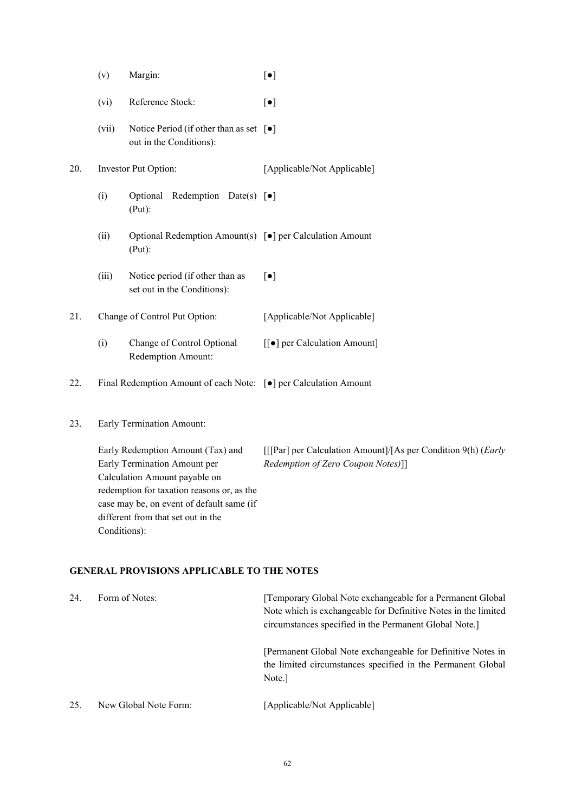- (v) Margin:  $\begin{bmatrix} \bullet \end{bmatrix}$
- (vi) Reference Stock: [●]
- (vii) Notice Period (if other than as set [●] out in the Conditions):
- 20. Investor Put Option: [Applicable/Not Applicable]
	- (i) Optional Redemption Date(s) [●] (Put):
	- (ii) Optional Redemption Amount(s) [●] per Calculation Amount (Put):
	- (iii) Notice period (if other than as set out in the Conditions): [●]

21. Change of Control Put Option: [Applicable/Not Applicable]

- (i) Change of Control Optional Redemption Amount: [[●] per Calculation Amount]
- 22. Final Redemption Amount of each Note: [●] per Calculation Amount
- 23. Early Termination Amount:

Early Redemption Amount (Tax) and Early Termination Amount per Calculation Amount payable on redemption for taxation reasons or, as the case may be, on event of default same (if different from that set out in the Conditions): [[[Par] per Calculation Amount]/[As per Condition 9(h) (*Early Redemption of Zero Coupon Notes)*]]

# **GENERAL PROVISIONS APPLICABLE TO THE NOTES**

| 24. | Form of Notes:        | [Temporary Global Note exchangeable for a Permanent Global]<br>Note which is exchangeable for Definitive Notes in the limited<br>circumstances specified in the Permanent Global Note.] |  |
|-----|-----------------------|-----------------------------------------------------------------------------------------------------------------------------------------------------------------------------------------|--|
|     |                       | [Permanent Global Note exchangeable for Definitive Notes in<br>the limited circumstances specified in the Permanent Global<br>Note.                                                     |  |
| 25. | New Global Note Form: | [Applicable/Not Applicable]                                                                                                                                                             |  |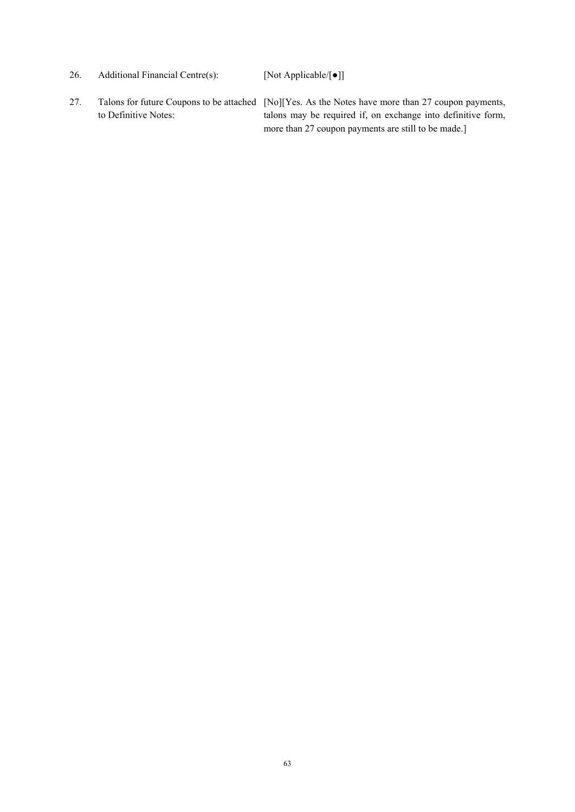- 26. Additional Financial Centre(s): [Not Applicable/[●]]
- 27. Talons for future Coupons to be attached [No][Yes. As the Notes have more than 27 coupon payments, to Definitive Notes: talons may be required if, on exchange into definitive form, more than 27 coupon payments are still to be made.]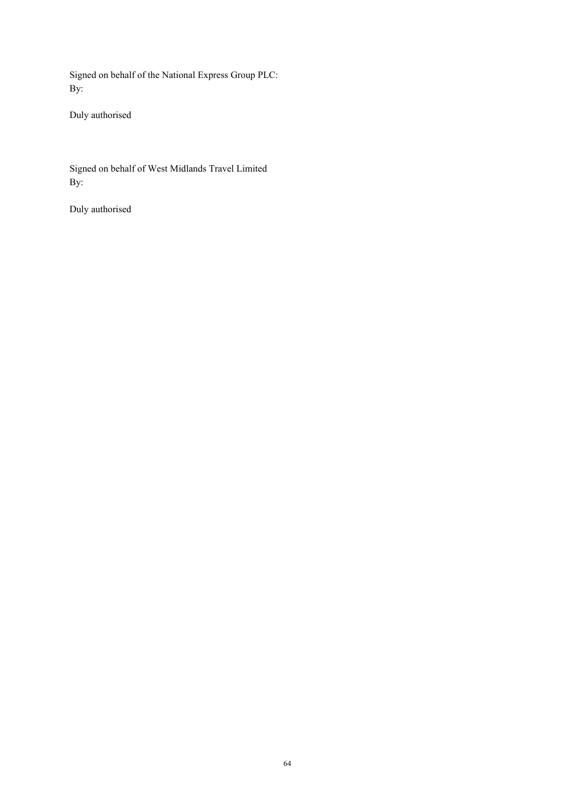Signed on behalf of the National Express Group PLC: By:

Duly authorised

Signed on behalf of West Midlands Travel Limited By:

Duly authorised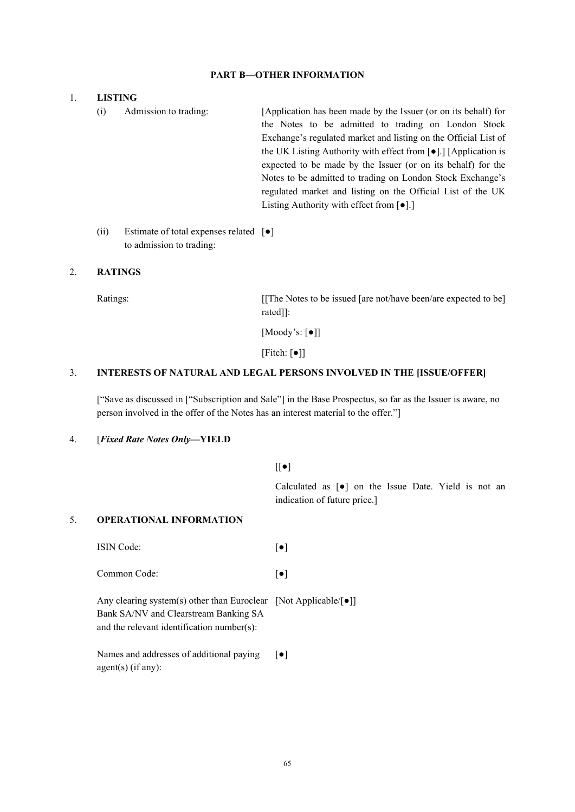# **PART B—OTHER INFORMATION**

### 1. **LISTING**

- (i) Admission to trading: [Application has been made by the Issuer (or on its behalf) for the Notes to be admitted to trading on London Stock Exchange's regulated market and listing on the Official List of the UK Listing Authority with effect from [●].] [Application is expected to be made by the Issuer (or on its behalf) for the Notes to be admitted to trading on London Stock Exchange's regulated market and listing on the Official List of the UK Listing Authority with effect from [●].]
- (ii) Estimate of total expenses related [●] to admission to trading:

# 2. **RATINGS**

Ratings: [[The Notes to be issued [are not/have been/are expected to be] rated]]:

[Moody's: [●]]

[Fitch: [●]]

# 3. **INTERESTS OF NATURAL AND LEGAL PERSONS INVOLVED IN THE [ISSUE/OFFER]**

["Save as discussed in ["Subscription and Sale"] in the Base Prospectus, so far as the Issuer is aware, no person involved in the offer of the Notes has an interest material to the offer."]

# 4. [*Fixed Rate Notes Only***—YIELD**

 $[[\bullet]$ 

Calculated as [●] on the Issue Date. Yield is not an indication of future price.]

### 5. **OPERATIONAL INFORMATION**

ISIN Code: [●] Common Code:  $\lceil \bullet \rceil$ 

Any clearing system(s) other than Euroclear [Not Applicable/[●]] Bank SA/NV and Clearstream Banking SA and the relevant identification number(s):

Names and addresses of additional paying agent(s) (if any):  $\lceil \bullet \rceil$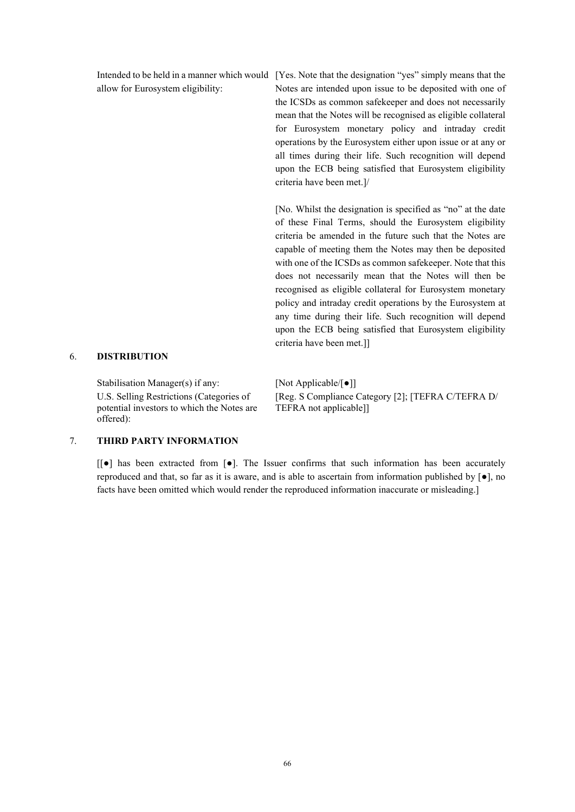allow for Eurosystem eligibility:

Intended to be held in a manner which would [Yes. Note that the designation "yes" simply means that the Notes are intended upon issue to be deposited with one of the ICSDs as common safekeeper and does not necessarily mean that the Notes will be recognised as eligible collateral for Eurosystem monetary policy and intraday credit operations by the Eurosystem either upon issue or at any or all times during their life. Such recognition will depend upon the ECB being satisfied that Eurosystem eligibility criteria have been met.]/

> [No. Whilst the designation is specified as "no" at the date of these Final Terms, should the Eurosystem eligibility criteria be amended in the future such that the Notes are capable of meeting them the Notes may then be deposited with one of the ICSDs as common safekeeper. Note that this does not necessarily mean that the Notes will then be recognised as eligible collateral for Eurosystem monetary policy and intraday credit operations by the Eurosystem at any time during their life. Such recognition will depend upon the ECB being satisfied that Eurosystem eligibility criteria have been met.]]

# 6. **DISTRIBUTION**

Stabilisation Manager(s) if any: [Not Applicable/ $\lceil \bullet \rceil$ ] U.S. Selling Restrictions (Categories of potential investors to which the Notes are offered):

[Reg. S Compliance Category [2]; [TEFRA C/TEFRA D/ TEFRA not applicable]]

# 7. **THIRD PARTY INFORMATION**

[[●] has been extracted from [●]. The Issuer confirms that such information has been accurately reproduced and that, so far as it is aware, and is able to ascertain from information published by  $[\bullet]$ , no facts have been omitted which would render the reproduced information inaccurate or misleading.]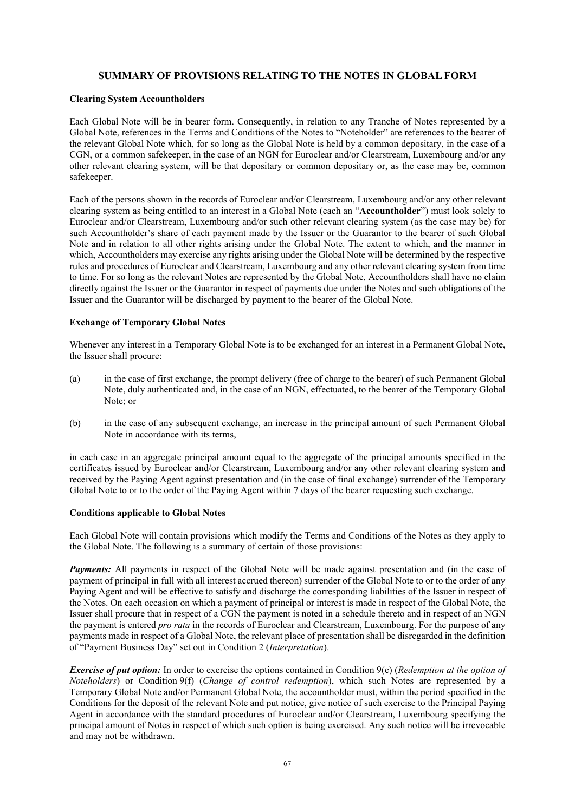# **SUMMARY OF PROVISIONS RELATING TO THE NOTES IN GLOBAL FORM**

#### **Clearing System Accountholders**

Each Global Note will be in bearer form. Consequently, in relation to any Tranche of Notes represented by a Global Note, references in the Terms and Conditions of the Notes to "Noteholder" are references to the bearer of the relevant Global Note which, for so long as the Global Note is held by a common depositary, in the case of a CGN, or a common safekeeper, in the case of an NGN for Euroclear and/or Clearstream, Luxembourg and/or any other relevant clearing system, will be that depositary or common depositary or, as the case may be, common safekeeper.

Each of the persons shown in the records of Euroclear and/or Clearstream, Luxembourg and/or any other relevant clearing system as being entitled to an interest in a Global Note (each an "**Accountholder**") must look solely to Euroclear and/or Clearstream, Luxembourg and/or such other relevant clearing system (as the case may be) for such Accountholder's share of each payment made by the Issuer or the Guarantor to the bearer of such Global Note and in relation to all other rights arising under the Global Note. The extent to which, and the manner in which, Accountholders may exercise any rights arising under the Global Note will be determined by the respective rules and procedures of Euroclear and Clearstream, Luxembourg and any other relevant clearing system from time to time. For so long as the relevant Notes are represented by the Global Note, Accountholders shall have no claim directly against the Issuer or the Guarantor in respect of payments due under the Notes and such obligations of the Issuer and the Guarantor will be discharged by payment to the bearer of the Global Note.

#### **Exchange of Temporary Global Notes**

Whenever any interest in a Temporary Global Note is to be exchanged for an interest in a Permanent Global Note, the Issuer shall procure:

- (a) in the case of first exchange, the prompt delivery (free of charge to the bearer) of such Permanent Global Note, duly authenticated and, in the case of an NGN, effectuated, to the bearer of the Temporary Global Note; or
- (b) in the case of any subsequent exchange, an increase in the principal amount of such Permanent Global Note in accordance with its terms,

in each case in an aggregate principal amount equal to the aggregate of the principal amounts specified in the certificates issued by Euroclear and/or Clearstream, Luxembourg and/or any other relevant clearing system and received by the Paying Agent against presentation and (in the case of final exchange) surrender of the Temporary Global Note to or to the order of the Paying Agent within 7 days of the bearer requesting such exchange.

#### **Conditions applicable to Global Notes**

Each Global Note will contain provisions which modify the Terms and Conditions of the Notes as they apply to the Global Note. The following is a summary of certain of those provisions:

*Payments:* All payments in respect of the Global Note will be made against presentation and (in the case of payment of principal in full with all interest accrued thereon) surrender of the Global Note to or to the order of any Paying Agent and will be effective to satisfy and discharge the corresponding liabilities of the Issuer in respect of the Notes. On each occasion on which a payment of principal or interest is made in respect of the Global Note, the Issuer shall procure that in respect of a CGN the payment is noted in a schedule thereto and in respect of an NGN the payment is entered *pro rata* in the records of Euroclear and Clearstream, Luxembourg. For the purpose of any payments made in respect of a Global Note, the relevant place of presentation shall be disregarded in the definition of "Payment Business Day" set out in Condition 2 (*Interpretation*).

*Exercise of put option:* In order to exercise the options contained in Condition 9(e) (*Redemption at the option of Noteholders*) or Condition 9(f) (*Change of control redemption*), which such Notes are represented by a Temporary Global Note and/or Permanent Global Note, the accountholder must, within the period specified in the Conditions for the deposit of the relevant Note and put notice, give notice of such exercise to the Principal Paying Agent in accordance with the standard procedures of Euroclear and/or Clearstream, Luxembourg specifying the principal amount of Notes in respect of which such option is being exercised. Any such notice will be irrevocable and may not be withdrawn.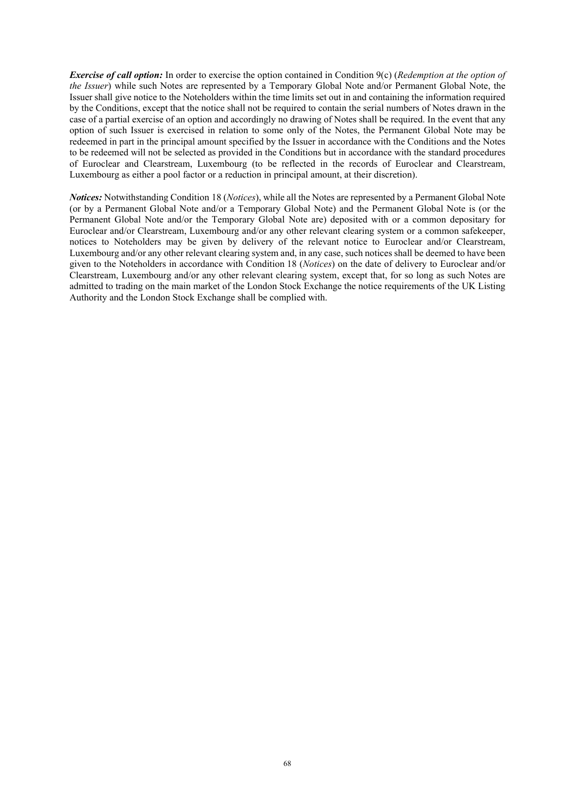*Exercise of call option:* In order to exercise the option contained in Condition 9(c) (*Redemption at the option of the Issuer*) while such Notes are represented by a Temporary Global Note and/or Permanent Global Note, the Issuer shall give notice to the Noteholders within the time limits set out in and containing the information required by the Conditions, except that the notice shall not be required to contain the serial numbers of Notes drawn in the case of a partial exercise of an option and accordingly no drawing of Notes shall be required. In the event that any option of such Issuer is exercised in relation to some only of the Notes, the Permanent Global Note may be redeemed in part in the principal amount specified by the Issuer in accordance with the Conditions and the Notes to be redeemed will not be selected as provided in the Conditions but in accordance with the standard procedures of Euroclear and Clearstream, Luxembourg (to be reflected in the records of Euroclear and Clearstream, Luxembourg as either a pool factor or a reduction in principal amount, at their discretion).

*Notices:* Notwithstanding Condition 18 (*Notices*), while all the Notes are represented by a Permanent Global Note (or by a Permanent Global Note and/or a Temporary Global Note) and the Permanent Global Note is (or the Permanent Global Note and/or the Temporary Global Note are) deposited with or a common depositary for Euroclear and/or Clearstream, Luxembourg and/or any other relevant clearing system or a common safekeeper, notices to Noteholders may be given by delivery of the relevant notice to Euroclear and/or Clearstream, Luxembourg and/or any other relevant clearing system and, in any case, such notices shall be deemed to have been given to the Noteholders in accordance with Condition 18 (*Notices*) on the date of delivery to Euroclear and/or Clearstream, Luxembourg and/or any other relevant clearing system, except that, for so long as such Notes are admitted to trading on the main market of the London Stock Exchange the notice requirements of the UK Listing Authority and the London Stock Exchange shall be complied with.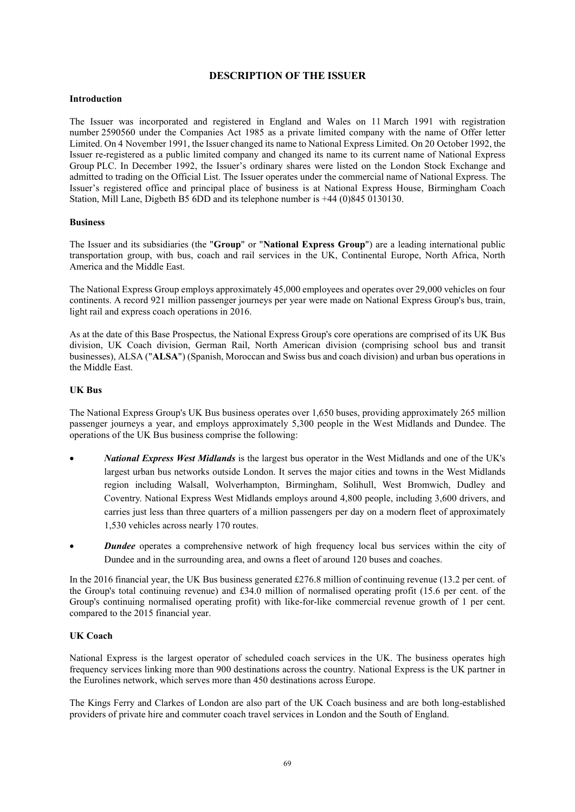# **DESCRIPTION OF THE ISSUER**

## **Introduction**

The Issuer was incorporated and registered in England and Wales on 11 March 1991 with registration number 2590560 under the Companies Act 1985 as a private limited company with the name of Offer letter Limited. On 4 November 1991, the Issuer changed its name to National Express Limited. On 20 October 1992, the Issuer re-registered as a public limited company and changed its name to its current name of National Express Group PLC. In December 1992, the Issuer's ordinary shares were listed on the London Stock Exchange and admitted to trading on the Official List. The Issuer operates under the commercial name of National Express. The Issuer's registered office and principal place of business is at National Express House, Birmingham Coach Station, Mill Lane, Digbeth B5 6DD and its telephone number is +44 (0)845 0130130.

#### **Business**

The Issuer and its subsidiaries (the "**Group**" or "**National Express Group**") are a leading international public transportation group, with bus, coach and rail services in the UK, Continental Europe, North Africa, North America and the Middle East.

The National Express Group employs approximately 45,000 employees and operates over 29,000 vehicles on four continents. A record 921 million passenger journeys per year were made on National Express Group's bus, train, light rail and express coach operations in 2016.

As at the date of this Base Prospectus, the National Express Group's core operations are comprised of its UK Bus division, UK Coach division, German Rail, North American division (comprising school bus and transit businesses), ALSA ("**ALSA**") (Spanish, Moroccan and Swiss bus and coach division) and urban bus operations in the Middle East.

#### **UK Bus**

The National Express Group's UK Bus business operates over 1,650 buses, providing approximately 265 million passenger journeys a year, and employs approximately 5,300 people in the West Midlands and Dundee. The operations of the UK Bus business comprise the following:

- *National Express West Midlands* is the largest bus operator in the West Midlands and one of the UK's largest urban bus networks outside London. It serves the major cities and towns in the West Midlands region including Walsall, Wolverhampton, Birmingham, Solihull, West Bromwich, Dudley and Coventry. National Express West Midlands employs around 4,800 people, including 3,600 drivers, and carries just less than three quarters of a million passengers per day on a modern fleet of approximately 1,530 vehicles across nearly 170 routes.
- *Dundee* operates a comprehensive network of high frequency local bus services within the city of Dundee and in the surrounding area, and owns a fleet of around 120 buses and coaches.

In the 2016 financial year, the UK Bus business generated £276.8 million of continuing revenue (13.2 per cent. of the Group's total continuing revenue) and £34.0 million of normalised operating profit (15.6 per cent. of the Group's continuing normalised operating profit) with like-for-like commercial revenue growth of 1 per cent. compared to the 2015 financial year.

## **UK Coach**

National Express is the largest operator of scheduled coach services in the UK. The business operates high frequency services linking more than 900 destinations across the country. National Express is the UK partner in the Eurolines network, which serves more than 450 destinations across Europe.

The Kings Ferry and Clarkes of London are also part of the UK Coach business and are both long-established providers of private hire and commuter coach travel services in London and the South of England.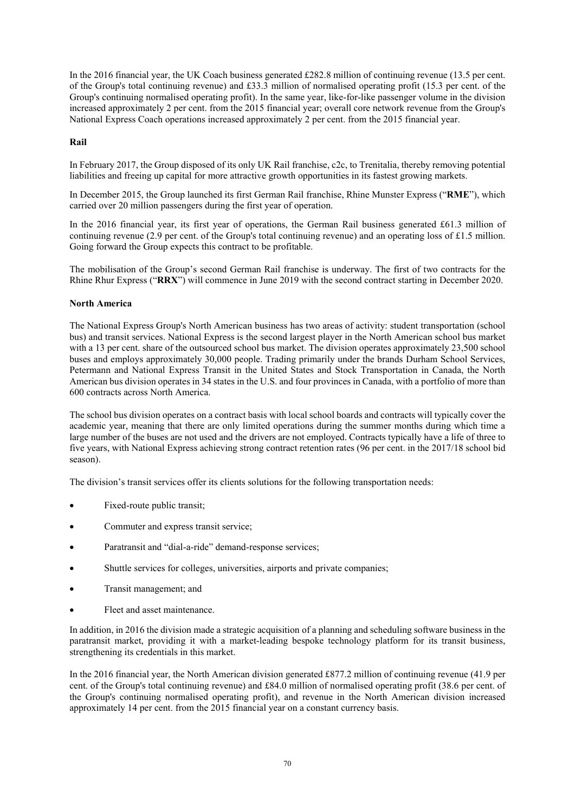In the 2016 financial year, the UK Coach business generated £282.8 million of continuing revenue (13.5 per cent. of the Group's total continuing revenue) and £33.3 million of normalised operating profit (15.3 per cent. of the Group's continuing normalised operating profit). In the same year, like-for-like passenger volume in the division increased approximately 2 per cent. from the 2015 financial year; overall core network revenue from the Group's National Express Coach operations increased approximately 2 per cent. from the 2015 financial year.

# **Rail**

In February 2017, the Group disposed of its only UK Rail franchise, c2c, to Trenitalia, thereby removing potential liabilities and freeing up capital for more attractive growth opportunities in its fastest growing markets.

In December 2015, the Group launched its first German Rail franchise, Rhine Munster Express ("**RME**"), which carried over 20 million passengers during the first year of operation.

In the 2016 financial year, its first year of operations, the German Rail business generated £61.3 million of continuing revenue (2.9 per cent. of the Group's total continuing revenue) and an operating loss of £1.5 million. Going forward the Group expects this contract to be profitable.

The mobilisation of the Group's second German Rail franchise is underway. The first of two contracts for the Rhine Rhur Express ("**RRX**") will commence in June 2019 with the second contract starting in December 2020.

## **North America**

The National Express Group's North American business has two areas of activity: student transportation (school bus) and transit services. National Express is the second largest player in the North American school bus market with a 13 per cent. share of the outsourced school bus market. The division operates approximately 23,500 school buses and employs approximately 30,000 people. Trading primarily under the brands Durham School Services, Petermann and National Express Transit in the United States and Stock Transportation in Canada, the North American bus division operates in 34 states in the U.S. and four provinces in Canada, with a portfolio of more than 600 contracts across North America.

The school bus division operates on a contract basis with local school boards and contracts will typically cover the academic year, meaning that there are only limited operations during the summer months during which time a large number of the buses are not used and the drivers are not employed. Contracts typically have a life of three to five years, with National Express achieving strong contract retention rates (96 per cent. in the 2017/18 school bid season).

The division's transit services offer its clients solutions for the following transportation needs:

- Fixed-route public transit;
- Commuter and express transit service;
- Paratransit and "dial-a-ride" demand-response services;
- Shuttle services for colleges, universities, airports and private companies;
- Transit management; and
- Fleet and asset maintenance.

In addition, in 2016 the division made a strategic acquisition of a planning and scheduling software business in the paratransit market, providing it with a market-leading bespoke technology platform for its transit business, strengthening its credentials in this market.

In the 2016 financial year, the North American division generated £877.2 million of continuing revenue (41.9 per cent. of the Group's total continuing revenue) and £84.0 million of normalised operating profit (38.6 per cent. of the Group's continuing normalised operating profit), and revenue in the North American division increased approximately 14 per cent. from the 2015 financial year on a constant currency basis.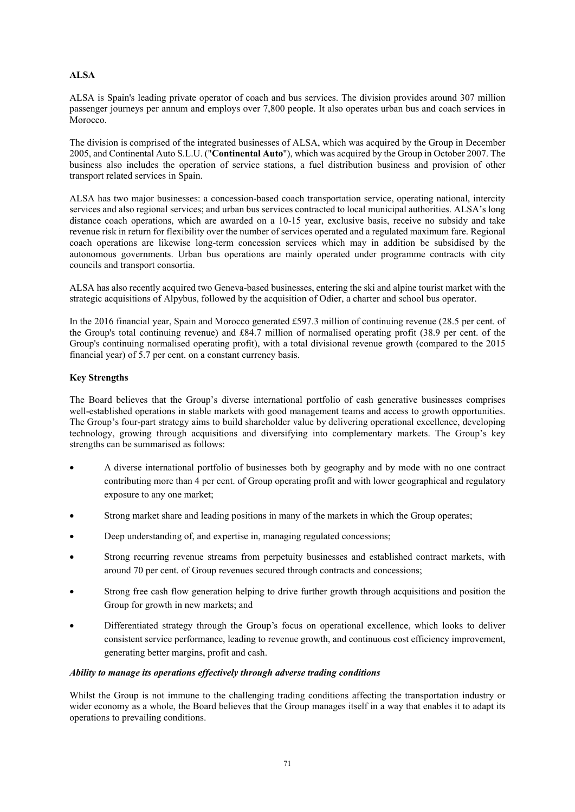# **ALSA**

ALSA is Spain's leading private operator of coach and bus services. The division provides around 307 million passenger journeys per annum and employs over 7,800 people. It also operates urban bus and coach services in Morocco.

The division is comprised of the integrated businesses of ALSA, which was acquired by the Group in December 2005, and Continental Auto S.L.U. ("**Continental Auto**"), which was acquired by the Group in October 2007. The business also includes the operation of service stations, a fuel distribution business and provision of other transport related services in Spain.

ALSA has two major businesses: a concession-based coach transportation service, operating national, intercity services and also regional services; and urban bus services contracted to local municipal authorities. ALSA's long distance coach operations, which are awarded on a 10-15 year, exclusive basis, receive no subsidy and take revenue risk in return for flexibility over the number of services operated and a regulated maximum fare. Regional coach operations are likewise long-term concession services which may in addition be subsidised by the autonomous governments. Urban bus operations are mainly operated under programme contracts with city councils and transport consortia.

ALSA has also recently acquired two Geneva-based businesses, entering the ski and alpine tourist market with the strategic acquisitions of Alpybus, followed by the acquisition of Odier, a charter and school bus operator.

In the 2016 financial year, Spain and Morocco generated £597.3 million of continuing revenue (28.5 per cent. of the Group's total continuing revenue) and £84.7 million of normalised operating profit (38.9 per cent. of the Group's continuing normalised operating profit), with a total divisional revenue growth (compared to the 2015 financial year) of 5.7 per cent. on a constant currency basis.

# **Key Strengths**

The Board believes that the Group's diverse international portfolio of cash generative businesses comprises well-established operations in stable markets with good management teams and access to growth opportunities. The Group's four-part strategy aims to build shareholder value by delivering operational excellence, developing technology, growing through acquisitions and diversifying into complementary markets. The Group's key strengths can be summarised as follows:

- A diverse international portfolio of businesses both by geography and by mode with no one contract contributing more than 4 per cent. of Group operating profit and with lower geographical and regulatory exposure to any one market;
- Strong market share and leading positions in many of the markets in which the Group operates;
- Deep understanding of, and expertise in, managing regulated concessions;
- Strong recurring revenue streams from perpetuity businesses and established contract markets, with around 70 per cent. of Group revenues secured through contracts and concessions;
- Strong free cash flow generation helping to drive further growth through acquisitions and position the Group for growth in new markets; and
- Differentiated strategy through the Group's focus on operational excellence, which looks to deliver consistent service performance, leading to revenue growth, and continuous cost efficiency improvement, generating better margins, profit and cash.

## *Ability to manage its operations effectively through adverse trading conditions*

Whilst the Group is not immune to the challenging trading conditions affecting the transportation industry or wider economy as a whole, the Board believes that the Group manages itself in a way that enables it to adapt its operations to prevailing conditions.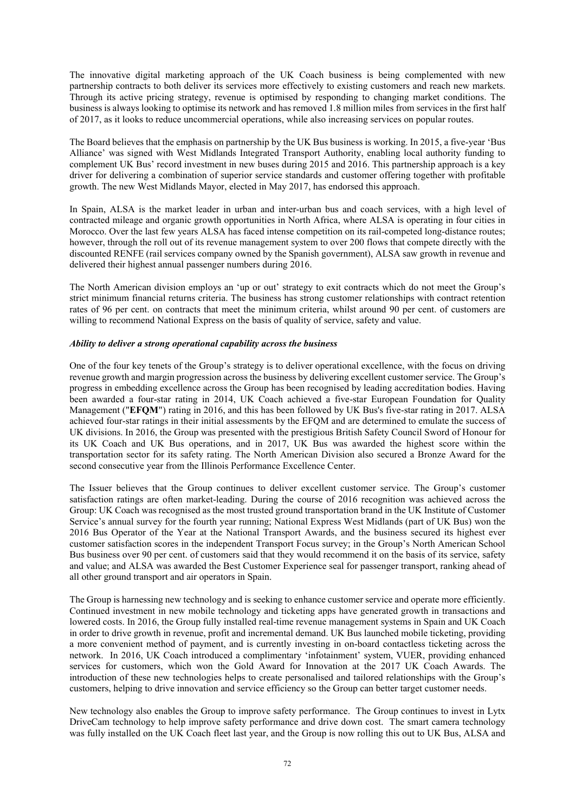The innovative digital marketing approach of the UK Coach business is being complemented with new partnership contracts to both deliver its services more effectively to existing customers and reach new markets. Through its active pricing strategy, revenue is optimised by responding to changing market conditions. The business is always looking to optimise its network and has removed 1.8 million miles from services in the first half of 2017, as it looks to reduce uncommercial operations, while also increasing services on popular routes.

The Board believes that the emphasis on partnership by the UK Bus business is working. In 2015, a five-year 'Bus Alliance' was signed with West Midlands Integrated Transport Authority, enabling local authority funding to complement UK Bus' record investment in new buses during 2015 and 2016. This partnership approach is a key driver for delivering a combination of superior service standards and customer offering together with profitable growth. The new West Midlands Mayor, elected in May 2017, has endorsed this approach.

In Spain, ALSA is the market leader in urban and inter-urban bus and coach services, with a high level of contracted mileage and organic growth opportunities in North Africa, where ALSA is operating in four cities in Morocco. Over the last few years ALSA has faced intense competition on its rail-competed long-distance routes; however, through the roll out of its revenue management system to over 200 flows that compete directly with the discounted RENFE (rail services company owned by the Spanish government), ALSA saw growth in revenue and delivered their highest annual passenger numbers during 2016.

The North American division employs an 'up or out' strategy to exit contracts which do not meet the Group's strict minimum financial returns criteria. The business has strong customer relationships with contract retention rates of 96 per cent. on contracts that meet the minimum criteria, whilst around 90 per cent. of customers are willing to recommend National Express on the basis of quality of service, safety and value.

#### *Ability to deliver a strong operational capability across the business*

One of the four key tenets of the Group's strategy is to deliver operational excellence, with the focus on driving revenue growth and margin progression across the business by delivering excellent customer service. The Group's progress in embedding excellence across the Group has been recognised by leading accreditation bodies. Having been awarded a four-star rating in 2014, UK Coach achieved a five-star European Foundation for Quality Management ("**EFQM**") rating in 2016, and this has been followed by UK Bus's five-star rating in 2017. ALSA achieved four-star ratings in their initial assessments by the EFQM and are determined to emulate the success of UK divisions. In 2016, the Group was presented with the prestigious British Safety Council Sword of Honour for its UK Coach and UK Bus operations, and in 2017, UK Bus was awarded the highest score within the transportation sector for its safety rating. The North American Division also secured a Bronze Award for the second consecutive year from the Illinois Performance Excellence Center.

The Issuer believes that the Group continues to deliver excellent customer service. The Group's customer satisfaction ratings are often market-leading. During the course of 2016 recognition was achieved across the Group: UK Coach was recognised as the most trusted ground transportation brand in the UK Institute of Customer Service's annual survey for the fourth year running; National Express West Midlands (part of UK Bus) won the 2016 Bus Operator of the Year at the National Transport Awards, and the business secured its highest ever customer satisfaction scores in the independent Transport Focus survey; in the Group's North American School Bus business over 90 per cent. of customers said that they would recommend it on the basis of its service, safety and value; and ALSA was awarded the Best Customer Experience seal for passenger transport, ranking ahead of all other ground transport and air operators in Spain.

The Group is harnessing new technology and is seeking to enhance customer service and operate more efficiently. Continued investment in new mobile technology and ticketing apps have generated growth in transactions and lowered costs. In 2016, the Group fully installed real-time revenue management systems in Spain and UK Coach in order to drive growth in revenue, profit and incremental demand. UK Bus launched mobile ticketing, providing a more convenient method of payment, and is currently investing in on-board contactless ticketing across the network. In 2016, UK Coach introduced a complimentary 'infotainment' system, VUER, providing enhanced services for customers, which won the Gold Award for Innovation at the 2017 UK Coach Awards. The introduction of these new technologies helps to create personalised and tailored relationships with the Group's customers, helping to drive innovation and service efficiency so the Group can better target customer needs.

New technology also enables the Group to improve safety performance. The Group continues to invest in Lytx DriveCam technology to help improve safety performance and drive down cost. The smart camera technology was fully installed on the UK Coach fleet last year, and the Group is now rolling this out to UK Bus, ALSA and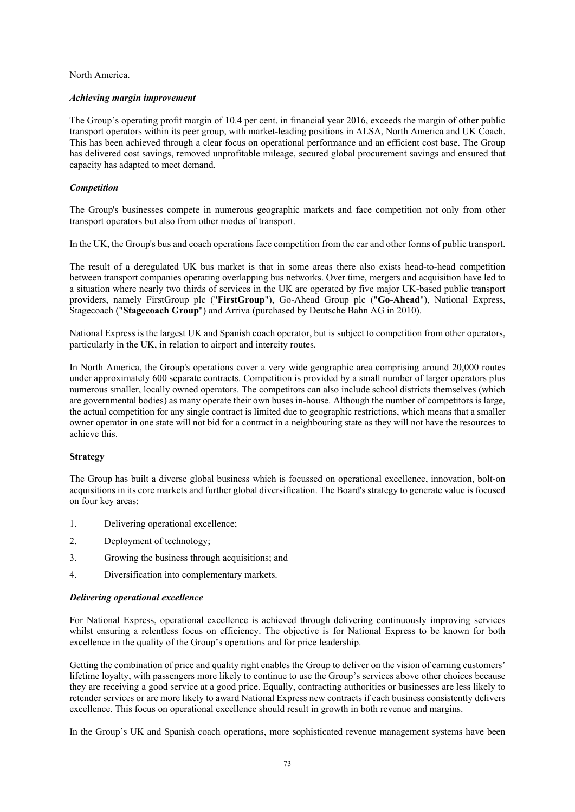North America.

#### *Achieving margin improvement*

The Group's operating profit margin of 10.4 per cent. in financial year 2016, exceeds the margin of other public transport operators within its peer group, with market-leading positions in ALSA, North America and UK Coach. This has been achieved through a clear focus on operational performance and an efficient cost base. The Group has delivered cost savings, removed unprofitable mileage, secured global procurement savings and ensured that capacity has adapted to meet demand.

## *Competition*

The Group's businesses compete in numerous geographic markets and face competition not only from other transport operators but also from other modes of transport.

In the UK, the Group's bus and coach operations face competition from the car and other forms of public transport.

The result of a deregulated UK bus market is that in some areas there also exists head-to-head competition between transport companies operating overlapping bus networks. Over time, mergers and acquisition have led to a situation where nearly two thirds of services in the UK are operated by five major UK-based public transport providers, namely FirstGroup plc ("**FirstGroup**"), Go-Ahead Group plc ("**Go-Ahead**"), National Express, Stagecoach ("**Stagecoach Group**") and Arriva (purchased by Deutsche Bahn AG in 2010).

National Express is the largest UK and Spanish coach operator, but is subject to competition from other operators, particularly in the UK, in relation to airport and intercity routes.

In North America, the Group's operations cover a very wide geographic area comprising around 20,000 routes under approximately 600 separate contracts. Competition is provided by a small number of larger operators plus numerous smaller, locally owned operators. The competitors can also include school districts themselves (which are governmental bodies) as many operate their own buses in-house. Although the number of competitors is large, the actual competition for any single contract is limited due to geographic restrictions, which means that a smaller owner operator in one state will not bid for a contract in a neighbouring state as they will not have the resources to achieve this.

#### **Strategy**

The Group has built a diverse global business which is focussed on operational excellence, innovation, bolt-on acquisitions in its core markets and further global diversification. The Board's strategy to generate value is focused on four key areas:

- 1. Delivering operational excellence;
- 2. Deployment of technology;
- 3. Growing the business through acquisitions; and
- 4. Diversification into complementary markets.

#### *Delivering operational excellence*

For National Express, operational excellence is achieved through delivering continuously improving services whilst ensuring a relentless focus on efficiency. The objective is for National Express to be known for both excellence in the quality of the Group's operations and for price leadership.

Getting the combination of price and quality right enables the Group to deliver on the vision of earning customers' lifetime loyalty, with passengers more likely to continue to use the Group's services above other choices because they are receiving a good service at a good price. Equally, contracting authorities or businesses are less likely to retender services or are more likely to award National Express new contracts if each business consistently delivers excellence. This focus on operational excellence should result in growth in both revenue and margins.

In the Group's UK and Spanish coach operations, more sophisticated revenue management systems have been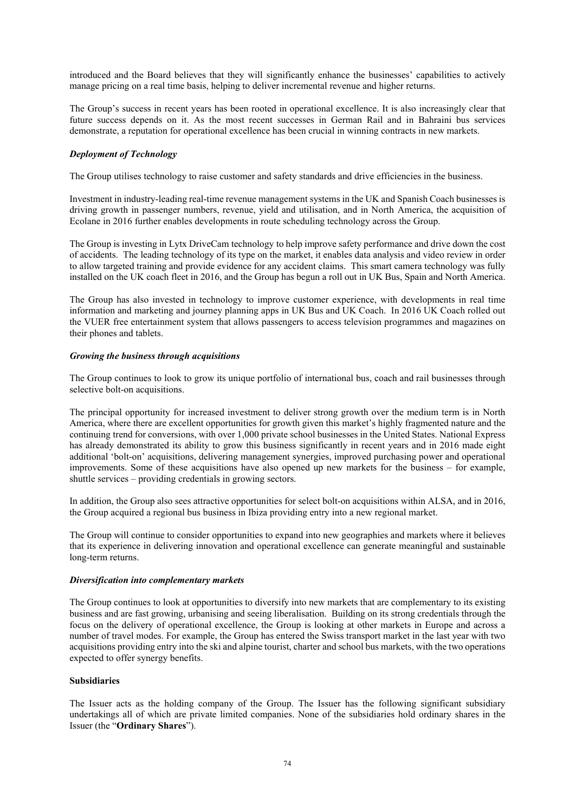introduced and the Board believes that they will significantly enhance the businesses' capabilities to actively manage pricing on a real time basis, helping to deliver incremental revenue and higher returns.

The Group's success in recent years has been rooted in operational excellence. It is also increasingly clear that future success depends on it. As the most recent successes in German Rail and in Bahraini bus services demonstrate, a reputation for operational excellence has been crucial in winning contracts in new markets.

## *Deployment of Technology*

The Group utilises technology to raise customer and safety standards and drive efficiencies in the business.

Investment in industry-leading real-time revenue management systems in the UK and Spanish Coach businesses is driving growth in passenger numbers, revenue, yield and utilisation, and in North America, the acquisition of Ecolane in 2016 further enables developments in route scheduling technology across the Group.

The Group is investing in Lytx DriveCam technology to help improve safety performance and drive down the cost of accidents. The leading technology of its type on the market, it enables data analysis and video review in order to allow targeted training and provide evidence for any accident claims. This smart camera technology was fully installed on the UK coach fleet in 2016, and the Group has begun a roll out in UK Bus, Spain and North America.

The Group has also invested in technology to improve customer experience, with developments in real time information and marketing and journey planning apps in UK Bus and UK Coach. In 2016 UK Coach rolled out the VUER free entertainment system that allows passengers to access television programmes and magazines on their phones and tablets.

## *Growing the business through acquisitions*

The Group continues to look to grow its unique portfolio of international bus, coach and rail businesses through selective bolt-on acquisitions.

The principal opportunity for increased investment to deliver strong growth over the medium term is in North America, where there are excellent opportunities for growth given this market's highly fragmented nature and the continuing trend for conversions, with over 1,000 private school businesses in the United States. National Express has already demonstrated its ability to grow this business significantly in recent years and in 2016 made eight additional 'bolt-on' acquisitions, delivering management synergies, improved purchasing power and operational improvements. Some of these acquisitions have also opened up new markets for the business – for example, shuttle services – providing credentials in growing sectors.

In addition, the Group also sees attractive opportunities for select bolt-on acquisitions within ALSA, and in 2016, the Group acquired a regional bus business in Ibiza providing entry into a new regional market.

The Group will continue to consider opportunities to expand into new geographies and markets where it believes that its experience in delivering innovation and operational excellence can generate meaningful and sustainable long-term returns.

#### *Diversification into complementary markets*

The Group continues to look at opportunities to diversify into new markets that are complementary to its existing business and are fast growing, urbanising and seeing liberalisation. Building on its strong credentials through the focus on the delivery of operational excellence, the Group is looking at other markets in Europe and across a number of travel modes. For example, the Group has entered the Swiss transport market in the last year with two acquisitions providing entry into the ski and alpine tourist, charter and school bus markets, with the two operations expected to offer synergy benefits.

# **Subsidiaries**

The Issuer acts as the holding company of the Group. The Issuer has the following significant subsidiary undertakings all of which are private limited companies. None of the subsidiaries hold ordinary shares in the Issuer (the "**Ordinary Shares**").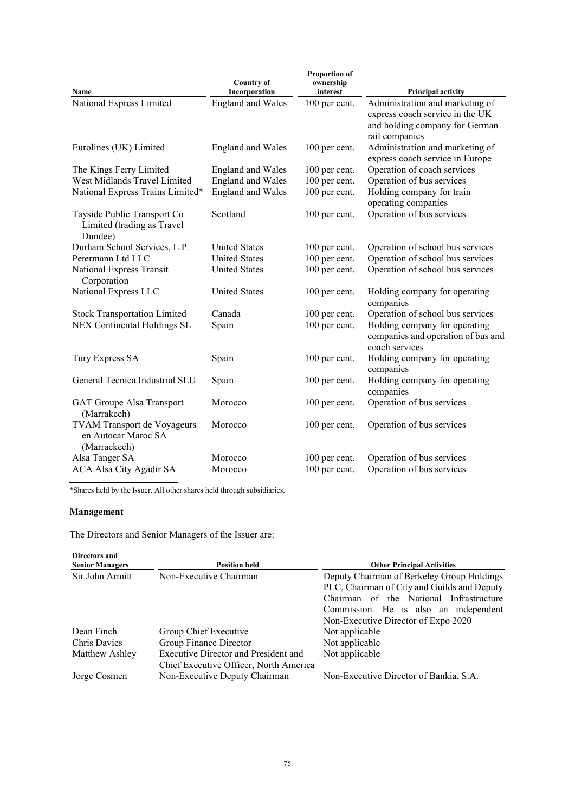|                                                                      | <b>Country of</b>        | <b>Proportion of</b><br>ownership |                                                                                                                        |
|----------------------------------------------------------------------|--------------------------|-----------------------------------|------------------------------------------------------------------------------------------------------------------------|
| Name                                                                 | Incorporation            | interest                          | <b>Principal activity</b>                                                                                              |
| National Express Limited                                             | <b>England and Wales</b> | 100 per cent.                     | Administration and marketing of<br>express coach service in the UK<br>and holding company for German<br>rail companies |
| Eurolines (UK) Limited                                               | <b>England and Wales</b> | 100 per cent.                     | Administration and marketing of<br>express coach service in Europe                                                     |
| The Kings Ferry Limited                                              | <b>England and Wales</b> | 100 per cent.                     | Operation of coach services                                                                                            |
| West Midlands Travel Limited                                         | <b>England</b> and Wales | 100 per cent.                     | Operation of bus services                                                                                              |
| National Express Trains Limited*                                     | <b>England</b> and Wales | 100 per cent.                     | Holding company for train<br>operating companies                                                                       |
| Tayside Public Transport Co<br>Limited (trading as Travel<br>Dundee) | Scotland                 | 100 per cent.                     | Operation of bus services                                                                                              |
| Durham School Services, L.P.                                         | <b>United States</b>     | 100 per cent.                     | Operation of school bus services                                                                                       |
| Petermann Ltd LLC                                                    | <b>United States</b>     | 100 per cent.                     | Operation of school bus services                                                                                       |
| National Express Transit<br>Corporation                              | <b>United States</b>     | 100 per cent.                     | Operation of school bus services                                                                                       |
| National Express LLC                                                 | <b>United States</b>     | 100 per cent.                     | Holding company for operating<br>companies                                                                             |
| <b>Stock Transportation Limited</b>                                  | Canada                   | 100 per cent.                     | Operation of school bus services                                                                                       |
| NEX Continental Holdings SL                                          | Spain                    | 100 per cent.                     | Holding company for operating<br>companies and operation of bus and<br>coach services                                  |
| Tury Express SA                                                      | Spain                    | 100 per cent.                     | Holding company for operating<br>companies                                                                             |
| General Tecnica Industrial SLU                                       | Spain                    | 100 per cent.                     | Holding company for operating<br>companies                                                                             |
| <b>GAT Groupe Alsa Transport</b><br>(Marrakech)                      | Morocco                  | 100 per cent.                     | Operation of bus services                                                                                              |
| TVAM Transport de Voyageurs<br>en Autocar Maroc SA<br>(Marrackech)   | Morocco                  | 100 per cent.                     | Operation of bus services                                                                                              |
| Alsa Tanger SA                                                       | Morocco                  | 100 per cent.                     | Operation of bus services                                                                                              |
| ACA Alsa City Agadir SA                                              | Morocco                  | 100 per cent.                     | Operation of bus services                                                                                              |

\*Shares held by the Issuer. All other shares held through subsidiaries.

# **Management**

The Directors and Senior Managers of the Issuer are:

| Directors and<br><b>Senior Managers</b> | <b>Position held</b>                                                           | <b>Other Principal Activities</b>                                                                                                    |
|-----------------------------------------|--------------------------------------------------------------------------------|--------------------------------------------------------------------------------------------------------------------------------------|
| Sir John Armitt                         | Non-Executive Chairman                                                         | Deputy Chairman of Berkeley Group Holdings<br>PLC, Chairman of City and Guilds and Deputy<br>Chairman of the National Infrastructure |
|                                         |                                                                                | Commission. He is also an independent                                                                                                |
|                                         |                                                                                | Non-Executive Director of Expo 2020                                                                                                  |
| Dean Finch                              | Group Chief Executive                                                          | Not applicable                                                                                                                       |
| <b>Chris Davies</b>                     | Group Finance Director                                                         | Not applicable                                                                                                                       |
| Matthew Ashley                          | Executive Director and President and<br>Chief Executive Officer, North America | Not applicable                                                                                                                       |
| Jorge Cosmen                            | Non-Executive Deputy Chairman                                                  | Non-Executive Director of Bankia, S.A.                                                                                               |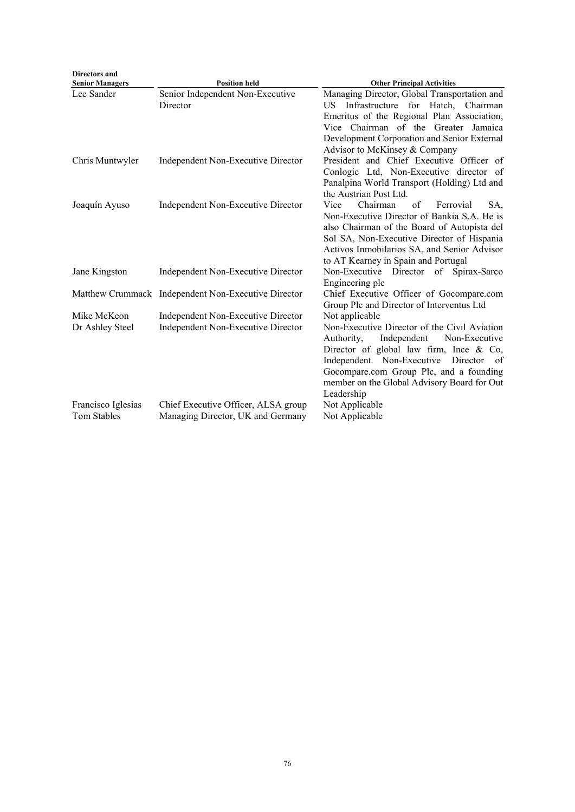| <b>Directors and</b><br><b>Senior Managers</b> | <b>Position held</b>                                                            | <b>Other Principal Activities</b>                                                                                                                                                                                                                                                                                   |
|------------------------------------------------|---------------------------------------------------------------------------------|---------------------------------------------------------------------------------------------------------------------------------------------------------------------------------------------------------------------------------------------------------------------------------------------------------------------|
| Lee Sander                                     | Senior Independent Non-Executive<br>Director                                    | Managing Director, Global Transportation and<br>Infrastructure for Hatch, Chairman<br>US.<br>Emeritus of the Regional Plan Association,<br>Vice Chairman of the Greater Jamaica<br>Development Corporation and Senior External<br>Advisor to McKinsey & Company                                                     |
| Chris Muntwyler                                | Independent Non-Executive Director                                              | President and Chief Executive Officer of<br>Conlogic Ltd, Non-Executive director of<br>Panalpina World Transport (Holding) Ltd and<br>the Austrian Post Ltd.                                                                                                                                                        |
| Joaquín Ayuso                                  | Independent Non-Executive Director                                              | Chairman<br>Vice<br>of<br>Ferrovial<br>SA,<br>Non-Executive Director of Bankia S.A. He is<br>also Chairman of the Board of Autopista del<br>Sol SA, Non-Executive Director of Hispania<br>Activos Inmobilarios SA, and Senior Advisor<br>to AT Kearney in Spain and Portugal                                        |
| Jane Kingston                                  | Independent Non-Executive Director                                              | Non-Executive Director of Spirax-Sarco<br>Engineering plc                                                                                                                                                                                                                                                           |
|                                                | Matthew Crummack Independent Non-Executive Director                             | Chief Executive Officer of Gocompare.com<br>Group Plc and Director of Interventus Ltd                                                                                                                                                                                                                               |
| Mike McKeon<br>Dr Ashley Steel                 | Independent Non-Executive Director<br><b>Independent Non-Executive Director</b> | Not applicable<br>Non-Executive Director of the Civil Aviation<br>Independent<br>Non-Executive<br>Authority,<br>Director of global law firm, Ince $\&$ Co,<br>Independent Non-Executive<br>Director<br>- of<br>Gocompare.com Group Plc, and a founding<br>member on the Global Advisory Board for Out<br>Leadership |
| Francisco Iglesias<br>Tom Stables              | Chief Executive Officer, ALSA group<br>Managing Director, UK and Germany        | Not Applicable<br>Not Applicable                                                                                                                                                                                                                                                                                    |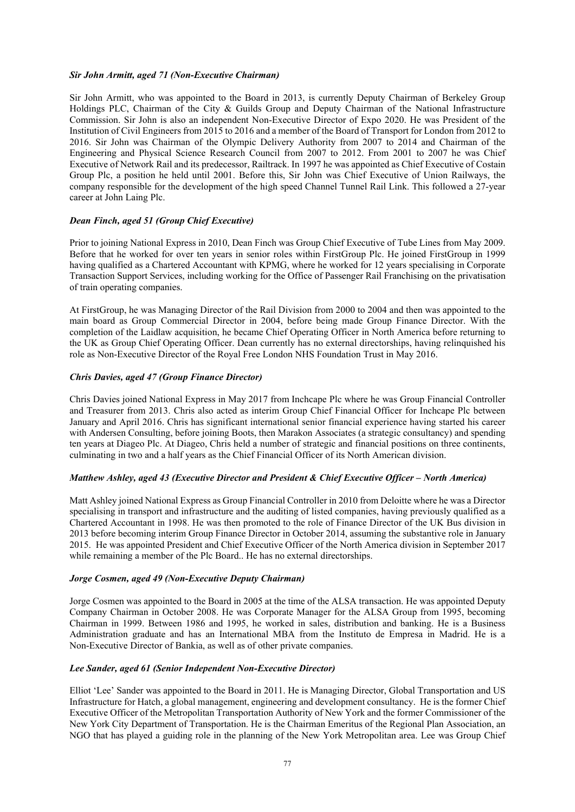#### *Sir John Armitt, aged 71 (Non-Executive Chairman)*

Sir John Armitt, who was appointed to the Board in 2013, is currently Deputy Chairman of Berkeley Group Holdings PLC, Chairman of the City & Guilds Group and Deputy Chairman of the National Infrastructure Commission. Sir John is also an independent Non-Executive Director of Expo 2020. He was President of the Institution of Civil Engineers from 2015 to 2016 and a member of the Board of Transport for London from 2012 to 2016. Sir John was Chairman of the Olympic Delivery Authority from 2007 to 2014 and Chairman of the Engineering and Physical Science Research Council from 2007 to 2012. From 2001 to 2007 he was Chief Executive of Network Rail and its predecessor, Railtrack. In 1997 he was appointed as Chief Executive of Costain Group Plc, a position he held until 2001. Before this, Sir John was Chief Executive of Union Railways, the company responsible for the development of the high speed Channel Tunnel Rail Link. This followed a 27-year career at John Laing Plc.

## *Dean Finch, aged 51 (Group Chief Executive)*

Prior to joining National Express in 2010, Dean Finch was Group Chief Executive of Tube Lines from May 2009. Before that he worked for over ten years in senior roles within FirstGroup Plc. He joined FirstGroup in 1999 having qualified as a Chartered Accountant with KPMG, where he worked for 12 years specialising in Corporate Transaction Support Services, including working for the Office of Passenger Rail Franchising on the privatisation of train operating companies.

At FirstGroup, he was Managing Director of the Rail Division from 2000 to 2004 and then was appointed to the main board as Group Commercial Director in 2004, before being made Group Finance Director. With the completion of the Laidlaw acquisition, he became Chief Operating Officer in North America before returning to the UK as Group Chief Operating Officer. Dean currently has no external directorships, having relinquished his role as Non-Executive Director of the Royal Free London NHS Foundation Trust in May 2016.

#### *Chris Davies, aged 47 (Group Finance Director)*

Chris Davies joined National Express in May 2017 from Inchcape Plc where he was Group Financial Controller and Treasurer from 2013. Chris also acted as interim Group Chief Financial Officer for Inchcape Plc between January and April 2016. Chris has significant international senior financial experience having started his career with Andersen Consulting, before joining Boots, then Marakon Associates (a strategic consultancy) and spending ten years at Diageo Plc. At Diageo, Chris held a number of strategic and financial positions on three continents, culminating in two and a half years as the Chief Financial Officer of its North American division.

#### *Matthew Ashley, aged 43 (Executive Director and President & Chief Executive Officer – North America)*

Matt Ashley joined National Express as Group Financial Controller in 2010 from Deloitte where he was a Director specialising in transport and infrastructure and the auditing of listed companies, having previously qualified as a Chartered Accountant in 1998. He was then promoted to the role of Finance Director of the UK Bus division in 2013 before becoming interim Group Finance Director in October 2014, assuming the substantive role in January 2015. He was appointed President and Chief Executive Officer of the North America division in September 2017 while remaining a member of the Plc Board.. He has no external directorships.

#### *Jorge Cosmen, aged 49 (Non-Executive Deputy Chairman)*

Jorge Cosmen was appointed to the Board in 2005 at the time of the ALSA transaction. He was appointed Deputy Company Chairman in October 2008. He was Corporate Manager for the ALSA Group from 1995, becoming Chairman in 1999. Between 1986 and 1995, he worked in sales, distribution and banking. He is a Business Administration graduate and has an International MBA from the Instituto de Empresa in Madrid. He is a Non-Executive Director of Bankia, as well as of other private companies.

#### *Lee Sander, aged 61 (Senior Independent Non-Executive Director)*

Elliot 'Lee' Sander was appointed to the Board in 2011. He is Managing Director, Global Transportation and US Infrastructure for Hatch, a global management, engineering and development consultancy. He is the former Chief Executive Officer of the Metropolitan Transportation Authority of New York and the former Commissioner of the New York City Department of Transportation. He is the Chairman Emeritus of the Regional Plan Association, an NGO that has played a guiding role in the planning of the New York Metropolitan area. Lee was Group Chief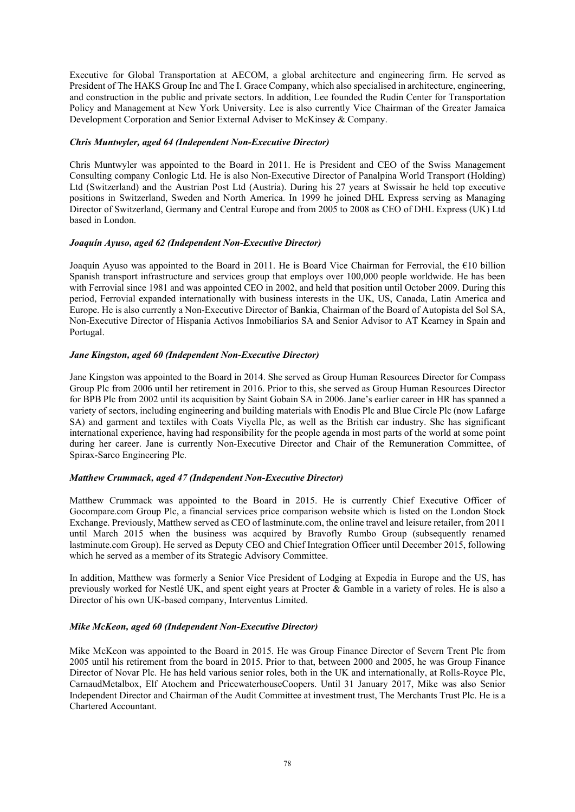Executive for Global Transportation at AECOM, a global architecture and engineering firm. He served as President of The HAKS Group Inc and The I. Grace Company, which also specialised in architecture, engineering, and construction in the public and private sectors. In addition, Lee founded the Rudin Center for Transportation Policy and Management at New York University. Lee is also currently Vice Chairman of the Greater Jamaica Development Corporation and Senior External Adviser to McKinsey & Company.

#### *Chris Muntwyler, aged 64 (Independent Non-Executive Director)*

Chris Muntwyler was appointed to the Board in 2011. He is President and CEO of the Swiss Management Consulting company Conlogic Ltd. He is also Non-Executive Director of Panalpina World Transport (Holding) Ltd (Switzerland) and the Austrian Post Ltd (Austria). During his 27 years at Swissair he held top executive positions in Switzerland, Sweden and North America. In 1999 he joined DHL Express serving as Managing Director of Switzerland, Germany and Central Europe and from 2005 to 2008 as CEO of DHL Express (UK) Ltd based in London.

#### *Joaquín Ayuso, aged 62 (Independent Non-Executive Director)*

Joaquín Ayuso was appointed to the Board in 2011. He is Board Vice Chairman for Ferrovial, the €10 billion Spanish transport infrastructure and services group that employs over 100,000 people worldwide. He has been with Ferrovial since 1981 and was appointed CEO in 2002, and held that position until October 2009. During this period, Ferrovial expanded internationally with business interests in the UK, US, Canada, Latin America and Europe. He is also currently a Non-Executive Director of Bankia, Chairman of the Board of Autopista del Sol SA, Non-Executive Director of Hispania Activos Inmobiliarios SA and Senior Advisor to AT Kearney in Spain and Portugal.

#### *Jane Kingston, aged 60 (Independent Non-Executive Director)*

Jane Kingston was appointed to the Board in 2014. She served as Group Human Resources Director for Compass Group Plc from 2006 until her retirement in 2016. Prior to this, she served as Group Human Resources Director for BPB Plc from 2002 until its acquisition by Saint Gobain SA in 2006. Jane's earlier career in HR has spanned a variety of sectors, including engineering and building materials with Enodis Plc and Blue Circle Plc (now Lafarge SA) and garment and textiles with Coats Viyella Plc, as well as the British car industry. She has significant international experience, having had responsibility for the people agenda in most parts of the world at some point during her career. Jane is currently Non-Executive Director and Chair of the Remuneration Committee, of Spirax-Sarco Engineering Plc.

#### *Matthew Crummack, aged 47 (Independent Non-Executive Director)*

Matthew Crummack was appointed to the Board in 2015. He is currently Chief Executive Officer of Gocompare.com Group Plc, a financial services price comparison website which is listed on the London Stock Exchange. Previously, Matthew served as CEO of lastminute.com, the online travel and leisure retailer, from 2011 until March 2015 when the business was acquired by Bravofly Rumbo Group (subsequently renamed lastminute.com Group). He served as Deputy CEO and Chief Integration Officer until December 2015, following which he served as a member of its Strategic Advisory Committee.

In addition, Matthew was formerly a Senior Vice President of Lodging at Expedia in Europe and the US, has previously worked for Nestlé UK, and spent eight years at Procter & Gamble in a variety of roles. He is also a Director of his own UK-based company, Interventus Limited.

## *Mike McKeon, aged 60 (Independent Non-Executive Director)*

Mike McKeon was appointed to the Board in 2015. He was Group Finance Director of Severn Trent Plc from 2005 until his retirement from the board in 2015. Prior to that, between 2000 and 2005, he was Group Finance Director of Novar Plc. He has held various senior roles, both in the UK and internationally, at Rolls-Royce Plc, CarnaudMetalbox, Elf Atochem and PricewaterhouseCoopers. Until 31 January 2017, Mike was also Senior Independent Director and Chairman of the Audit Committee at investment trust, The Merchants Trust Plc. He is a Chartered Accountant.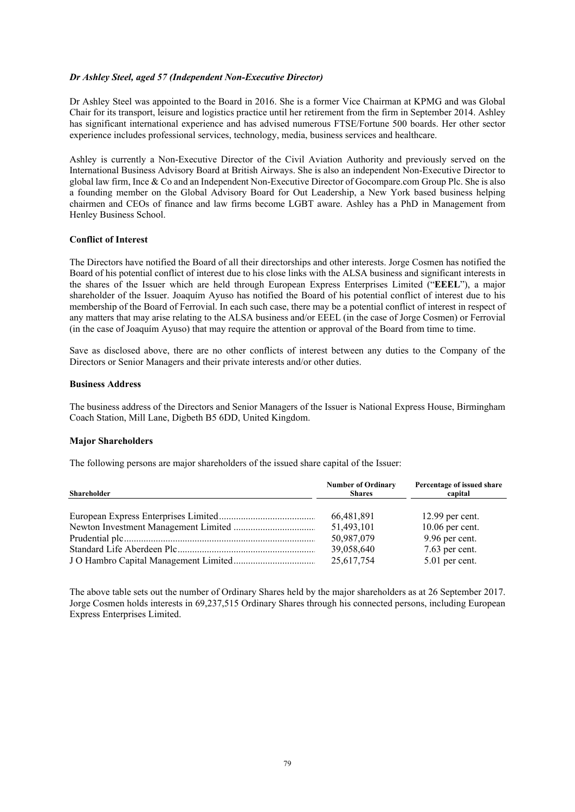#### *Dr Ashley Steel, aged 57 (Independent Non-Executive Director)*

Dr Ashley Steel was appointed to the Board in 2016. She is a former Vice Chairman at KPMG and was Global Chair for its transport, leisure and logistics practice until her retirement from the firm in September 2014. Ashley has significant international experience and has advised numerous FTSE/Fortune 500 boards. Her other sector experience includes professional services, technology, media, business services and healthcare.

Ashley is currently a Non-Executive Director of the Civil Aviation Authority and previously served on the International Business Advisory Board at British Airways. She is also an independent Non-Executive Director to global law firm, Ince & Co and an Independent Non-Executive Director of Gocompare.com Group Plc. She is also a founding member on the Global Advisory Board for Out Leadership, a New York based business helping chairmen and CEOs of finance and law firms become LGBT aware. Ashley has a PhD in Management from Henley Business School.

#### **Conflict of Interest**

The Directors have notified the Board of all their directorships and other interests. Jorge Cosmen has notified the Board of his potential conflict of interest due to his close links with the ALSA business and significant interests in the shares of the Issuer which are held through European Express Enterprises Limited ("**EEEL**"), a major shareholder of the Issuer. Joaquím Ayuso has notified the Board of his potential conflict of interest due to his membership of the Board of Ferrovial. In each such case, there may be a potential conflict of interest in respect of any matters that may arise relating to the ALSA business and/or EEEL (in the case of Jorge Cosmen) or Ferrovial (in the case of Joaquím Ayuso) that may require the attention or approval of the Board from time to time.

Save as disclosed above, there are no other conflicts of interest between any duties to the Company of the Directors or Senior Managers and their private interests and/or other duties.

#### **Business Address**

The business address of the Directors and Senior Managers of the Issuer is National Express House, Birmingham Coach Station, Mill Lane, Digbeth B5 6DD, United Kingdom.

#### **Major Shareholders**

The following persons are major shareholders of the issued share capital of the Issuer:

| <b>Shareholder</b> | <b>Number of Ordinary</b><br><b>Shares</b> | Percentage of issued share<br>capital |
|--------------------|--------------------------------------------|---------------------------------------|
|                    | 66,481,891                                 | $12.99$ per cent.                     |
|                    | 51,493,101                                 | $10.06$ per cent.                     |
|                    | 50,987,079                                 | 9.96 per cent.                        |
|                    | 39,058,640<br>25,617,754                   | 7.63 per cent.<br>5.01 per cent.      |

The above table sets out the number of Ordinary Shares held by the major shareholders as at 26 September 2017. Jorge Cosmen holds interests in 69,237,515 Ordinary Shares through his connected persons, including European Express Enterprises Limited.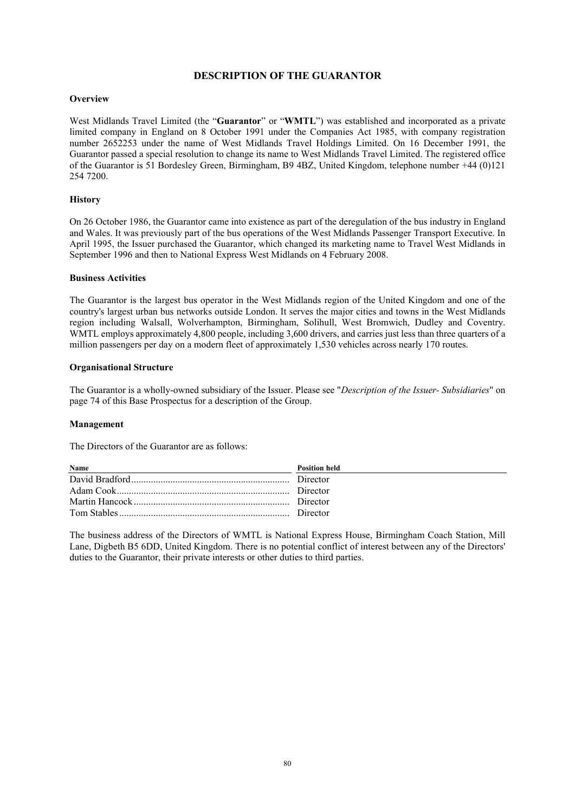# **DESCRIPTION OF THE GUARANTOR**

## **Overview**

West Midlands Travel Limited (the "**Guarantor**" or "**WMTL**") was established and incorporated as a private limited company in England on 8 October 1991 under the Companies Act 1985, with company registration number 2652253 under the name of West Midlands Travel Holdings Limited. On 16 December 1991, the Guarantor passed a special resolution to change its name to West Midlands Travel Limited. The registered office of the Guarantor is 51 Bordesley Green, Birmingham, B9 4BZ, United Kingdom, telephone number +44 (0)121 254 7200.

## **History**

On 26 October 1986, the Guarantor came into existence as part of the deregulation of the bus industry in England and Wales. It was previously part of the bus operations of the West Midlands Passenger Transport Executive. In April 1995, the Issuer purchased the Guarantor, which changed its marketing name to Travel West Midlands in September 1996 and then to National Express West Midlands on 4 February 2008.

#### **Business Activities**

The Guarantor is the largest bus operator in the West Midlands region of the United Kingdom and one of the country's largest urban bus networks outside London. It serves the major cities and towns in the West Midlands region including Walsall, Wolverhampton, Birmingham, Solihull, West Bromwich, Dudley and Coventry. WMTL employs approximately 4,800 people, including 3,600 drivers, and carries just less than three quarters of a million passengers per day on a modern fleet of approximately 1,530 vehicles across nearly 170 routes.

#### **Organisational Structure**

The Guarantor is a wholly-owned subsidiary of the Issuer. Please see "*Description of the Issuer- Subsidiaries*" on page 74 of this Base Prospectus for a description of the Group.

#### **Management**

The Directors of the Guarantor are as follows:

| <b>Name</b> | <b>Position held</b> |
|-------------|----------------------|
|             |                      |
|             |                      |
|             |                      |
|             |                      |

The business address of the Directors of WMTL is National Express House, Birmingham Coach Station, Mill Lane, Digbeth B5 6DD, United Kingdom. There is no potential conflict of interest between any of the Directors' duties to the Guarantor, their private interests or other duties to third parties.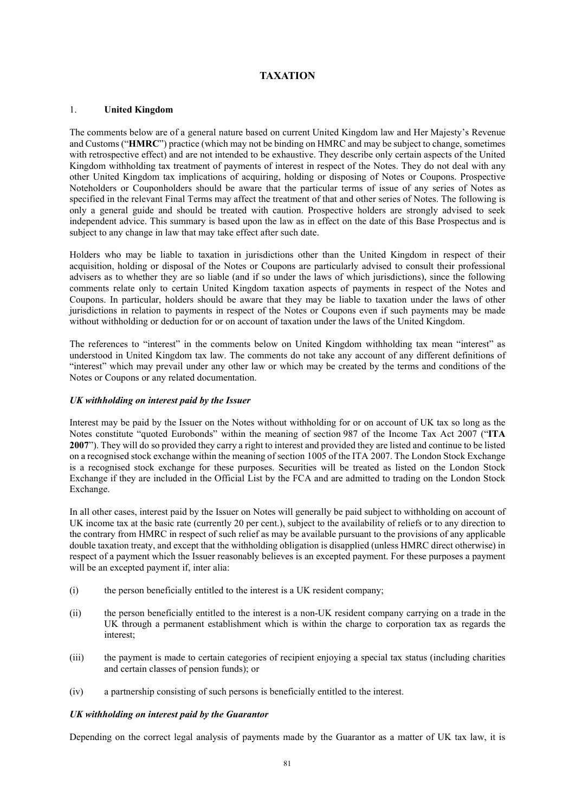# **TAXATION**

#### 1. **United Kingdom**

The comments below are of a general nature based on current United Kingdom law and Her Majesty's Revenue and Customs ("**HMRC**") practice (which may not be binding on HMRC and may be subject to change, sometimes with retrospective effect) and are not intended to be exhaustive. They describe only certain aspects of the United Kingdom withholding tax treatment of payments of interest in respect of the Notes. They do not deal with any other United Kingdom tax implications of acquiring, holding or disposing of Notes or Coupons. Prospective Noteholders or Couponholders should be aware that the particular terms of issue of any series of Notes as specified in the relevant Final Terms may affect the treatment of that and other series of Notes. The following is only a general guide and should be treated with caution. Prospective holders are strongly advised to seek independent advice. This summary is based upon the law as in effect on the date of this Base Prospectus and is subject to any change in law that may take effect after such date.

Holders who may be liable to taxation in jurisdictions other than the United Kingdom in respect of their acquisition, holding or disposal of the Notes or Coupons are particularly advised to consult their professional advisers as to whether they are so liable (and if so under the laws of which jurisdictions), since the following comments relate only to certain United Kingdom taxation aspects of payments in respect of the Notes and Coupons. In particular, holders should be aware that they may be liable to taxation under the laws of other jurisdictions in relation to payments in respect of the Notes or Coupons even if such payments may be made without withholding or deduction for or on account of taxation under the laws of the United Kingdom.

The references to "interest" in the comments below on United Kingdom withholding tax mean "interest" as understood in United Kingdom tax law. The comments do not take any account of any different definitions of "interest" which may prevail under any other law or which may be created by the terms and conditions of the Notes or Coupons or any related documentation.

#### *UK withholding on interest paid by the Issuer*

Interest may be paid by the Issuer on the Notes without withholding for or on account of UK tax so long as the Notes constitute "quoted Eurobonds" within the meaning of section 987 of the Income Tax Act 2007 ("**ITA 2007**"). They will do so provided they carry a right to interest and provided they are listed and continue to be listed on a recognised stock exchange within the meaning of section 1005 of the ITA 2007. The London Stock Exchange is a recognised stock exchange for these purposes. Securities will be treated as listed on the London Stock Exchange if they are included in the Official List by the FCA and are admitted to trading on the London Stock Exchange.

In all other cases, interest paid by the Issuer on Notes will generally be paid subject to withholding on account of UK income tax at the basic rate (currently 20 per cent.), subject to the availability of reliefs or to any direction to the contrary from HMRC in respect of such relief as may be available pursuant to the provisions of any applicable double taxation treaty, and except that the withholding obligation is disapplied (unless HMRC direct otherwise) in respect of a payment which the Issuer reasonably believes is an excepted payment. For these purposes a payment will be an excepted payment if, inter alia:

- (i) the person beneficially entitled to the interest is a UK resident company;
- (ii) the person beneficially entitled to the interest is a non-UK resident company carrying on a trade in the UK through a permanent establishment which is within the charge to corporation tax as regards the interest;
- (iii) the payment is made to certain categories of recipient enjoying a special tax status (including charities and certain classes of pension funds); or
- (iv) a partnership consisting of such persons is beneficially entitled to the interest.

#### *UK withholding on interest paid by the Guarantor*

Depending on the correct legal analysis of payments made by the Guarantor as a matter of UK tax law, it is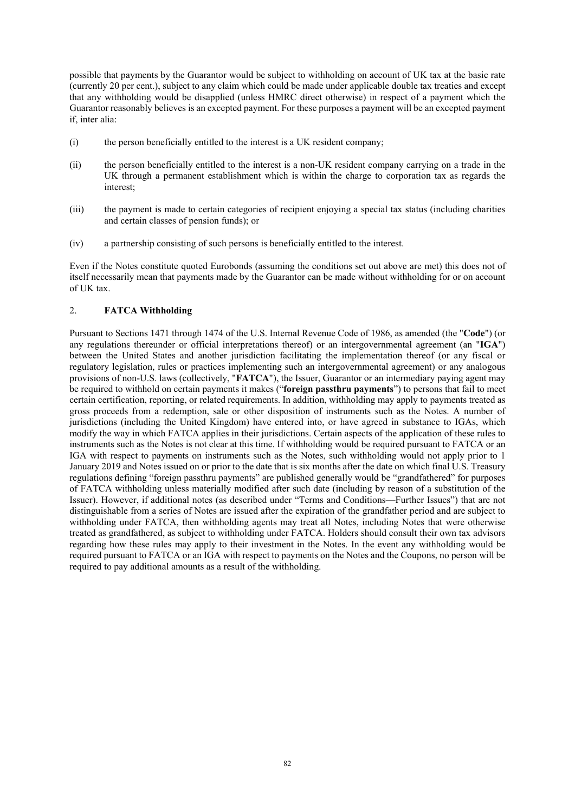possible that payments by the Guarantor would be subject to withholding on account of UK tax at the basic rate (currently 20 per cent.), subject to any claim which could be made under applicable double tax treaties and except that any withholding would be disapplied (unless HMRC direct otherwise) in respect of a payment which the Guarantor reasonably believes is an excepted payment. For these purposes a payment will be an excepted payment if, inter alia:

- (i) the person beneficially entitled to the interest is a UK resident company;
- (ii) the person beneficially entitled to the interest is a non-UK resident company carrying on a trade in the UK through a permanent establishment which is within the charge to corporation tax as regards the interest;
- (iii) the payment is made to certain categories of recipient enjoying a special tax status (including charities and certain classes of pension funds); or
- (iv) a partnership consisting of such persons is beneficially entitled to the interest.

Even if the Notes constitute quoted Eurobonds (assuming the conditions set out above are met) this does not of itself necessarily mean that payments made by the Guarantor can be made without withholding for or on account of UK tax.

## 2. **FATCA Withholding**

Pursuant to Sections 1471 through 1474 of the U.S. Internal Revenue Code of 1986, as amended (the "**Code**") (or any regulations thereunder or official interpretations thereof) or an intergovernmental agreement (an "**IGA**") between the United States and another jurisdiction facilitating the implementation thereof (or any fiscal or regulatory legislation, rules or practices implementing such an intergovernmental agreement) or any analogous provisions of non-U.S. laws (collectively, "**FATCA**"), the Issuer, Guarantor or an intermediary paying agent may be required to withhold on certain payments it makes ("**foreign passthru payments**") to persons that fail to meet certain certification, reporting, or related requirements. In addition, withholding may apply to payments treated as gross proceeds from a redemption, sale or other disposition of instruments such as the Notes. A number of jurisdictions (including the United Kingdom) have entered into, or have agreed in substance to IGAs, which modify the way in which FATCA applies in their jurisdictions. Certain aspects of the application of these rules to instruments such as the Notes is not clear at this time. If withholding would be required pursuant to FATCA or an IGA with respect to payments on instruments such as the Notes, such withholding would not apply prior to 1 January 2019 and Notes issued on or prior to the date that is six months after the date on which final U.S. Treasury regulations defining "foreign passthru payments" are published generally would be "grandfathered" for purposes of FATCA withholding unless materially modified after such date (including by reason of a substitution of the Issuer). However, if additional notes (as described under "Terms and Conditions—Further Issues") that are not distinguishable from a series of Notes are issued after the expiration of the grandfather period and are subject to withholding under FATCA, then withholding agents may treat all Notes, including Notes that were otherwise treated as grandfathered, as subject to withholding under FATCA. Holders should consult their own tax advisors regarding how these rules may apply to their investment in the Notes. In the event any withholding would be required pursuant to FATCA or an IGA with respect to payments on the Notes and the Coupons, no person will be required to pay additional amounts as a result of the withholding.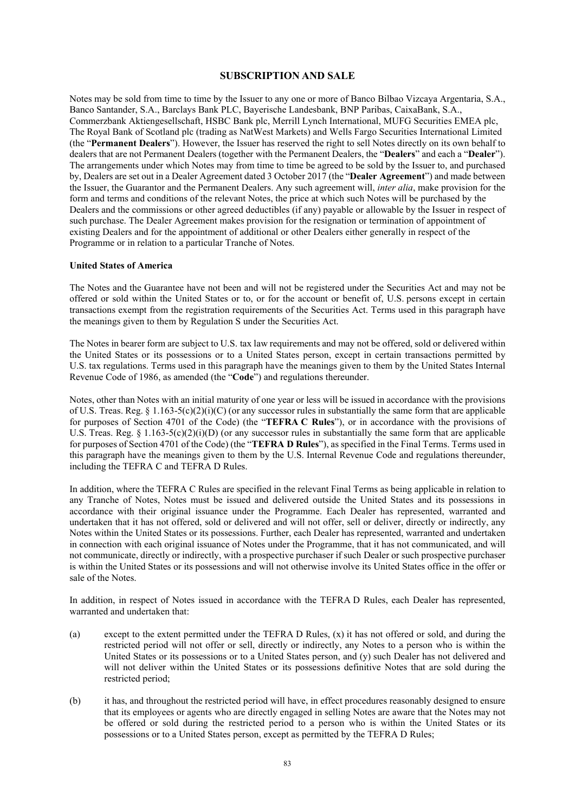#### **SUBSCRIPTION AND SALE**

Notes may be sold from time to time by the Issuer to any one or more of Banco Bilbao Vizcaya Argentaria, S.A., Banco Santander, S.A., Barclays Bank PLC, Bayerische Landesbank, BNP Paribas, CaixaBank, S.A., Commerzbank Aktiengesellschaft, HSBC Bank plc, Merrill Lynch International, MUFG Securities EMEA plc, The Royal Bank of Scotland plc (trading as NatWest Markets) and Wells Fargo Securities International Limited (the "**Permanent Dealers**"). However, the Issuer has reserved the right to sell Notes directly on its own behalf to dealers that are not Permanent Dealers (together with the Permanent Dealers, the "**Dealers**" and each a "**Dealer**"). The arrangements under which Notes may from time to time be agreed to be sold by the Issuer to, and purchased by, Dealers are set out in a Dealer Agreement dated 3 October 2017 (the "**Dealer Agreement**") and made between the Issuer, the Guarantor and the Permanent Dealers. Any such agreement will, *inter alia*, make provision for the form and terms and conditions of the relevant Notes, the price at which such Notes will be purchased by the Dealers and the commissions or other agreed deductibles (if any) payable or allowable by the Issuer in respect of such purchase. The Dealer Agreement makes provision for the resignation or termination of appointment of existing Dealers and for the appointment of additional or other Dealers either generally in respect of the Programme or in relation to a particular Tranche of Notes.

#### **United States of America**

The Notes and the Guarantee have not been and will not be registered under the Securities Act and may not be offered or sold within the United States or to, or for the account or benefit of, U.S. persons except in certain transactions exempt from the registration requirements of the Securities Act. Terms used in this paragraph have the meanings given to them by Regulation S under the Securities Act.

The Notes in bearer form are subject to U.S. tax law requirements and may not be offered, sold or delivered within the United States or its possessions or to a United States person, except in certain transactions permitted by U.S. tax regulations. Terms used in this paragraph have the meanings given to them by the United States Internal Revenue Code of 1986, as amended (the "**Code**") and regulations thereunder.

Notes, other than Notes with an initial maturity of one year or less will be issued in accordance with the provisions of U.S. Treas. Reg. § 1.163-5(c)(2)(i)(C) (or any successor rules in substantially the same form that are applicable for purposes of Section 4701 of the Code) (the "**TEFRA C Rules**"), or in accordance with the provisions of U.S. Treas. Reg. § 1.163-5(c)(2)(i)(D) (or any successor rules in substantially the same form that are applicable for purposes of Section 4701 of the Code) (the "**TEFRA D Rules**"), as specified in the Final Terms. Terms used in this paragraph have the meanings given to them by the U.S. Internal Revenue Code and regulations thereunder, including the TEFRA C and TEFRA D Rules.

In addition, where the TEFRA C Rules are specified in the relevant Final Terms as being applicable in relation to any Tranche of Notes, Notes must be issued and delivered outside the United States and its possessions in accordance with their original issuance under the Programme. Each Dealer has represented, warranted and undertaken that it has not offered, sold or delivered and will not offer, sell or deliver, directly or indirectly, any Notes within the United States or its possessions. Further, each Dealer has represented, warranted and undertaken in connection with each original issuance of Notes under the Programme, that it has not communicated, and will not communicate, directly or indirectly, with a prospective purchaser if such Dealer or such prospective purchaser is within the United States or its possessions and will not otherwise involve its United States office in the offer or sale of the Notes.

In addition, in respect of Notes issued in accordance with the TEFRA D Rules, each Dealer has represented, warranted and undertaken that:

- (a) except to the extent permitted under the TEFRA D Rules, (x) it has not offered or sold, and during the restricted period will not offer or sell, directly or indirectly, any Notes to a person who is within the United States or its possessions or to a United States person, and (y) such Dealer has not delivered and will not deliver within the United States or its possessions definitive Notes that are sold during the restricted period;
- (b) it has, and throughout the restricted period will have, in effect procedures reasonably designed to ensure that its employees or agents who are directly engaged in selling Notes are aware that the Notes may not be offered or sold during the restricted period to a person who is within the United States or its possessions or to a United States person, except as permitted by the TEFRA D Rules;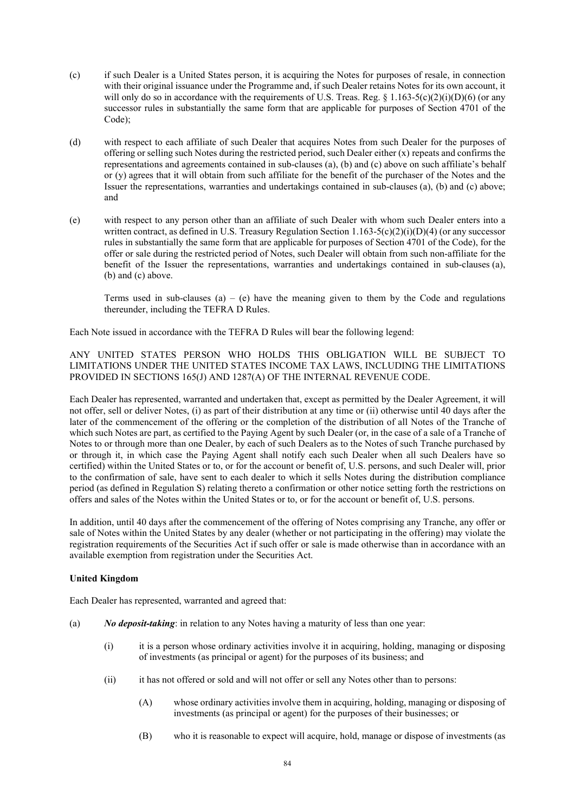- (c) if such Dealer is a United States person, it is acquiring the Notes for purposes of resale, in connection with their original issuance under the Programme and, if such Dealer retains Notes for its own account, it will only do so in accordance with the requirements of U.S. Treas. Reg.  $\S$  1.163-5(c)(2)(i)(D)(6) (or any successor rules in substantially the same form that are applicable for purposes of Section 4701 of the Code);
- (d) with respect to each affiliate of such Dealer that acquires Notes from such Dealer for the purposes of offering or selling such Notes during the restricted period, such Dealer either (x) repeats and confirms the representations and agreements contained in sub-clauses (a), (b) and (c) above on such affiliate's behalf or (y) agrees that it will obtain from such affiliate for the benefit of the purchaser of the Notes and the Issuer the representations, warranties and undertakings contained in sub-clauses (a), (b) and (c) above; and
- (e) with respect to any person other than an affiliate of such Dealer with whom such Dealer enters into a written contract, as defined in U.S. Treasury Regulation Section  $1.163-5(c)(2)(i)(D)(4)$  (or any successor rules in substantially the same form that are applicable for purposes of Section 4701 of the Code), for the offer or sale during the restricted period of Notes, such Dealer will obtain from such non-affiliate for the benefit of the Issuer the representations, warranties and undertakings contained in sub-clauses (a), (b) and (c) above.

Terms used in sub-clauses (a) – (e) have the meaning given to them by the Code and regulations thereunder, including the TEFRA D Rules.

Each Note issued in accordance with the TEFRA D Rules will bear the following legend:

ANY UNITED STATES PERSON WHO HOLDS THIS OBLIGATION WILL BE SUBJECT TO LIMITATIONS UNDER THE UNITED STATES INCOME TAX LAWS, INCLUDING THE LIMITATIONS PROVIDED IN SECTIONS 165(J) AND 1287(A) OF THE INTERNAL REVENUE CODE.

Each Dealer has represented, warranted and undertaken that, except as permitted by the Dealer Agreement, it will not offer, sell or deliver Notes, (i) as part of their distribution at any time or (ii) otherwise until 40 days after the later of the commencement of the offering or the completion of the distribution of all Notes of the Tranche of which such Notes are part, as certified to the Paying Agent by such Dealer (or, in the case of a sale of a Tranche of Notes to or through more than one Dealer, by each of such Dealers as to the Notes of such Tranche purchased by or through it, in which case the Paying Agent shall notify each such Dealer when all such Dealers have so certified) within the United States or to, or for the account or benefit of, U.S. persons, and such Dealer will, prior to the confirmation of sale, have sent to each dealer to which it sells Notes during the distribution compliance period (as defined in Regulation S) relating thereto a confirmation or other notice setting forth the restrictions on offers and sales of the Notes within the United States or to, or for the account or benefit of, U.S. persons.

In addition, until 40 days after the commencement of the offering of Notes comprising any Tranche, any offer or sale of Notes within the United States by any dealer (whether or not participating in the offering) may violate the registration requirements of the Securities Act if such offer or sale is made otherwise than in accordance with an available exemption from registration under the Securities Act.

## **United Kingdom**

Each Dealer has represented, warranted and agreed that:

- (a) *No deposit-taking*: in relation to any Notes having a maturity of less than one year:
	- (i) it is a person whose ordinary activities involve it in acquiring, holding, managing or disposing of investments (as principal or agent) for the purposes of its business; and
	- (ii) it has not offered or sold and will not offer or sell any Notes other than to persons:
		- (A) whose ordinary activities involve them in acquiring, holding, managing or disposing of investments (as principal or agent) for the purposes of their businesses; or
		- (B) who it is reasonable to expect will acquire, hold, manage or dispose of investments (as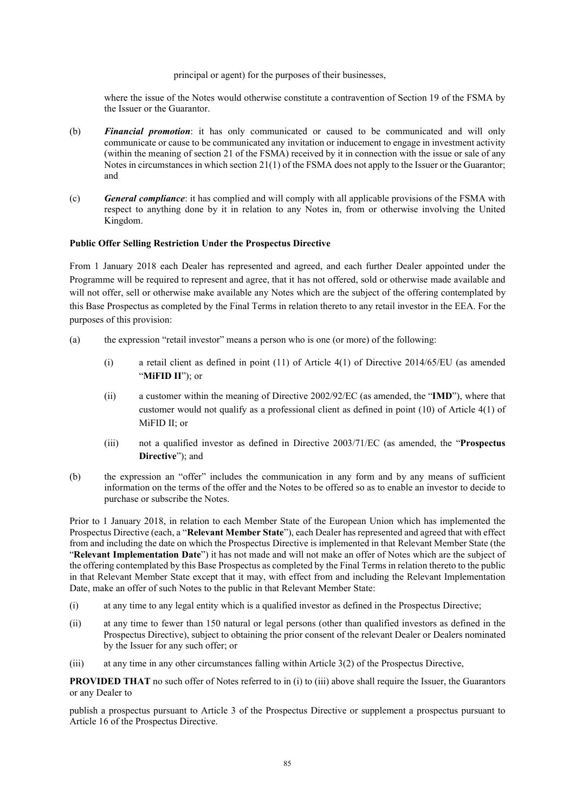#### principal or agent) for the purposes of their businesses,

where the issue of the Notes would otherwise constitute a contravention of Section 19 of the FSMA by the Issuer or the Guarantor.

- (b) *Financial promotion*: it has only communicated or caused to be communicated and will only communicate or cause to be communicated any invitation or inducement to engage in investment activity (within the meaning of section 21 of the FSMA) received by it in connection with the issue or sale of any Notes in circumstances in which section 21(1) of the FSMA does not apply to the Issuer or the Guarantor; and
- (c) *General compliance*: it has complied and will comply with all applicable provisions of the FSMA with respect to anything done by it in relation to any Notes in, from or otherwise involving the United Kingdom.

## **Public Offer Selling Restriction Under the Prospectus Directive**

From 1 January 2018 each Dealer has represented and agreed, and each further Dealer appointed under the Programme will be required to represent and agree, that it has not offered, sold or otherwise made available and will not offer, sell or otherwise make available any Notes which are the subject of the offering contemplated by this Base Prospectus as completed by the Final Terms in relation thereto to any retail investor in the EEA. For the purposes of this provision:

- (a) the expression "retail investor" means a person who is one (or more) of the following:
	- (i) a retail client as defined in point (11) of Article 4(1) of Directive 2014/65/EU (as amended "**MiFID II**"); or
	- (ii) a customer within the meaning of Directive 2002/92/EC (as amended, the "**IMD**"), where that customer would not qualify as a professional client as defined in point (10) of Article 4(1) of MiFID II $\cdot$  or
	- (iii) not a qualified investor as defined in Directive 2003/71/EC (as amended, the "**Prospectus Directive**"); and
- (b) the expression an "offer" includes the communication in any form and by any means of sufficient information on the terms of the offer and the Notes to be offered so as to enable an investor to decide to purchase or subscribe the Notes.

Prior to 1 January 2018, in relation to each Member State of the European Union which has implemented the Prospectus Directive (each, a "**Relevant Member State**"), each Dealer has represented and agreed that with effect from and including the date on which the Prospectus Directive is implemented in that Relevant Member State (the "**Relevant Implementation Date**") it has not made and will not make an offer of Notes which are the subject of the offering contemplated by this Base Prospectus as completed by the Final Terms in relation thereto to the public in that Relevant Member State except that it may, with effect from and including the Relevant Implementation Date, make an offer of such Notes to the public in that Relevant Member State:

- (i) at any time to any legal entity which is a qualified investor as defined in the Prospectus Directive;
- (ii) at any time to fewer than 150 natural or legal persons (other than qualified investors as defined in the Prospectus Directive), subject to obtaining the prior consent of the relevant Dealer or Dealers nominated by the Issuer for any such offer; or
- (iii) at any time in any other circumstances falling within Article 3(2) of the Prospectus Directive,

**PROVIDED THAT** no such offer of Notes referred to in (i) to (iii) above shall require the Issuer, the Guarantors or any Dealer to

publish a prospectus pursuant to Article 3 of the Prospectus Directive or supplement a prospectus pursuant to Article 16 of the Prospectus Directive.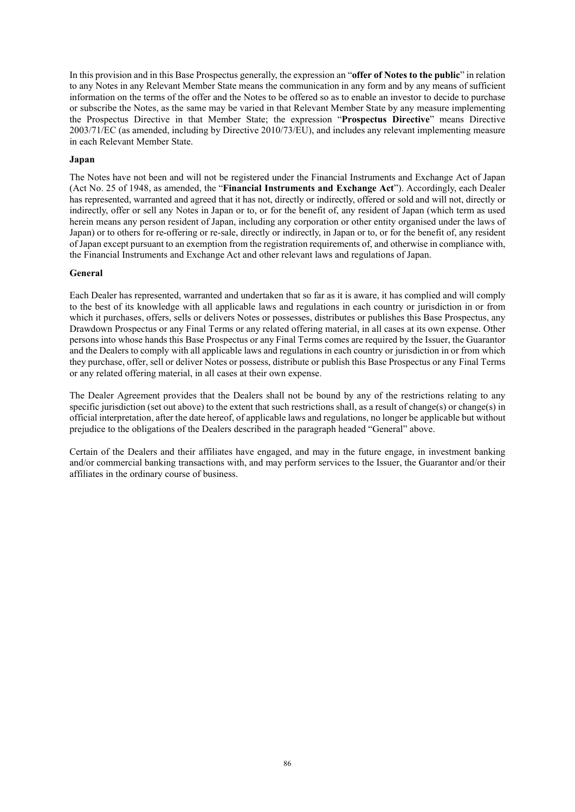In this provision and in this Base Prospectus generally, the expression an "**offer of Notes to the public**" in relation to any Notes in any Relevant Member State means the communication in any form and by any means of sufficient information on the terms of the offer and the Notes to be offered so as to enable an investor to decide to purchase or subscribe the Notes, as the same may be varied in that Relevant Member State by any measure implementing the Prospectus Directive in that Member State; the expression "**Prospectus Directive**" means Directive 2003/71/EC (as amended, including by Directive 2010/73/EU), and includes any relevant implementing measure in each Relevant Member State.

#### **Japan**

The Notes have not been and will not be registered under the Financial Instruments and Exchange Act of Japan (Act No. 25 of 1948, as amended, the "**Financial Instruments and Exchange Act**"). Accordingly, each Dealer has represented, warranted and agreed that it has not, directly or indirectly, offered or sold and will not, directly or indirectly, offer or sell any Notes in Japan or to, or for the benefit of, any resident of Japan (which term as used herein means any person resident of Japan, including any corporation or other entity organised under the laws of Japan) or to others for re-offering or re-sale, directly or indirectly, in Japan or to, or for the benefit of, any resident of Japan except pursuant to an exemption from the registration requirements of, and otherwise in compliance with, the Financial Instruments and Exchange Act and other relevant laws and regulations of Japan.

#### **General**

Each Dealer has represented, warranted and undertaken that so far as it is aware, it has complied and will comply to the best of its knowledge with all applicable laws and regulations in each country or jurisdiction in or from which it purchases, offers, sells or delivers Notes or possesses, distributes or publishes this Base Prospectus, any Drawdown Prospectus or any Final Terms or any related offering material, in all cases at its own expense. Other persons into whose hands this Base Prospectus or any Final Terms comes are required by the Issuer, the Guarantor and the Dealers to comply with all applicable laws and regulations in each country or jurisdiction in or from which they purchase, offer, sell or deliver Notes or possess, distribute or publish this Base Prospectus or any Final Terms or any related offering material, in all cases at their own expense.

The Dealer Agreement provides that the Dealers shall not be bound by any of the restrictions relating to any specific jurisdiction (set out above) to the extent that such restrictions shall, as a result of change(s) or change(s) in official interpretation, after the date hereof, of applicable laws and regulations, no longer be applicable but without prejudice to the obligations of the Dealers described in the paragraph headed "General" above.

Certain of the Dealers and their affiliates have engaged, and may in the future engage, in investment banking and/or commercial banking transactions with, and may perform services to the Issuer, the Guarantor and/or their affiliates in the ordinary course of business.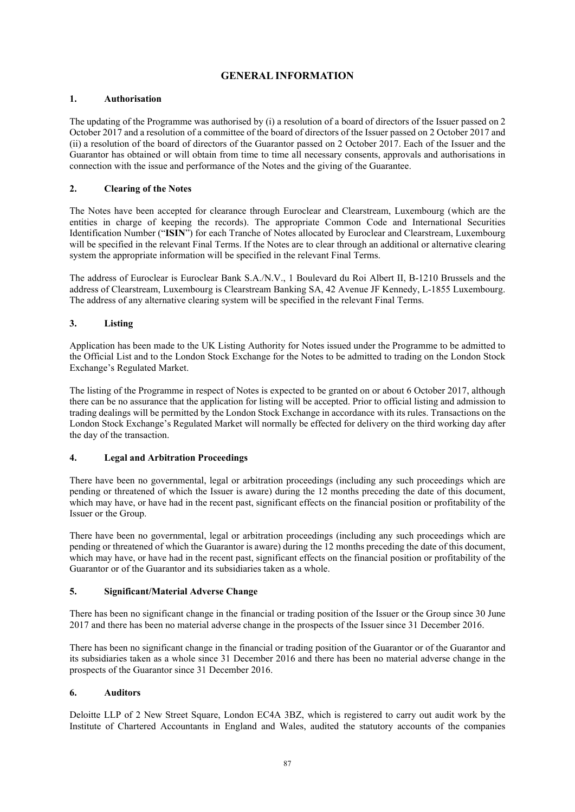# **GENERAL INFORMATION**

# **1. Authorisation**

The updating of the Programme was authorised by (i) a resolution of a board of directors of the Issuer passed on 2 October 2017 and a resolution of a committee of the board of directors of the Issuer passed on 2 October 2017 and (ii) a resolution of the board of directors of the Guarantor passed on 2 October 2017. Each of the Issuer and the Guarantor has obtained or will obtain from time to time all necessary consents, approvals and authorisations in connection with the issue and performance of the Notes and the giving of the Guarantee.

# **2. Clearing of the Notes**

The Notes have been accepted for clearance through Euroclear and Clearstream, Luxembourg (which are the entities in charge of keeping the records). The appropriate Common Code and International Securities Identification Number ("**ISIN**") for each Tranche of Notes allocated by Euroclear and Clearstream, Luxembourg will be specified in the relevant Final Terms. If the Notes are to clear through an additional or alternative clearing system the appropriate information will be specified in the relevant Final Terms.

The address of Euroclear is Euroclear Bank S.A./N.V., 1 Boulevard du Roi Albert II, B-1210 Brussels and the address of Clearstream, Luxembourg is Clearstream Banking SA, 42 Avenue JF Kennedy, L-1855 Luxembourg. The address of any alternative clearing system will be specified in the relevant Final Terms.

# **3. Listing**

Application has been made to the UK Listing Authority for Notes issued under the Programme to be admitted to the Official List and to the London Stock Exchange for the Notes to be admitted to trading on the London Stock Exchange's Regulated Market.

The listing of the Programme in respect of Notes is expected to be granted on or about 6 October 2017, although there can be no assurance that the application for listing will be accepted. Prior to official listing and admission to trading dealings will be permitted by the London Stock Exchange in accordance with its rules. Transactions on the London Stock Exchange's Regulated Market will normally be effected for delivery on the third working day after the day of the transaction.

## **4. Legal and Arbitration Proceedings**

There have been no governmental, legal or arbitration proceedings (including any such proceedings which are pending or threatened of which the Issuer is aware) during the 12 months preceding the date of this document, which may have, or have had in the recent past, significant effects on the financial position or profitability of the Issuer or the Group.

There have been no governmental, legal or arbitration proceedings (including any such proceedings which are pending or threatened of which the Guarantor is aware) during the 12 months preceding the date of this document, which may have, or have had in the recent past, significant effects on the financial position or profitability of the Guarantor or of the Guarantor and its subsidiaries taken as a whole.

## **5. Significant/Material Adverse Change**

There has been no significant change in the financial or trading position of the Issuer or the Group since 30 June 2017 and there has been no material adverse change in the prospects of the Issuer since 31 December 2016.

There has been no significant change in the financial or trading position of the Guarantor or of the Guarantor and its subsidiaries taken as a whole since 31 December 2016 and there has been no material adverse change in the prospects of the Guarantor since 31 December 2016.

## **6. Auditors**

Deloitte LLP of 2 New Street Square, London EC4A 3BZ, which is registered to carry out audit work by the Institute of Chartered Accountants in England and Wales, audited the statutory accounts of the companies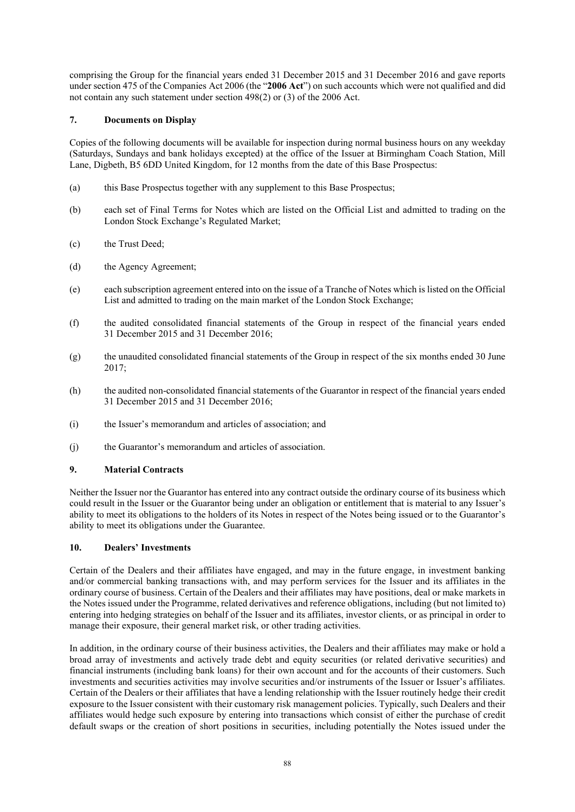comprising the Group for the financial years ended 31 December 2015 and 31 December 2016 and gave reports under section 475 of the Companies Act 2006 (the "**2006 Act**") on such accounts which were not qualified and did not contain any such statement under section 498(2) or (3) of the 2006 Act.

# **7. Documents on Display**

Copies of the following documents will be available for inspection during normal business hours on any weekday (Saturdays, Sundays and bank holidays excepted) at the office of the Issuer at Birmingham Coach Station, Mill Lane, Digbeth, B5 6DD United Kingdom, for 12 months from the date of this Base Prospectus:

- (a) this Base Prospectus together with any supplement to this Base Prospectus;
- (b) each set of Final Terms for Notes which are listed on the Official List and admitted to trading on the London Stock Exchange's Regulated Market;
- (c) the Trust Deed;
- (d) the Agency Agreement;
- (e) each subscription agreement entered into on the issue of a Tranche of Notes which is listed on the Official List and admitted to trading on the main market of the London Stock Exchange;
- (f) the audited consolidated financial statements of the Group in respect of the financial years ended 31 December 2015 and 31 December 2016;
- (g) the unaudited consolidated financial statements of the Group in respect of the six months ended 30 June 2017;
- (h) the audited non-consolidated financial statements of the Guarantor in respect of the financial years ended 31 December 2015 and 31 December 2016;
- (i) the Issuer's memorandum and articles of association; and
- (j) the Guarantor's memorandum and articles of association.

## **9. Material Contracts**

Neither the Issuer nor the Guarantor has entered into any contract outside the ordinary course of its business which could result in the Issuer or the Guarantor being under an obligation or entitlement that is material to any Issuer's ability to meet its obligations to the holders of its Notes in respect of the Notes being issued or to the Guarantor's ability to meet its obligations under the Guarantee.

## **10. Dealers' Investments**

Certain of the Dealers and their affiliates have engaged, and may in the future engage, in investment banking and/or commercial banking transactions with, and may perform services for the Issuer and its affiliates in the ordinary course of business. Certain of the Dealers and their affiliates may have positions, deal or make markets in the Notes issued under the Programme, related derivatives and reference obligations, including (but not limited to) entering into hedging strategies on behalf of the Issuer and its affiliates, investor clients, or as principal in order to manage their exposure, their general market risk, or other trading activities.

In addition, in the ordinary course of their business activities, the Dealers and their affiliates may make or hold a broad array of investments and actively trade debt and equity securities (or related derivative securities) and financial instruments (including bank loans) for their own account and for the accounts of their customers. Such investments and securities activities may involve securities and/or instruments of the Issuer or Issuer's affiliates. Certain of the Dealers or their affiliates that have a lending relationship with the Issuer routinely hedge their credit exposure to the Issuer consistent with their customary risk management policies. Typically, such Dealers and their affiliates would hedge such exposure by entering into transactions which consist of either the purchase of credit default swaps or the creation of short positions in securities, including potentially the Notes issued under the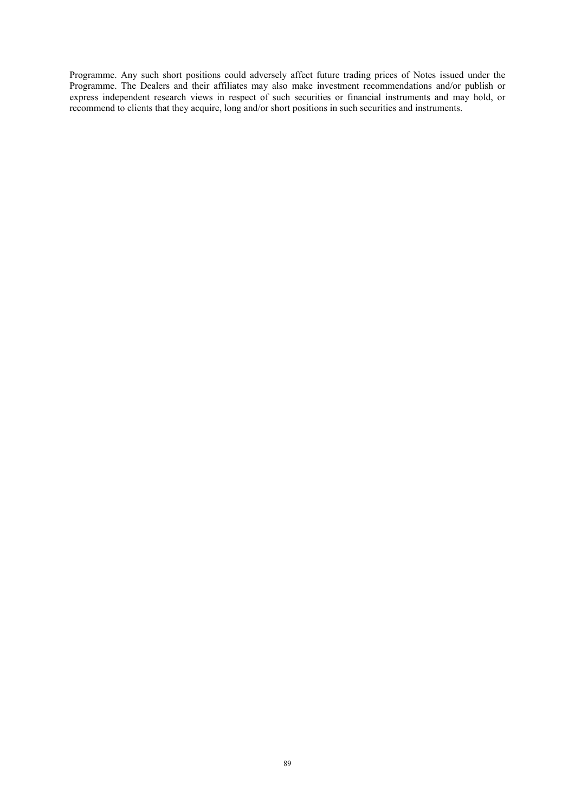Programme. Any such short positions could adversely affect future trading prices of Notes issued under the Programme. The Dealers and their affiliates may also make investment recommendations and/or publish or express independent research views in respect of such securities or financial instruments and may hold, or recommend to clients that they acquire, long and/or short positions in such securities and instruments.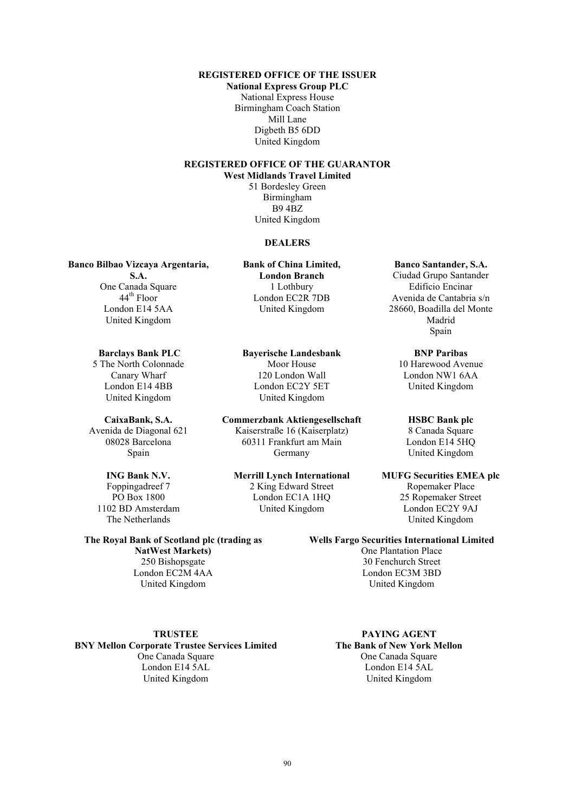**REGISTERED OFFICE OF THE ISSUER**

**National Express Group PLC** National Express House Birmingham Coach Station Mill Lane Digbeth B5 6DD United Kingdom

# **REGISTERED OFFICE OF THE GUARANTOR**

**West Midlands Travel Limited** 51 Bordesley Green Birmingham B9 4BZ United Kingdom

#### **DEALERS**

**Banco Bilbao Vizcaya Argentaria,** 

**S.A.** One Canada Square 44<sup>th</sup> Floor London E14 5AA United Kingdom

**Barclays Bank PLC** 5 The North Colonnade Canary Wharf London E14 4BB United Kingdom

**CaixaBank, S.A.** Avenida de Diagonal 621 08028 Barcelona Spain

**ING Bank N.V.** Foppingadreef 7 PO Box 1800 1102 BD Amsterdam The Netherlands

**The Royal Bank of Scotland plc (trading as NatWest Markets)** 250 Bishopsgate London EC2M 4AA United Kingdom

#### **TRUSTEE**

**BNY Mellon Corporate Trustee Services Limited** One Canada Square London E14 5AL United Kingdom

**Bank of China Limited, London Branch** 1 Lothbury London EC2R 7DB United Kingdom

**Bayerische Landesbank** Moor House 120 London Wall London EC2Y 5ET United Kingdom

**Commerzbank Aktiengesellschaft** Kaiserstraße 16 (Kaiserplatz) 60311 Frankfurt am Main Germany

**Merrill Lynch International** 2 King Edward Street London EC1A 1HQ United Kingdom

**Banco Santander, S.A.** Ciudad Grupo Santander Edificio Encinar Avenida de Cantabria s/n 28660, Boadilla del Monte Madrid Spain

**BNP Paribas** 10 Harewood Avenue London NW1 6AA United Kingdom

#### **HSBC Bank plc** 8 Canada Square London E14 5HQ United Kingdom

**MUFG Securities EMEA plc** Ropemaker Place 25 Ropemaker Street London EC2Y 9AJ United Kingdom

**Wells Fargo Securities International Limited** One Plantation Place

30 Fenchurch Street London EC3M 3BD United Kingdom

**PAYING AGENT The Bank of New York Mellon** One Canada Square London E14 5AL United Kingdom